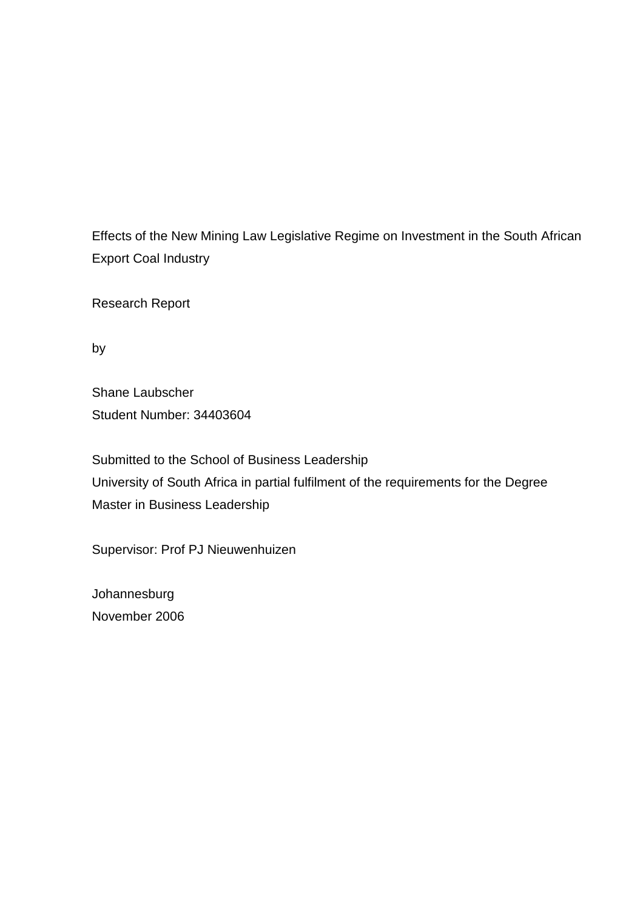Effects of the New Mining Law Legislative Regime on Investment in the South African Export Coal Industry

Research Report

by

Shane Laubscher Student Number: 34403604

Submitted to the School of Business Leadership University of South Africa in partial fulfilment of the requirements for the Degree Master in Business Leadership

Supervisor: Prof PJ Nieuwenhuizen

Johannesburg November 2006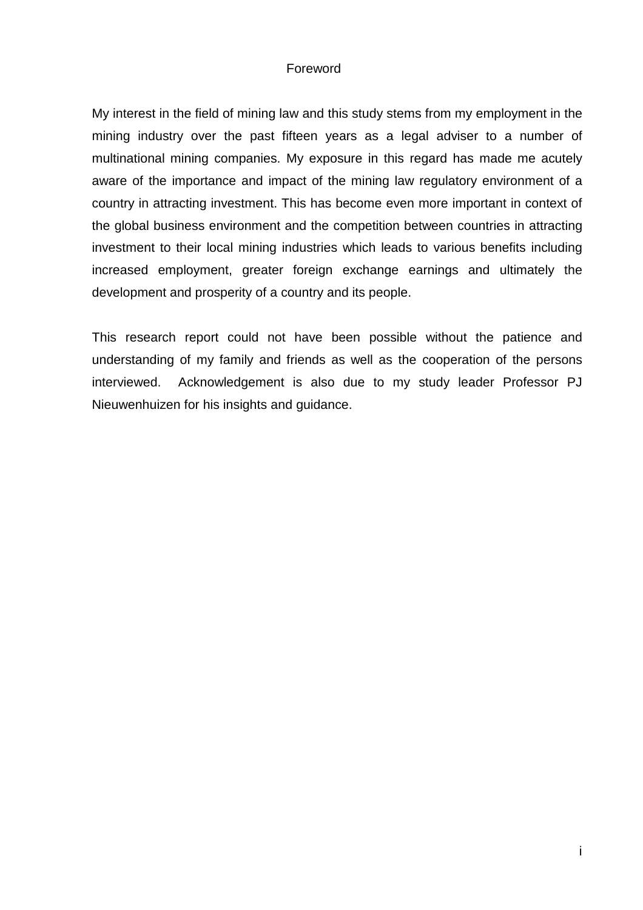# Foreword

My interest in the field of mining law and this study stems from my employment in the mining industry over the past fifteen years as a legal adviser to a number of multinational mining companies. My exposure in this regard has made me acutely aware of the importance and impact of the mining law regulatory environment of a country in attracting investment. This has become even more important in context of the global business environment and the competition between countries in attracting investment to their local mining industries which leads to various benefits including increased employment, greater foreign exchange earnings and ultimately the development and prosperity of a country and its people.

This research report could not have been possible without the patience and understanding of my family and friends as well as the cooperation of the persons interviewed. Acknowledgement is also due to my study leader Professor PJ Nieuwenhuizen for his insights and guidance.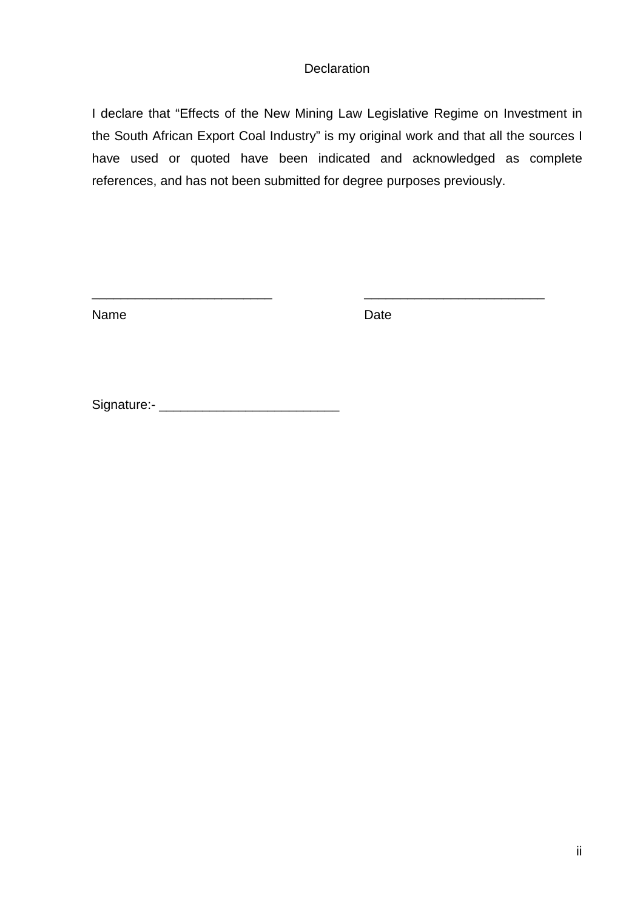# **Declaration**

I declare that "Effects of the New Mining Law Legislative Regime on Investment in the South African Export Coal Industry" is my original work and that all the sources I have used or quoted have been indicated and acknowledged as complete references, and has not been submitted for degree purposes previously.

\_\_\_\_\_\_\_\_\_\_\_\_\_\_\_\_\_\_\_\_\_\_\_\_\_ \_\_\_\_\_\_\_\_\_\_\_\_\_\_\_\_\_\_\_\_\_\_\_\_\_

Name Date

Signature:- \_\_\_\_\_\_\_\_\_\_\_\_\_\_\_\_\_\_\_\_\_\_\_\_\_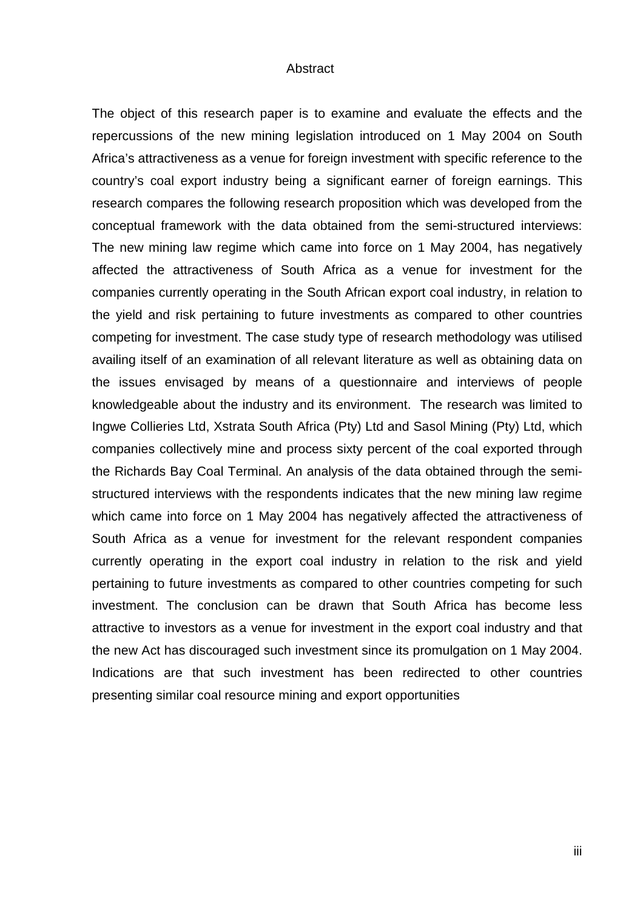#### Abstract

The object of this research paper is to examine and evaluate the effects and the repercussions of the new mining legislation introduced on 1 May 2004 on South Africa's attractiveness as a venue for foreign investment with specific reference to the country's coal export industry being a significant earner of foreign earnings. This research compares the following research proposition which was developed from the conceptual framework with the data obtained from the semi-structured interviews: The new mining law regime which came into force on 1 May 2004, has negatively affected the attractiveness of South Africa as a venue for investment for the companies currently operating in the South African export coal industry, in relation to the yield and risk pertaining to future investments as compared to other countries competing for investment. The case study type of research methodology was utilised availing itself of an examination of all relevant literature as well as obtaining data on the issues envisaged by means of a questionnaire and interviews of people knowledgeable about the industry and its environment. The research was limited to Ingwe Collieries Ltd, Xstrata South Africa (Pty) Ltd and Sasol Mining (Pty) Ltd, which companies collectively mine and process sixty percent of the coal exported through the Richards Bay Coal Terminal. An analysis of the data obtained through the semistructured interviews with the respondents indicates that the new mining law regime which came into force on 1 May 2004 has negatively affected the attractiveness of South Africa as a venue for investment for the relevant respondent companies currently operating in the export coal industry in relation to the risk and yield pertaining to future investments as compared to other countries competing for such investment. The conclusion can be drawn that South Africa has become less attractive to investors as a venue for investment in the export coal industry and that the new Act has discouraged such investment since its promulgation on 1 May 2004. Indications are that such investment has been redirected to other countries presenting similar coal resource mining and export opportunities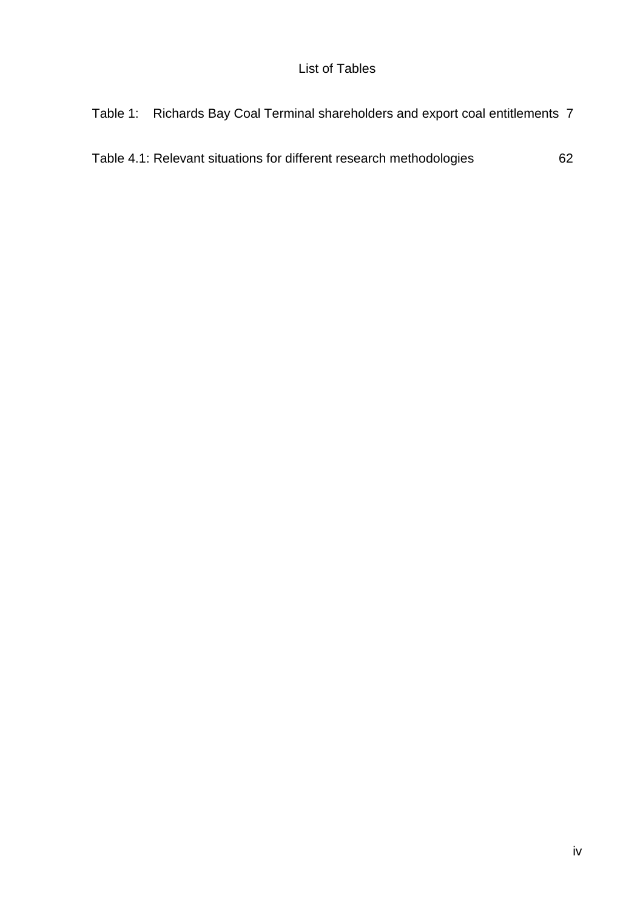Table 4.1: Relevant situations for different research methodologies 62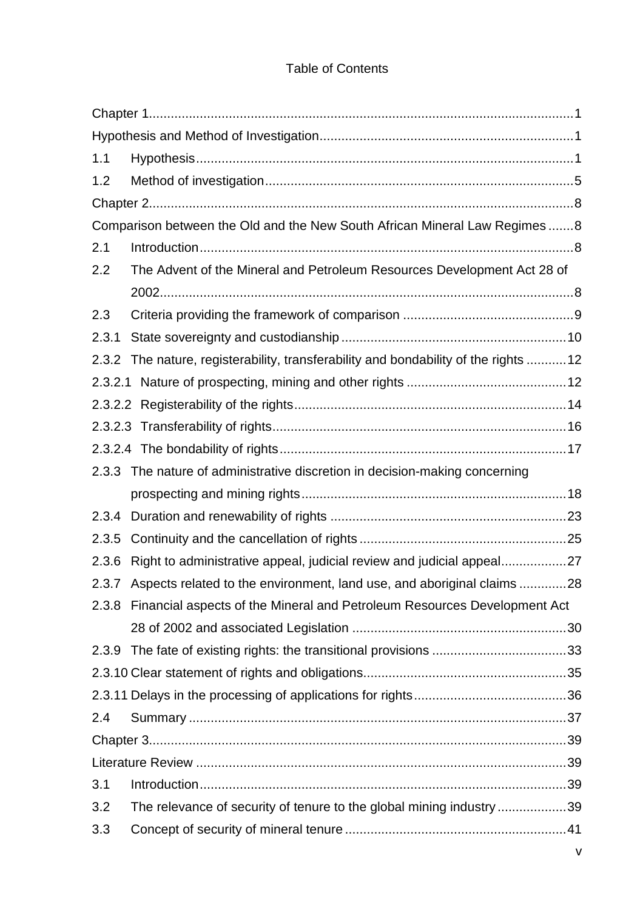# Table of Contents

| 1.1     |                                                                                     |  |  |
|---------|-------------------------------------------------------------------------------------|--|--|
| 1.2     |                                                                                     |  |  |
|         |                                                                                     |  |  |
|         | Comparison between the Old and the New South African Mineral Law Regimes8           |  |  |
| 2.1     |                                                                                     |  |  |
| 2.2     | The Advent of the Mineral and Petroleum Resources Development Act 28 of             |  |  |
|         |                                                                                     |  |  |
| 2.3     |                                                                                     |  |  |
| 2.3.1   |                                                                                     |  |  |
|         | 2.3.2 The nature, registerability, transferability and bondability of the rights 12 |  |  |
| 2.3.2.1 |                                                                                     |  |  |
|         |                                                                                     |  |  |
|         |                                                                                     |  |  |
|         |                                                                                     |  |  |
|         | 2.3.3 The nature of administrative discretion in decision-making concerning         |  |  |
|         |                                                                                     |  |  |
| 2.3.4   |                                                                                     |  |  |
| 2.3.5   |                                                                                     |  |  |
| 2.3.6   | Right to administrative appeal, judicial review and judicial appeal27               |  |  |
|         | 2.3.7 Aspects related to the environment, land use, and aboriginal claims 28        |  |  |
|         | 2.3.8 Financial aspects of the Mineral and Petroleum Resources Development Act      |  |  |
|         |                                                                                     |  |  |
|         |                                                                                     |  |  |
|         |                                                                                     |  |  |
|         |                                                                                     |  |  |
| 2.4     |                                                                                     |  |  |
|         |                                                                                     |  |  |
|         |                                                                                     |  |  |
| 3.1     |                                                                                     |  |  |
| 3.2     | The relevance of security of tenure to the global mining industry 39                |  |  |
| 3.3     |                                                                                     |  |  |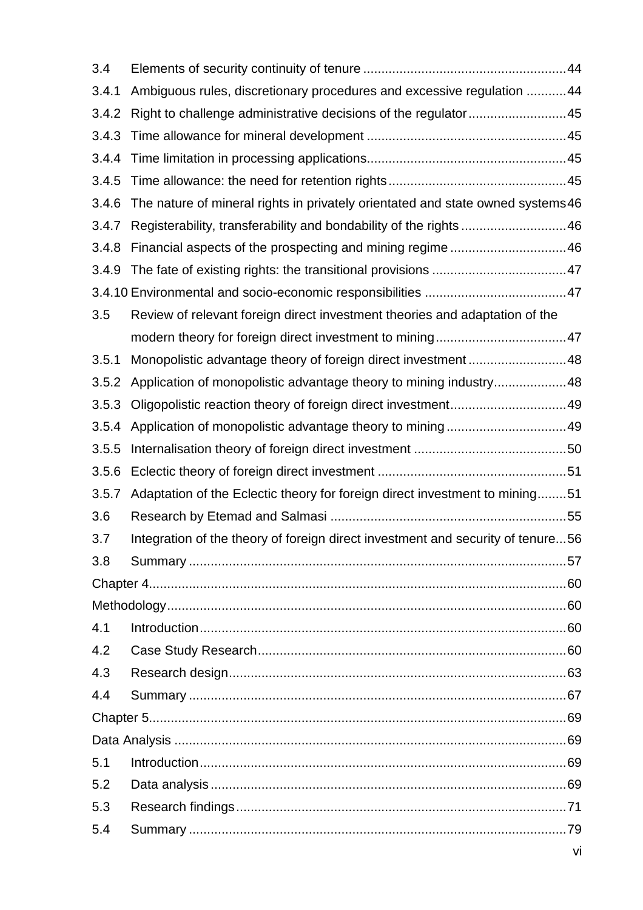| 3.4   |                                                                                 |  |  |  |  |
|-------|---------------------------------------------------------------------------------|--|--|--|--|
| 3.4.1 | Ambiguous rules, discretionary procedures and excessive regulation 44           |  |  |  |  |
| 3.4.2 | Right to challenge administrative decisions of the regulator45                  |  |  |  |  |
| 3.4.3 |                                                                                 |  |  |  |  |
| 3.4.4 |                                                                                 |  |  |  |  |
| 3.4.5 |                                                                                 |  |  |  |  |
| 3.4.6 | The nature of mineral rights in privately orientated and state owned systems 46 |  |  |  |  |
| 3.4.7 | Registerability, transferability and bondability of the rights46                |  |  |  |  |
| 3.4.8 | Financial aspects of the prospecting and mining regime 46                       |  |  |  |  |
| 3.4.9 |                                                                                 |  |  |  |  |
|       |                                                                                 |  |  |  |  |
| 3.5   | Review of relevant foreign direct investment theories and adaptation of the     |  |  |  |  |
|       |                                                                                 |  |  |  |  |
| 3.5.1 | Monopolistic advantage theory of foreign direct investment48                    |  |  |  |  |
| 3.5.2 | Application of monopolistic advantage theory to mining industry48               |  |  |  |  |
| 3.5.3 |                                                                                 |  |  |  |  |
| 3.5.4 |                                                                                 |  |  |  |  |
| 3.5.5 |                                                                                 |  |  |  |  |
| 3.5.6 |                                                                                 |  |  |  |  |
| 3.5.7 | Adaptation of the Eclectic theory for foreign direct investment to mining51     |  |  |  |  |
| 3.6   |                                                                                 |  |  |  |  |
| 3.7   | Integration of the theory of foreign direct investment and security of tenure56 |  |  |  |  |
| 3.8   |                                                                                 |  |  |  |  |
|       |                                                                                 |  |  |  |  |
|       |                                                                                 |  |  |  |  |
| 4.1   |                                                                                 |  |  |  |  |
| 4.2   |                                                                                 |  |  |  |  |
| 4.3   |                                                                                 |  |  |  |  |
| 4.4   |                                                                                 |  |  |  |  |
|       |                                                                                 |  |  |  |  |
|       |                                                                                 |  |  |  |  |
| 5.1   |                                                                                 |  |  |  |  |
| 5.2   |                                                                                 |  |  |  |  |
| 5.3   |                                                                                 |  |  |  |  |
| 5.4   |                                                                                 |  |  |  |  |
|       |                                                                                 |  |  |  |  |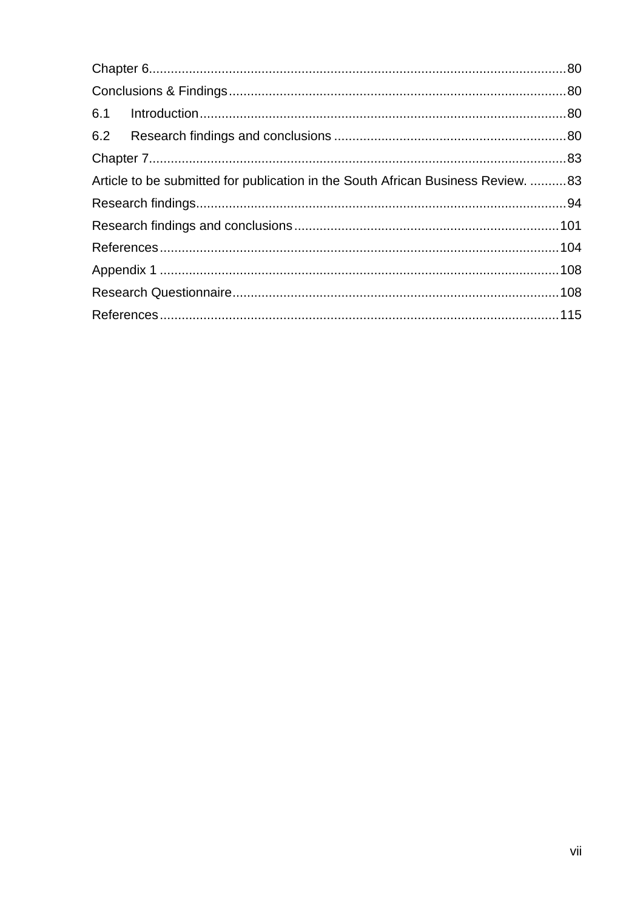| Article to be submitted for publication in the South African Business Review. 83 |  |  |  |
|----------------------------------------------------------------------------------|--|--|--|
|                                                                                  |  |  |  |
|                                                                                  |  |  |  |
|                                                                                  |  |  |  |
|                                                                                  |  |  |  |
|                                                                                  |  |  |  |
|                                                                                  |  |  |  |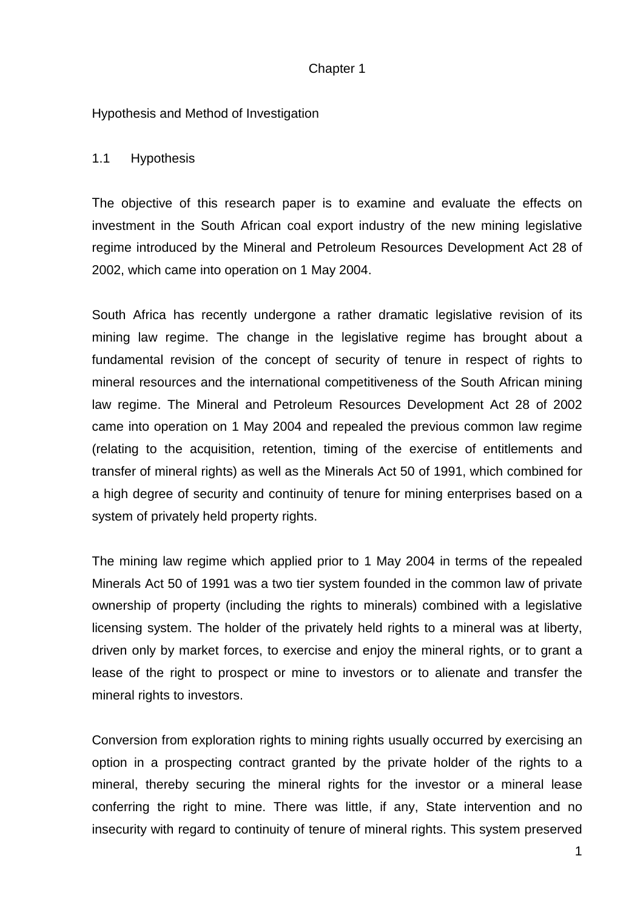# Chapter 1

Hypothesis and Method of Investigation

### 1.1 Hypothesis

The objective of this research paper is to examine and evaluate the effects on investment in the South African coal export industry of the new mining legislative regime introduced by the Mineral and Petroleum Resources Development Act 28 of 2002, which came into operation on 1 May 2004.

South Africa has recently undergone a rather dramatic legislative revision of its mining law regime. The change in the legislative regime has brought about a fundamental revision of the concept of security of tenure in respect of rights to mineral resources and the international competitiveness of the South African mining law regime. The Mineral and Petroleum Resources Development Act 28 of 2002 came into operation on 1 May 2004 and repealed the previous common law regime (relating to the acquisition, retention, timing of the exercise of entitlements and transfer of mineral rights) as well as the Minerals Act 50 of 1991, which combined for a high degree of security and continuity of tenure for mining enterprises based on a system of privately held property rights.

The mining law regime which applied prior to 1 May 2004 in terms of the repealed Minerals Act 50 of 1991 was a two tier system founded in the common law of private ownership of property (including the rights to minerals) combined with a legislative licensing system. The holder of the privately held rights to a mineral was at liberty, driven only by market forces, to exercise and enjoy the mineral rights, or to grant a lease of the right to prospect or mine to investors or to alienate and transfer the mineral rights to investors.

Conversion from exploration rights to mining rights usually occurred by exercising an option in a prospecting contract granted by the private holder of the rights to a mineral, thereby securing the mineral rights for the investor or a mineral lease conferring the right to mine. There was little, if any, State intervention and no insecurity with regard to continuity of tenure of mineral rights. This system preserved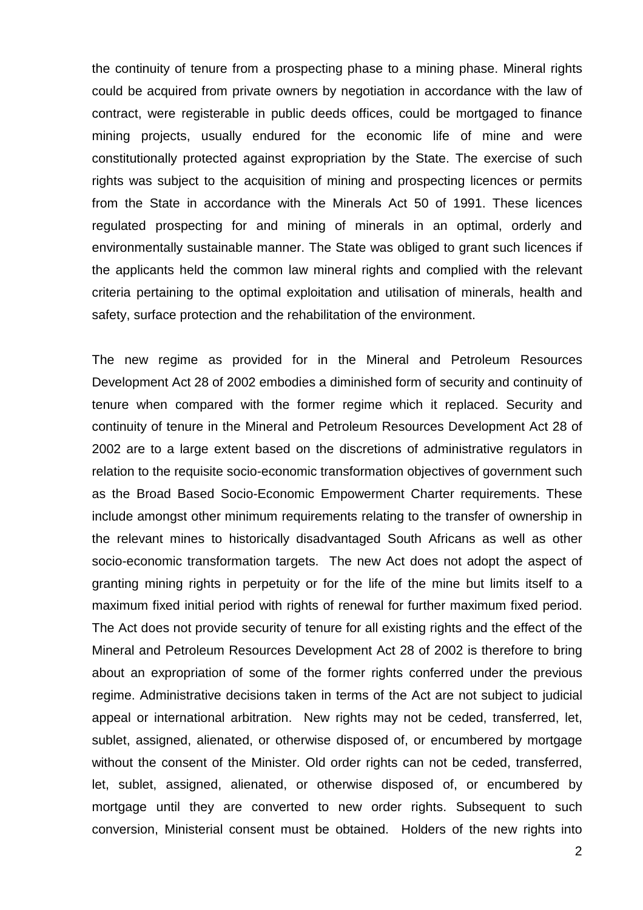the continuity of tenure from a prospecting phase to a mining phase. Mineral rights could be acquired from private owners by negotiation in accordance with the law of contract, were registerable in public deeds offices, could be mortgaged to finance mining projects, usually endured for the economic life of mine and were constitutionally protected against expropriation by the State. The exercise of such rights was subject to the acquisition of mining and prospecting licences or permits from the State in accordance with the Minerals Act 50 of 1991. These licences regulated prospecting for and mining of minerals in an optimal, orderly and environmentally sustainable manner. The State was obliged to grant such licences if the applicants held the common law mineral rights and complied with the relevant criteria pertaining to the optimal exploitation and utilisation of minerals, health and safety, surface protection and the rehabilitation of the environment.

The new regime as provided for in the Mineral and Petroleum Resources Development Act 28 of 2002 embodies a diminished form of security and continuity of tenure when compared with the former regime which it replaced. Security and continuity of tenure in the Mineral and Petroleum Resources Development Act 28 of 2002 are to a large extent based on the discretions of administrative regulators in relation to the requisite socio-economic transformation objectives of government such as the Broad Based Socio-Economic Empowerment Charter requirements. These include amongst other minimum requirements relating to the transfer of ownership in the relevant mines to historically disadvantaged South Africans as well as other socio-economic transformation targets. The new Act does not adopt the aspect of granting mining rights in perpetuity or for the life of the mine but limits itself to a maximum fixed initial period with rights of renewal for further maximum fixed period. The Act does not provide security of tenure for all existing rights and the effect of the Mineral and Petroleum Resources Development Act 28 of 2002 is therefore to bring about an expropriation of some of the former rights conferred under the previous regime. Administrative decisions taken in terms of the Act are not subject to judicial appeal or international arbitration. New rights may not be ceded, transferred, let, sublet, assigned, alienated, or otherwise disposed of, or encumbered by mortgage without the consent of the Minister. Old order rights can not be ceded, transferred, let, sublet, assigned, alienated, or otherwise disposed of, or encumbered by mortgage until they are converted to new order rights. Subsequent to such conversion, Ministerial consent must be obtained. Holders of the new rights into

2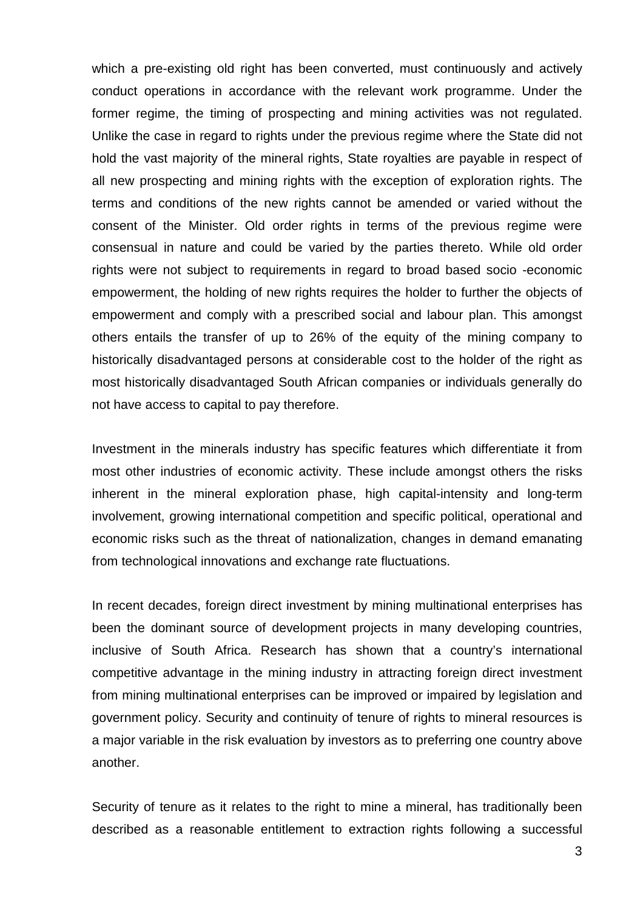which a pre-existing old right has been converted, must continuously and actively conduct operations in accordance with the relevant work programme. Under the former regime, the timing of prospecting and mining activities was not regulated. Unlike the case in regard to rights under the previous regime where the State did not hold the vast majority of the mineral rights, State royalties are payable in respect of all new prospecting and mining rights with the exception of exploration rights. The terms and conditions of the new rights cannot be amended or varied without the consent of the Minister. Old order rights in terms of the previous regime were consensual in nature and could be varied by the parties thereto. While old order rights were not subject to requirements in regard to broad based socio -economic empowerment, the holding of new rights requires the holder to further the objects of empowerment and comply with a prescribed social and labour plan. This amongst others entails the transfer of up to 26% of the equity of the mining company to historically disadvantaged persons at considerable cost to the holder of the right as most historically disadvantaged South African companies or individuals generally do not have access to capital to pay therefore.

Investment in the minerals industry has specific features which differentiate it from most other industries of economic activity. These include amongst others the risks inherent in the mineral exploration phase, high capital-intensity and long-term involvement, growing international competition and specific political, operational and economic risks such as the threat of nationalization, changes in demand emanating from technological innovations and exchange rate fluctuations.

In recent decades, foreign direct investment by mining multinational enterprises has been the dominant source of development projects in many developing countries, inclusive of South Africa. Research has shown that a country's international competitive advantage in the mining industry in attracting foreign direct investment from mining multinational enterprises can be improved or impaired by legislation and government policy. Security and continuity of tenure of rights to mineral resources is a major variable in the risk evaluation by investors as to preferring one country above another.

Security of tenure as it relates to the right to mine a mineral, has traditionally been described as a reasonable entitlement to extraction rights following a successful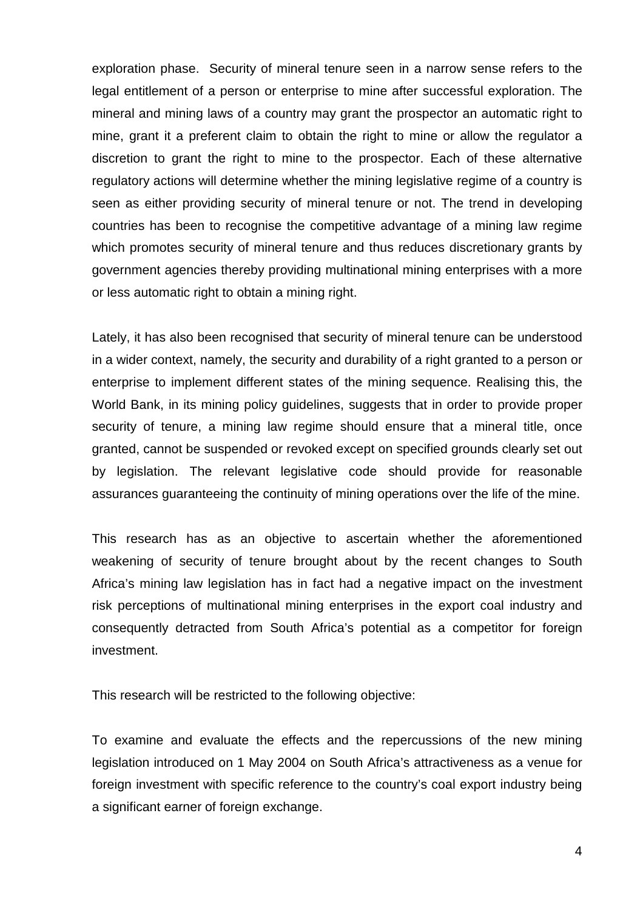exploration phase. Security of mineral tenure seen in a narrow sense refers to the legal entitlement of a person or enterprise to mine after successful exploration. The mineral and mining laws of a country may grant the prospector an automatic right to mine, grant it a preferent claim to obtain the right to mine or allow the regulator a discretion to grant the right to mine to the prospector. Each of these alternative regulatory actions will determine whether the mining legislative regime of a country is seen as either providing security of mineral tenure or not. The trend in developing countries has been to recognise the competitive advantage of a mining law regime which promotes security of mineral tenure and thus reduces discretionary grants by government agencies thereby providing multinational mining enterprises with a more or less automatic right to obtain a mining right.

Lately, it has also been recognised that security of mineral tenure can be understood in a wider context, namely, the security and durability of a right granted to a person or enterprise to implement different states of the mining sequence. Realising this, the World Bank, in its mining policy guidelines, suggests that in order to provide proper security of tenure, a mining law regime should ensure that a mineral title, once granted, cannot be suspended or revoked except on specified grounds clearly set out by legislation. The relevant legislative code should provide for reasonable assurances guaranteeing the continuity of mining operations over the life of the mine.

This research has as an objective to ascertain whether the aforementioned weakening of security of tenure brought about by the recent changes to South Africa's mining law legislation has in fact had a negative impact on the investment risk perceptions of multinational mining enterprises in the export coal industry and consequently detracted from South Africa's potential as a competitor for foreign investment.

This research will be restricted to the following objective:

To examine and evaluate the effects and the repercussions of the new mining legislation introduced on 1 May 2004 on South Africa's attractiveness as a venue for foreign investment with specific reference to the country's coal export industry being a significant earner of foreign exchange.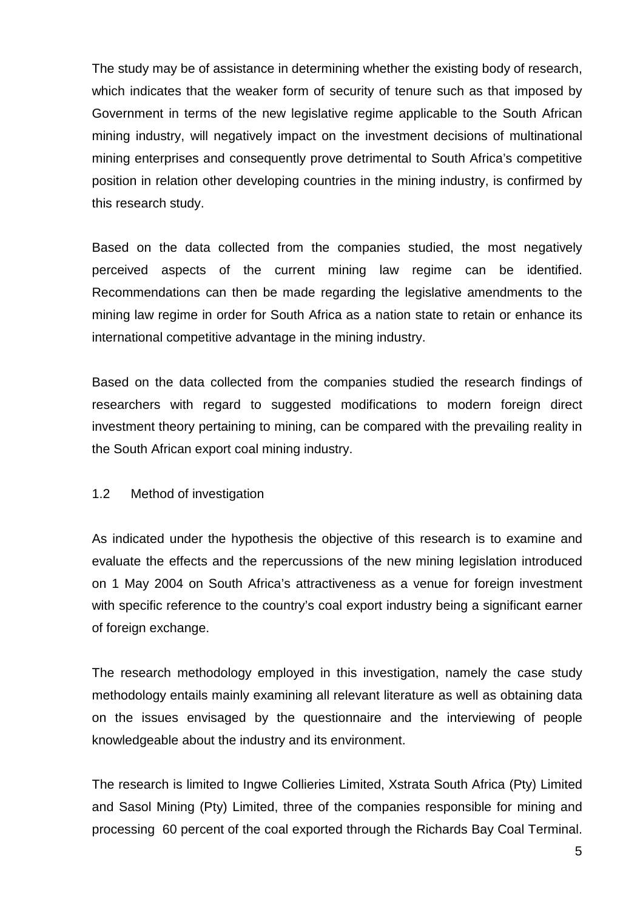The study may be of assistance in determining whether the existing body of research, which indicates that the weaker form of security of tenure such as that imposed by Government in terms of the new legislative regime applicable to the South African mining industry, will negatively impact on the investment decisions of multinational mining enterprises and consequently prove detrimental to South Africa's competitive position in relation other developing countries in the mining industry, is confirmed by this research study.

Based on the data collected from the companies studied, the most negatively perceived aspects of the current mining law regime can be identified. Recommendations can then be made regarding the legislative amendments to the mining law regime in order for South Africa as a nation state to retain or enhance its international competitive advantage in the mining industry.

Based on the data collected from the companies studied the research findings of researchers with regard to suggested modifications to modern foreign direct investment theory pertaining to mining, can be compared with the prevailing reality in the South African export coal mining industry.

#### 1.2 Method of investigation

As indicated under the hypothesis the objective of this research is to examine and evaluate the effects and the repercussions of the new mining legislation introduced on 1 May 2004 on South Africa's attractiveness as a venue for foreign investment with specific reference to the country's coal export industry being a significant earner of foreign exchange.

The research methodology employed in this investigation, namely the case study methodology entails mainly examining all relevant literature as well as obtaining data on the issues envisaged by the questionnaire and the interviewing of people knowledgeable about the industry and its environment.

The research is limited to Ingwe Collieries Limited, Xstrata South Africa (Pty) Limited and Sasol Mining (Pty) Limited, three of the companies responsible for mining and processing 60 percent of the coal exported through the Richards Bay Coal Terminal.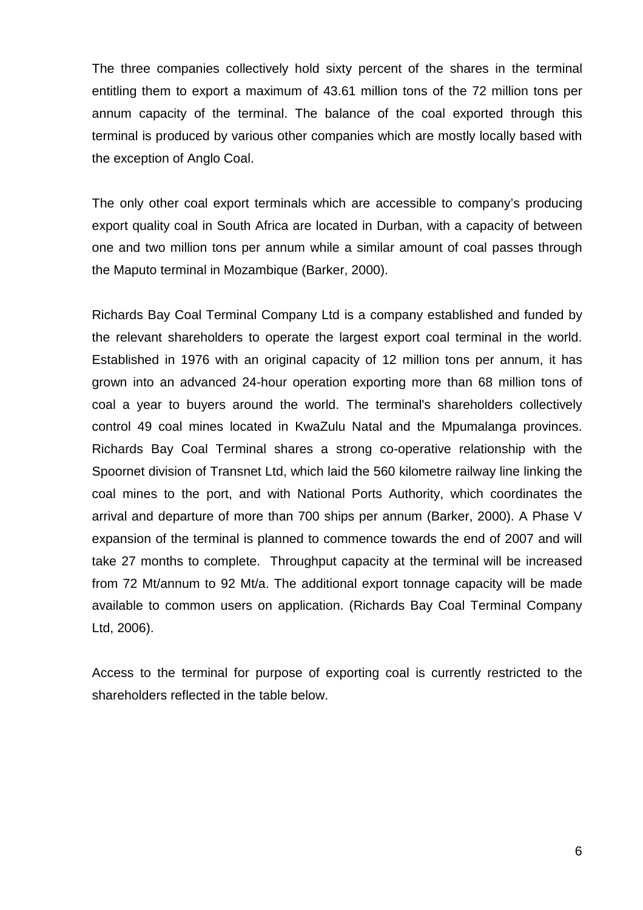The three companies collectively hold sixty percent of the shares in the terminal entitling them to export a maximum of 43.61 million tons of the 72 million tons per annum capacity of the terminal. The balance of the coal exported through this terminal is produced by various other companies which are mostly locally based with the exception of Anglo Coal.

The only other coal export terminals which are accessible to company's producing export quality coal in South Africa are located in Durban, with a capacity of between one and two million tons per annum while a similar amount of coal passes through the Maputo terminal in Mozambique (Barker, 2000).

Richards Bay Coal Terminal Company Ltd is a company established and funded by the relevant shareholders to operate the largest export coal terminal in the world. Established in 1976 with an original capacity of 12 million tons per annum, it has grown into an advanced 24-hour operation exporting more than 68 million tons of coal a year to buyers around the world. The terminal's shareholders collectively control 49 coal mines located in KwaZulu Natal and the Mpumalanga provinces. Richards Bay Coal Terminal shares a strong co-operative relationship with the Spoornet division of Transnet Ltd, which laid the 560 kilometre railway line linking the coal mines to the port, and with National Ports Authority, which coordinates the arrival and departure of more than 700 ships per annum (Barker, 2000). A Phase V expansion of the terminal is planned to commence towards the end of 2007 and will take 27 months to complete. Throughput capacity at the terminal will be increased from 72 Mt/annum to 92 Mt/a. The additional export tonnage capacity will be made available to common users on application. (Richards Bay Coal Terminal Company Ltd, 2006).

Access to the terminal for purpose of exporting coal is currently restricted to the shareholders reflected in the table below.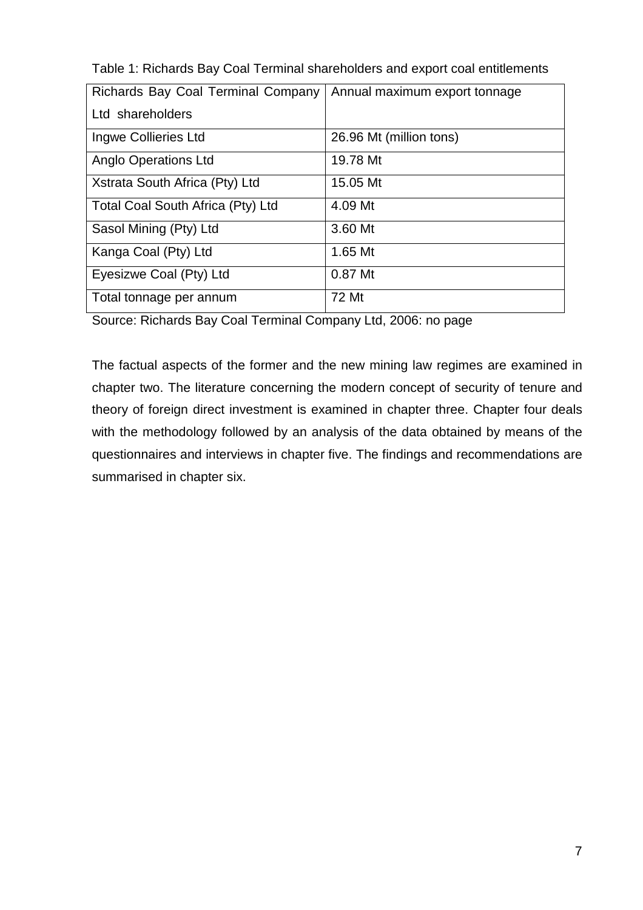| Richards Bay Coal Terminal Company | Annual maximum export tonnage |
|------------------------------------|-------------------------------|
| Ltd shareholders                   |                               |
| Ingwe Collieries Ltd               | 26.96 Mt (million tons)       |
| <b>Anglo Operations Ltd</b>        | 19.78 Mt                      |
| Xstrata South Africa (Pty) Ltd     | 15.05 Mt                      |
| Total Coal South Africa (Pty) Ltd  | 4.09 Mt                       |
| Sasol Mining (Pty) Ltd             | 3.60 Mt                       |
| Kanga Coal (Pty) Ltd               | 1.65 Mt                       |
| Eyesizwe Coal (Pty) Ltd            | 0.87 Mt                       |
| Total tonnage per annum            | 72 Mt                         |

Table 1: Richards Bay Coal Terminal shareholders and export coal entitlements

Source: Richards Bay Coal Terminal Company Ltd, 2006: no page

The factual aspects of the former and the new mining law regimes are examined in chapter two. The literature concerning the modern concept of security of tenure and theory of foreign direct investment is examined in chapter three. Chapter four deals with the methodology followed by an analysis of the data obtained by means of the questionnaires and interviews in chapter five. The findings and recommendations are summarised in chapter six.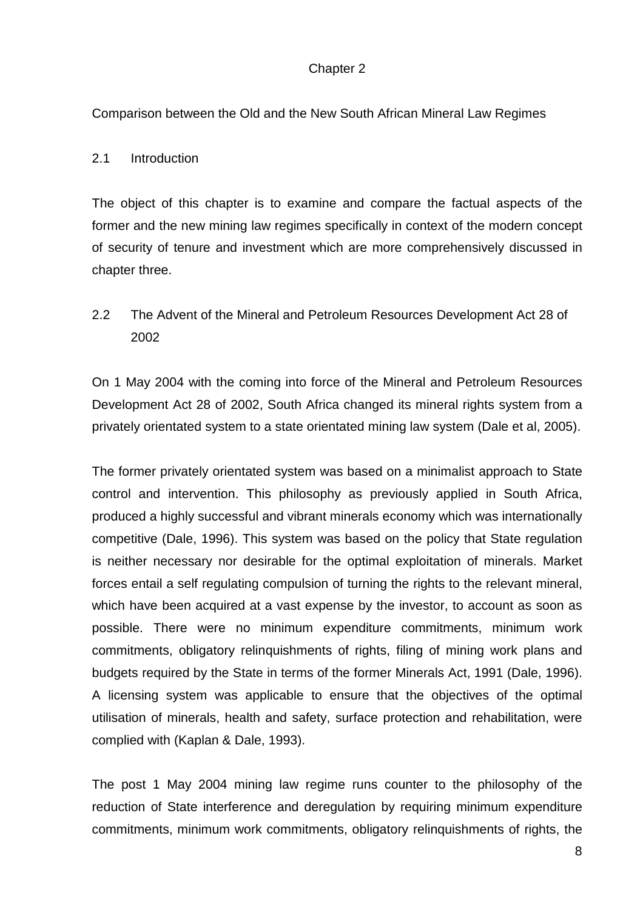# Chapter 2

Comparison between the Old and the New South African Mineral Law Regimes

# 2.1 Introduction

The object of this chapter is to examine and compare the factual aspects of the former and the new mining law regimes specifically in context of the modern concept of security of tenure and investment which are more comprehensively discussed in chapter three.

2.2 The Advent of the Mineral and Petroleum Resources Development Act 28 of 2002

On 1 May 2004 with the coming into force of the Mineral and Petroleum Resources Development Act 28 of 2002, South Africa changed its mineral rights system from a privately orientated system to a state orientated mining law system (Dale et al, 2005).

The former privately orientated system was based on a minimalist approach to State control and intervention. This philosophy as previously applied in South Africa, produced a highly successful and vibrant minerals economy which was internationally competitive (Dale, 1996). This system was based on the policy that State regulation is neither necessary nor desirable for the optimal exploitation of minerals. Market forces entail a self regulating compulsion of turning the rights to the relevant mineral, which have been acquired at a vast expense by the investor, to account as soon as possible. There were no minimum expenditure commitments, minimum work commitments, obligatory relinquishments of rights, filing of mining work plans and budgets required by the State in terms of the former Minerals Act, 1991 (Dale, 1996). A licensing system was applicable to ensure that the objectives of the optimal utilisation of minerals, health and safety, surface protection and rehabilitation, were complied with (Kaplan & Dale, 1993).

The post 1 May 2004 mining law regime runs counter to the philosophy of the reduction of State interference and deregulation by requiring minimum expenditure commitments, minimum work commitments, obligatory relinquishments of rights, the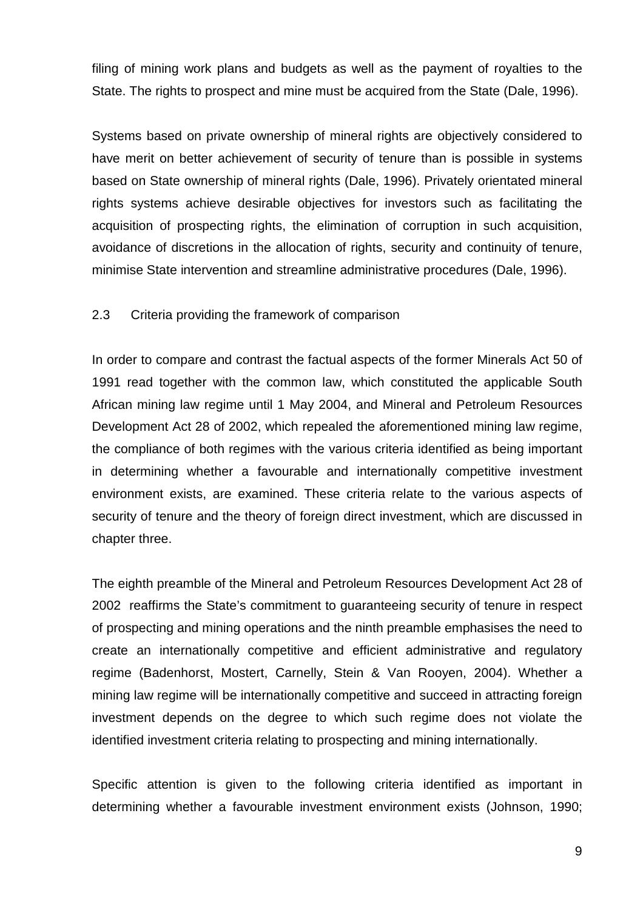filing of mining work plans and budgets as well as the payment of royalties to the State. The rights to prospect and mine must be acquired from the State (Dale, 1996).

Systems based on private ownership of mineral rights are objectively considered to have merit on better achievement of security of tenure than is possible in systems based on State ownership of mineral rights (Dale, 1996). Privately orientated mineral rights systems achieve desirable objectives for investors such as facilitating the acquisition of prospecting rights, the elimination of corruption in such acquisition, avoidance of discretions in the allocation of rights, security and continuity of tenure, minimise State intervention and streamline administrative procedures (Dale, 1996).

#### 2.3 Criteria providing the framework of comparison

In order to compare and contrast the factual aspects of the former Minerals Act 50 of 1991 read together with the common law, which constituted the applicable South African mining law regime until 1 May 2004, and Mineral and Petroleum Resources Development Act 28 of 2002, which repealed the aforementioned mining law regime, the compliance of both regimes with the various criteria identified as being important in determining whether a favourable and internationally competitive investment environment exists, are examined. These criteria relate to the various aspects of security of tenure and the theory of foreign direct investment, which are discussed in chapter three.

The eighth preamble of the Mineral and Petroleum Resources Development Act 28 of 2002 reaffirms the State's commitment to guaranteeing security of tenure in respect of prospecting and mining operations and the ninth preamble emphasises the need to create an internationally competitive and efficient administrative and regulatory regime (Badenhorst, Mostert, Carnelly, Stein & Van Rooyen, 2004). Whether a mining law regime will be internationally competitive and succeed in attracting foreign investment depends on the degree to which such regime does not violate the identified investment criteria relating to prospecting and mining internationally.

Specific attention is given to the following criteria identified as important in determining whether a favourable investment environment exists (Johnson, 1990;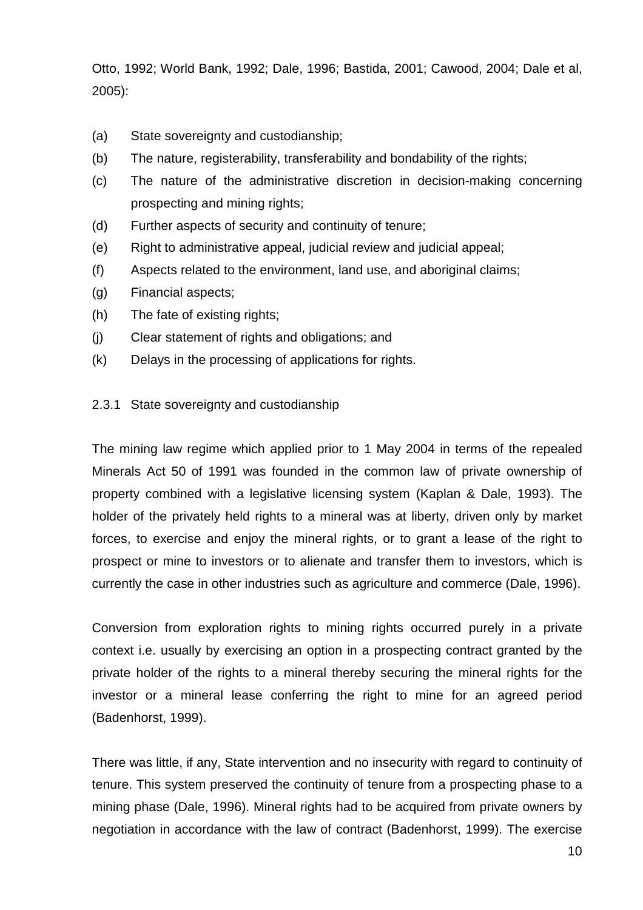Otto, 1992; World Bank, 1992; Dale, 1996; Bastida, 2001; Cawood, 2004; Dale et al, 2005):

- (a) State sovereignty and custodianship;
- (b) The nature, registerability, transferability and bondability of the rights;
- (c) The nature of the administrative discretion in decision-making concerning prospecting and mining rights;
- (d) Further aspects of security and continuity of tenure;
- (e) Right to administrative appeal, judicial review and judicial appeal;
- (f) Aspects related to the environment, land use, and aboriginal claims;
- (g) Financial aspects;
- (h) The fate of existing rights;
- (j) Clear statement of rights and obligations; and
- (k) Delays in the processing of applications for rights.

#### 2.3.1 State sovereignty and custodianship

The mining law regime which applied prior to 1 May 2004 in terms of the repealed Minerals Act 50 of 1991 was founded in the common law of private ownership of property combined with a legislative licensing system (Kaplan & Dale, 1993). The holder of the privately held rights to a mineral was at liberty, driven only by market forces, to exercise and enjoy the mineral rights, or to grant a lease of the right to prospect or mine to investors or to alienate and transfer them to investors, which is currently the case in other industries such as agriculture and commerce (Dale, 1996).

Conversion from exploration rights to mining rights occurred purely in a private context i.e. usually by exercising an option in a prospecting contract granted by the private holder of the rights to a mineral thereby securing the mineral rights for the investor or a mineral lease conferring the right to mine for an agreed period (Badenhorst, 1999).

There was little, if any, State intervention and no insecurity with regard to continuity of tenure. This system preserved the continuity of tenure from a prospecting phase to a mining phase (Dale, 1996). Mineral rights had to be acquired from private owners by negotiation in accordance with the law of contract (Badenhorst, 1999). The exercise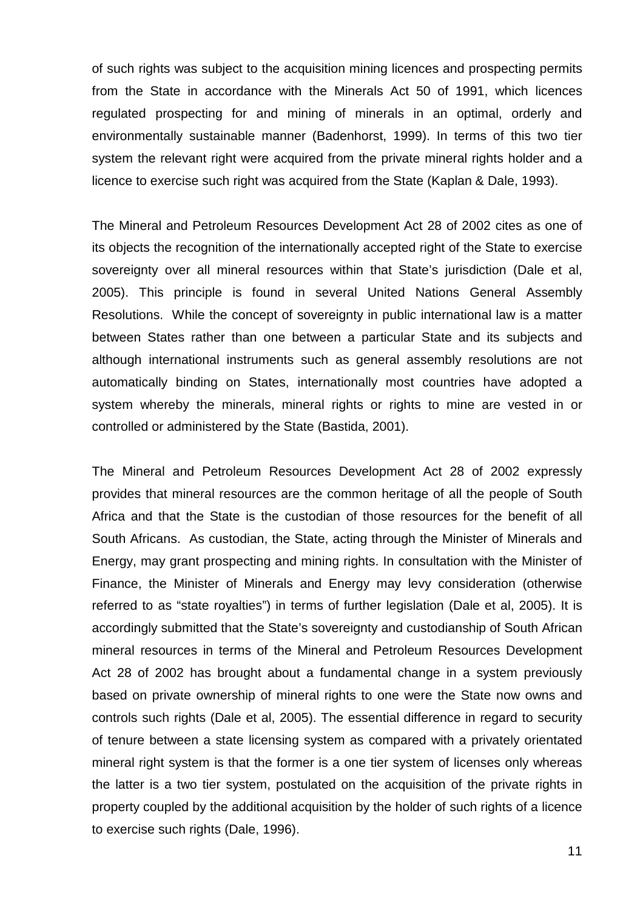of such rights was subject to the acquisition mining licences and prospecting permits from the State in accordance with the Minerals Act 50 of 1991, which licences regulated prospecting for and mining of minerals in an optimal, orderly and environmentally sustainable manner (Badenhorst, 1999). In terms of this two tier system the relevant right were acquired from the private mineral rights holder and a licence to exercise such right was acquired from the State (Kaplan & Dale, 1993).

The Mineral and Petroleum Resources Development Act 28 of 2002 cites as one of its objects the recognition of the internationally accepted right of the State to exercise sovereignty over all mineral resources within that State's jurisdiction (Dale et al, 2005). This principle is found in several United Nations General Assembly Resolutions. While the concept of sovereignty in public international law is a matter between States rather than one between a particular State and its subjects and although international instruments such as general assembly resolutions are not automatically binding on States, internationally most countries have adopted a system whereby the minerals, mineral rights or rights to mine are vested in or controlled or administered by the State (Bastida, 2001).

The Mineral and Petroleum Resources Development Act 28 of 2002 expressly provides that mineral resources are the common heritage of all the people of South Africa and that the State is the custodian of those resources for the benefit of all South Africans. As custodian, the State, acting through the Minister of Minerals and Energy, may grant prospecting and mining rights. In consultation with the Minister of Finance, the Minister of Minerals and Energy may levy consideration (otherwise referred to as "state royalties") in terms of further legislation (Dale et al, 2005). It is accordingly submitted that the State's sovereignty and custodianship of South African mineral resources in terms of the Mineral and Petroleum Resources Development Act 28 of 2002 has brought about a fundamental change in a system previously based on private ownership of mineral rights to one were the State now owns and controls such rights (Dale et al, 2005). The essential difference in regard to security of tenure between a state licensing system as compared with a privately orientated mineral right system is that the former is a one tier system of licenses only whereas the latter is a two tier system, postulated on the acquisition of the private rights in property coupled by the additional acquisition by the holder of such rights of a licence to exercise such rights (Dale, 1996).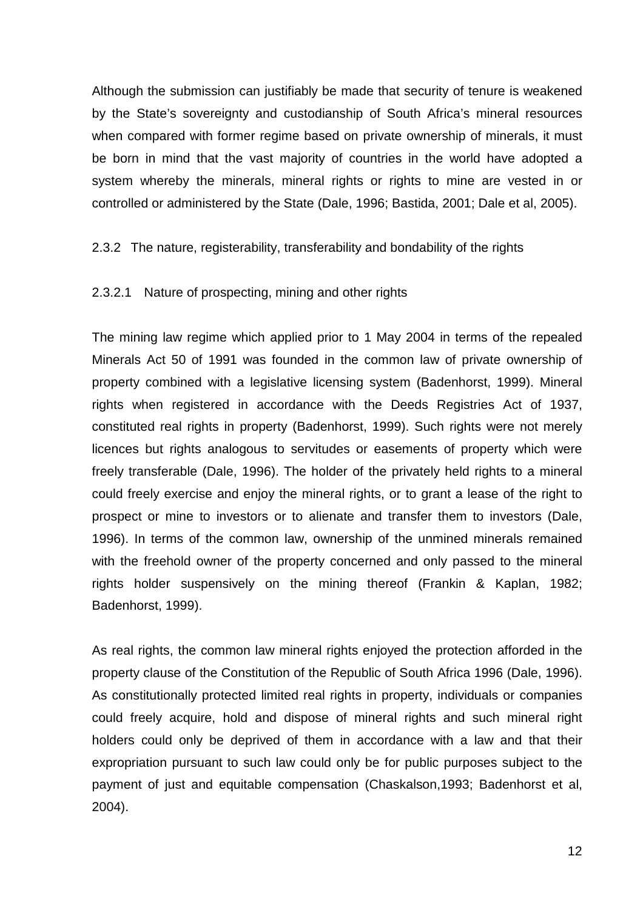Although the submission can justifiably be made that security of tenure is weakened by the State's sovereignty and custodianship of South Africa's mineral resources when compared with former regime based on private ownership of minerals, it must be born in mind that the vast majority of countries in the world have adopted a system whereby the minerals, mineral rights or rights to mine are vested in or controlled or administered by the State (Dale, 1996; Bastida, 2001; Dale et al, 2005).

# 2.3.2 The nature, registerability, transferability and bondability of the rights

#### 2.3.2.1 Nature of prospecting, mining and other rights

The mining law regime which applied prior to 1 May 2004 in terms of the repealed Minerals Act 50 of 1991 was founded in the common law of private ownership of property combined with a legislative licensing system (Badenhorst, 1999). Mineral rights when registered in accordance with the Deeds Registries Act of 1937, constituted real rights in property (Badenhorst, 1999). Such rights were not merely licences but rights analogous to servitudes or easements of property which were freely transferable (Dale, 1996). The holder of the privately held rights to a mineral could freely exercise and enjoy the mineral rights, or to grant a lease of the right to prospect or mine to investors or to alienate and transfer them to investors (Dale, 1996). In terms of the common law, ownership of the unmined minerals remained with the freehold owner of the property concerned and only passed to the mineral rights holder suspensively on the mining thereof (Frankin & Kaplan, 1982; Badenhorst, 1999).

As real rights, the common law mineral rights enjoyed the protection afforded in the property clause of the Constitution of the Republic of South Africa 1996 (Dale, 1996). As constitutionally protected limited real rights in property, individuals or companies could freely acquire, hold and dispose of mineral rights and such mineral right holders could only be deprived of them in accordance with a law and that their expropriation pursuant to such law could only be for public purposes subject to the payment of just and equitable compensation (Chaskalson,1993; Badenhorst et al, 2004).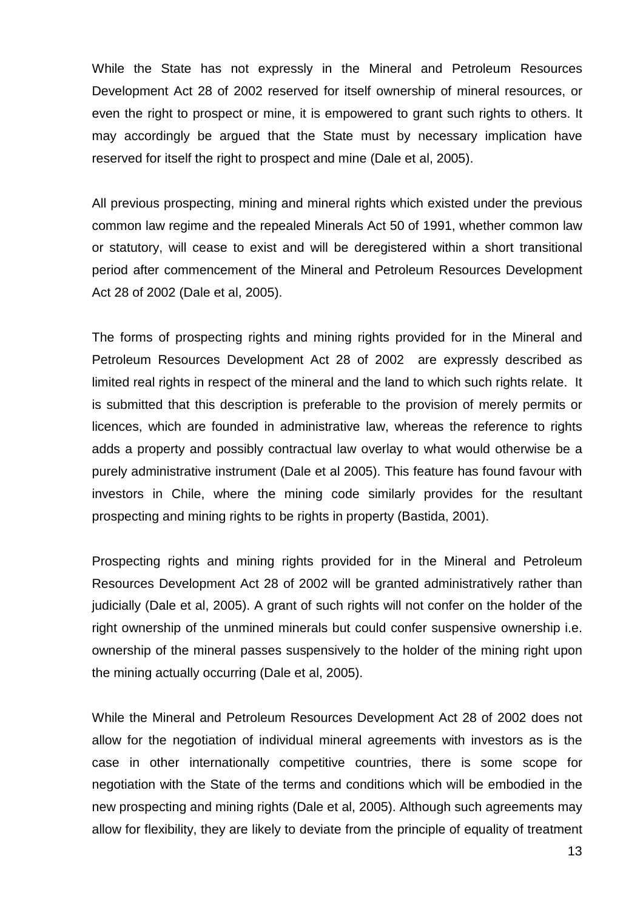While the State has not expressly in the Mineral and Petroleum Resources Development Act 28 of 2002 reserved for itself ownership of mineral resources, or even the right to prospect or mine, it is empowered to grant such rights to others. It may accordingly be argued that the State must by necessary implication have reserved for itself the right to prospect and mine (Dale et al, 2005).

All previous prospecting, mining and mineral rights which existed under the previous common law regime and the repealed Minerals Act 50 of 1991, whether common law or statutory, will cease to exist and will be deregistered within a short transitional period after commencement of the Mineral and Petroleum Resources Development Act 28 of 2002 (Dale et al, 2005).

The forms of prospecting rights and mining rights provided for in the Mineral and Petroleum Resources Development Act 28 of 2002 are expressly described as limited real rights in respect of the mineral and the land to which such rights relate. It is submitted that this description is preferable to the provision of merely permits or licences, which are founded in administrative law, whereas the reference to rights adds a property and possibly contractual law overlay to what would otherwise be a purely administrative instrument (Dale et al 2005). This feature has found favour with investors in Chile, where the mining code similarly provides for the resultant prospecting and mining rights to be rights in property (Bastida, 2001).

Prospecting rights and mining rights provided for in the Mineral and Petroleum Resources Development Act 28 of 2002 will be granted administratively rather than judicially (Dale et al, 2005). A grant of such rights will not confer on the holder of the right ownership of the unmined minerals but could confer suspensive ownership i.e. ownership of the mineral passes suspensively to the holder of the mining right upon the mining actually occurring (Dale et al, 2005).

While the Mineral and Petroleum Resources Development Act 28 of 2002 does not allow for the negotiation of individual mineral agreements with investors as is the case in other internationally competitive countries, there is some scope for negotiation with the State of the terms and conditions which will be embodied in the new prospecting and mining rights (Dale et al, 2005). Although such agreements may allow for flexibility, they are likely to deviate from the principle of equality of treatment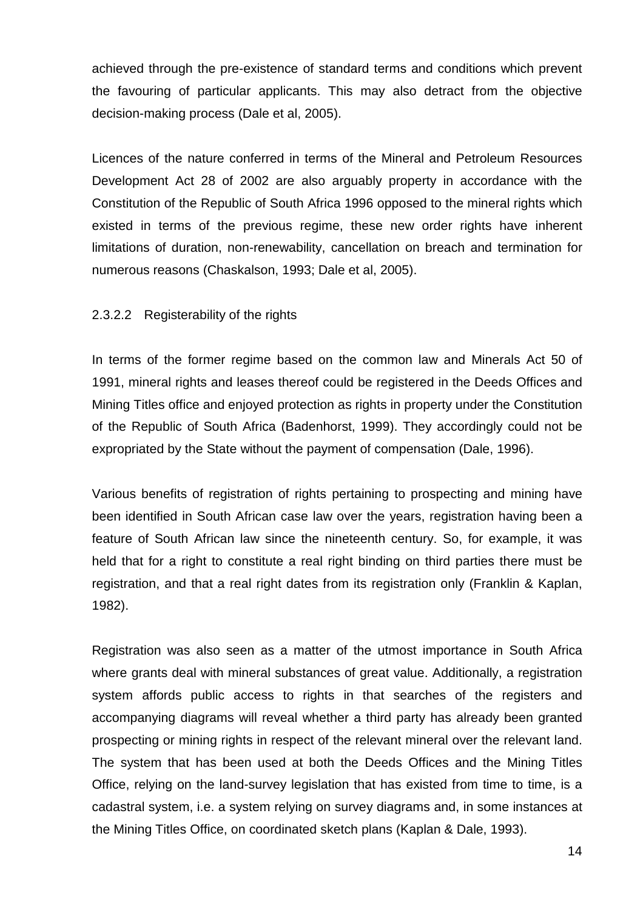achieved through the pre-existence of standard terms and conditions which prevent the favouring of particular applicants. This may also detract from the objective decision-making process (Dale et al, 2005).

Licences of the nature conferred in terms of the Mineral and Petroleum Resources Development Act 28 of 2002 are also arguably property in accordance with the Constitution of the Republic of South Africa 1996 opposed to the mineral rights which existed in terms of the previous regime, these new order rights have inherent limitations of duration, non-renewability, cancellation on breach and termination for numerous reasons (Chaskalson, 1993; Dale et al, 2005).

#### 2.3.2.2 Registerability of the rights

In terms of the former regime based on the common law and Minerals Act 50 of 1991, mineral rights and leases thereof could be registered in the Deeds Offices and Mining Titles office and enjoyed protection as rights in property under the Constitution of the Republic of South Africa (Badenhorst, 1999). They accordingly could not be expropriated by the State without the payment of compensation (Dale, 1996).

Various benefits of registration of rights pertaining to prospecting and mining have been identified in South African case law over the years, registration having been a feature of South African law since the nineteenth century. So, for example, it was held that for a right to constitute a real right binding on third parties there must be registration, and that a real right dates from its registration only (Franklin & Kaplan, 1982).

Registration was also seen as a matter of the utmost importance in South Africa where grants deal with mineral substances of great value. Additionally, a registration system affords public access to rights in that searches of the registers and accompanying diagrams will reveal whether a third party has already been granted prospecting or mining rights in respect of the relevant mineral over the relevant land. The system that has been used at both the Deeds Offices and the Mining Titles Office, relying on the land-survey legislation that has existed from time to time, is a cadastral system, i.e. a system relying on survey diagrams and, in some instances at the Mining Titles Office, on coordinated sketch plans (Kaplan & Dale, 1993).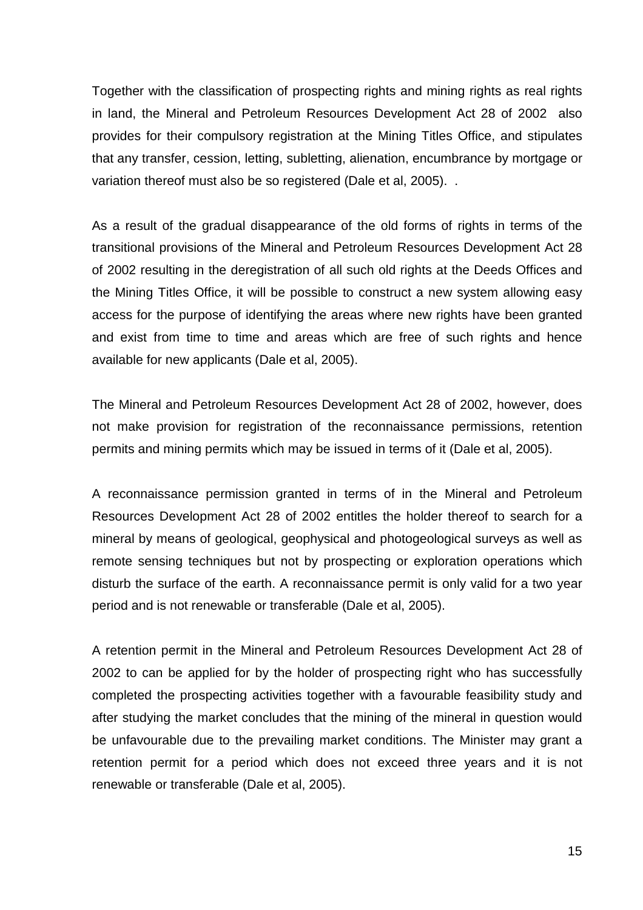Together with the classification of prospecting rights and mining rights as real rights in land, the Mineral and Petroleum Resources Development Act 28 of 2002 also provides for their compulsory registration at the Mining Titles Office, and stipulates that any transfer, cession, letting, subletting, alienation, encumbrance by mortgage or variation thereof must also be so registered (Dale et al, 2005). .

As a result of the gradual disappearance of the old forms of rights in terms of the transitional provisions of the Mineral and Petroleum Resources Development Act 28 of 2002 resulting in the deregistration of all such old rights at the Deeds Offices and the Mining Titles Office, it will be possible to construct a new system allowing easy access for the purpose of identifying the areas where new rights have been granted and exist from time to time and areas which are free of such rights and hence available for new applicants (Dale et al, 2005).

The Mineral and Petroleum Resources Development Act 28 of 2002, however, does not make provision for registration of the reconnaissance permissions, retention permits and mining permits which may be issued in terms of it (Dale et al, 2005).

A reconnaissance permission granted in terms of in the Mineral and Petroleum Resources Development Act 28 of 2002 entitles the holder thereof to search for a mineral by means of geological, geophysical and photogeological surveys as well as remote sensing techniques but not by prospecting or exploration operations which disturb the surface of the earth. A reconnaissance permit is only valid for a two year period and is not renewable or transferable (Dale et al, 2005).

A retention permit in the Mineral and Petroleum Resources Development Act 28 of 2002 to can be applied for by the holder of prospecting right who has successfully completed the prospecting activities together with a favourable feasibility study and after studying the market concludes that the mining of the mineral in question would be unfavourable due to the prevailing market conditions. The Minister may grant a retention permit for a period which does not exceed three years and it is not renewable or transferable (Dale et al, 2005).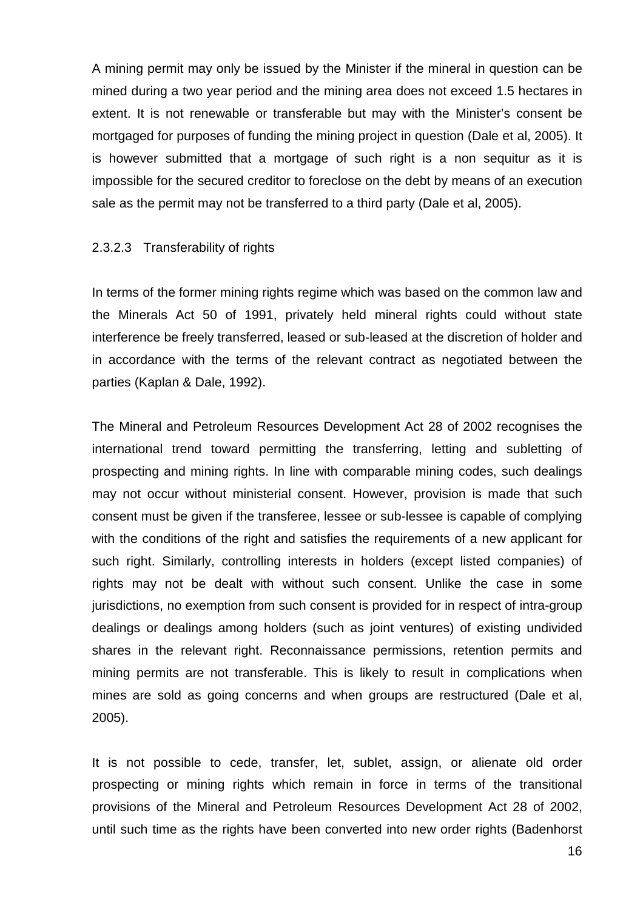A mining permit may only be issued by the Minister if the mineral in question can be mined during a two year period and the mining area does not exceed 1.5 hectares in extent. It is not renewable or transferable but may with the Minister's consent be mortgaged for purposes of funding the mining project in question (Dale et al, 2005). It is however submitted that a mortgage of such right is a non sequitur as it is impossible for the secured creditor to foreclose on the debt by means of an execution sale as the permit may not be transferred to a third party (Dale et al, 2005).

#### 2.3.2.3 Transferability of rights

In terms of the former mining rights regime which was based on the common law and the Minerals Act 50 of 1991, privately held mineral rights could without state interference be freely transferred, leased or sub-leased at the discretion of holder and in accordance with the terms of the relevant contract as negotiated between the parties (Kaplan & Dale, 1992).

The Mineral and Petroleum Resources Development Act 28 of 2002 recognises the international trend toward permitting the transferring, letting and subletting of prospecting and mining rights. In line with comparable mining codes, such dealings may not occur without ministerial consent. However, provision is made that such consent must be given if the transferee, lessee or sub-lessee is capable of complying with the conditions of the right and satisfies the requirements of a new applicant for such right. Similarly, controlling interests in holders (except listed companies) of rights may not be dealt with without such consent. Unlike the case in some jurisdictions, no exemption from such consent is provided for in respect of intra-group dealings or dealings among holders (such as joint ventures) of existing undivided shares in the relevant right. Reconnaissance permissions, retention permits and mining permits are not transferable. This is likely to result in complications when mines are sold as going concerns and when groups are restructured (Dale et al, 2005).

It is not possible to cede, transfer, let, sublet, assign, or alienate old order prospecting or mining rights which remain in force in terms of the transitional provisions of the Mineral and Petroleum Resources Development Act 28 of 2002, until such time as the rights have been converted into new order rights (Badenhorst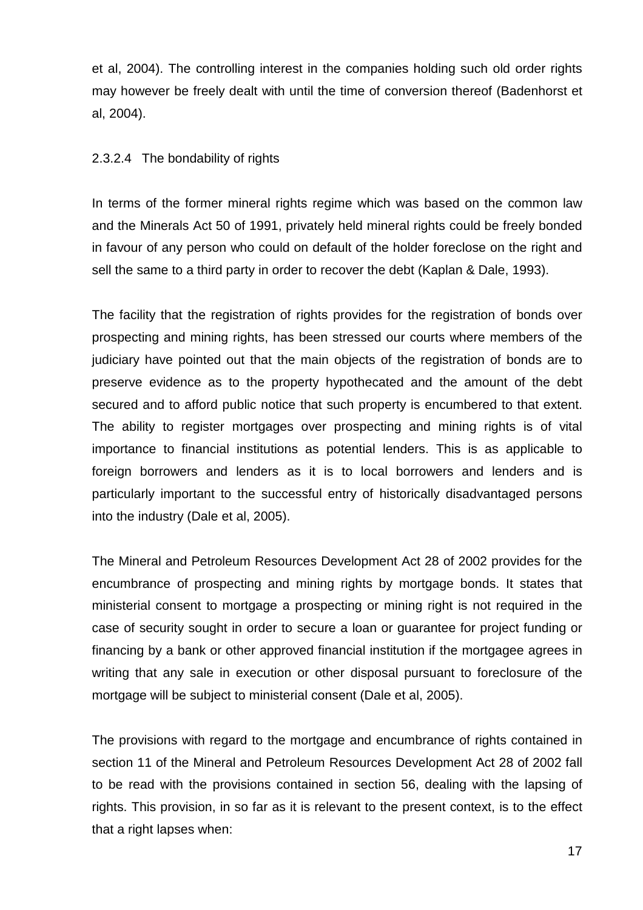et al, 2004). The controlling interest in the companies holding such old order rights may however be freely dealt with until the time of conversion thereof (Badenhorst et al, 2004).

# 2.3.2.4 The bondability of rights

In terms of the former mineral rights regime which was based on the common law and the Minerals Act 50 of 1991, privately held mineral rights could be freely bonded in favour of any person who could on default of the holder foreclose on the right and sell the same to a third party in order to recover the debt (Kaplan & Dale, 1993).

The facility that the registration of rights provides for the registration of bonds over prospecting and mining rights, has been stressed our courts where members of the judiciary have pointed out that the main objects of the registration of bonds are to preserve evidence as to the property hypothecated and the amount of the debt secured and to afford public notice that such property is encumbered to that extent. The ability to register mortgages over prospecting and mining rights is of vital importance to financial institutions as potential lenders. This is as applicable to foreign borrowers and lenders as it is to local borrowers and lenders and is particularly important to the successful entry of historically disadvantaged persons into the industry (Dale et al, 2005).

The Mineral and Petroleum Resources Development Act 28 of 2002 provides for the encumbrance of prospecting and mining rights by mortgage bonds. It states that ministerial consent to mortgage a prospecting or mining right is not required in the case of security sought in order to secure a loan or guarantee for project funding or financing by a bank or other approved financial institution if the mortgagee agrees in writing that any sale in execution or other disposal pursuant to foreclosure of the mortgage will be subject to ministerial consent (Dale et al, 2005).

The provisions with regard to the mortgage and encumbrance of rights contained in section 11 of the Mineral and Petroleum Resources Development Act 28 of 2002 fall to be read with the provisions contained in section 56, dealing with the lapsing of rights. This provision, in so far as it is relevant to the present context, is to the effect that a right lapses when: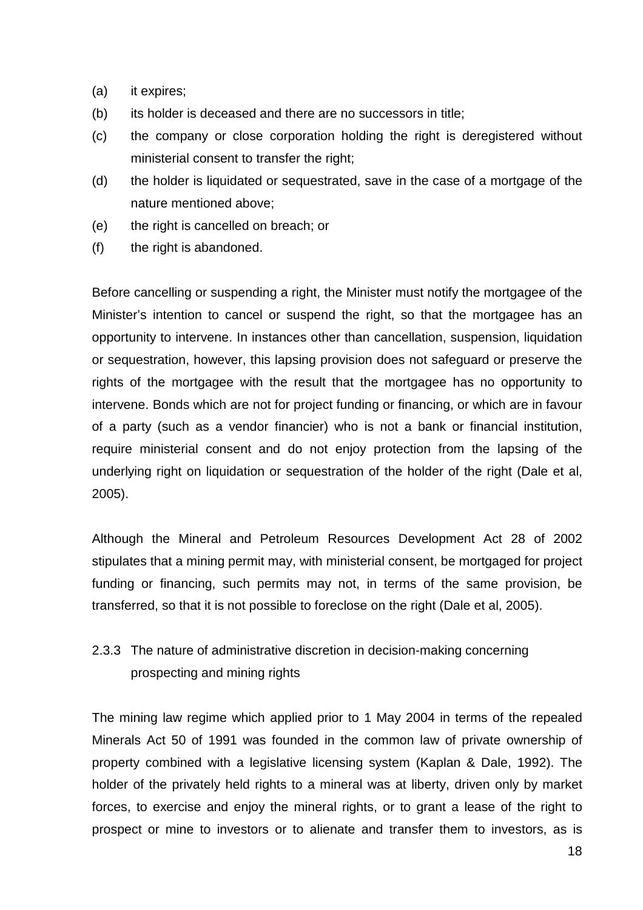- (a) it expires;
- (b) its holder is deceased and there are no successors in title;
- (c) the company or close corporation holding the right is deregistered without ministerial consent to transfer the right;
- (d) the holder is liquidated or sequestrated, save in the case of a mortgage of the nature mentioned above;
- (e) the right is cancelled on breach; or
- (f) the right is abandoned.

Before cancelling or suspending a right, the Minister must notify the mortgagee of the Minister's intention to cancel or suspend the right, so that the mortgagee has an opportunity to intervene. In instances other than cancellation, suspension, liquidation or sequestration, however, this lapsing provision does not safeguard or preserve the rights of the mortgagee with the result that the mortgagee has no opportunity to intervene. Bonds which are not for project funding or financing, or which are in favour of a party (such as a vendor financier) who is not a bank or financial institution, require ministerial consent and do not enjoy protection from the lapsing of the underlying right on liquidation or sequestration of the holder of the right (Dale et al, 2005).

Although the Mineral and Petroleum Resources Development Act 28 of 2002 stipulates that a mining permit may, with ministerial consent, be mortgaged for project funding or financing, such permits may not, in terms of the same provision, be transferred, so that it is not possible to foreclose on the right (Dale et al, 2005).

# 2.3.3 The nature of administrative discretion in decision-making concerning prospecting and mining rights

The mining law regime which applied prior to 1 May 2004 in terms of the repealed Minerals Act 50 of 1991 was founded in the common law of private ownership of property combined with a legislative licensing system (Kaplan & Dale, 1992). The holder of the privately held rights to a mineral was at liberty, driven only by market forces, to exercise and enjoy the mineral rights, or to grant a lease of the right to prospect or mine to investors or to alienate and transfer them to investors, as is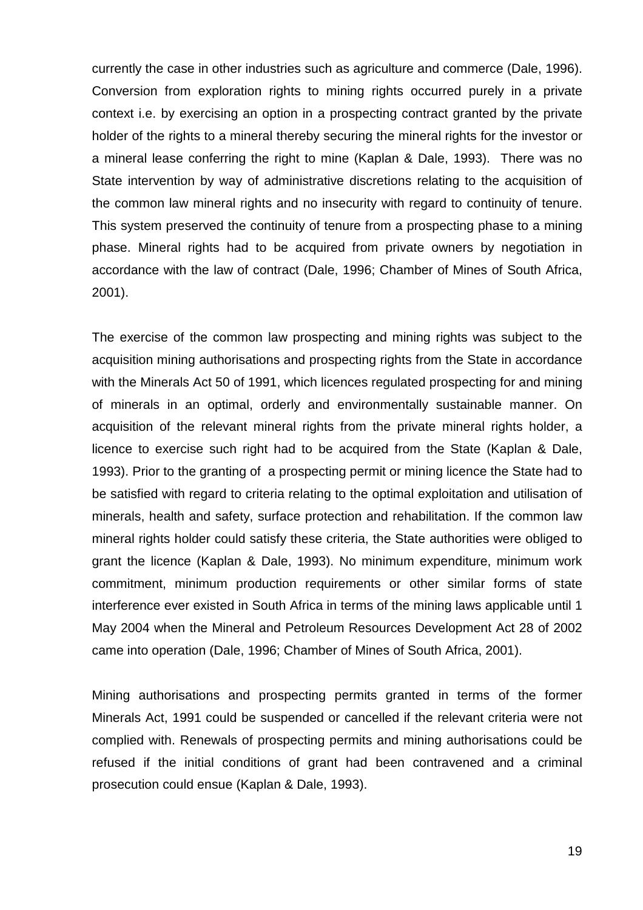currently the case in other industries such as agriculture and commerce (Dale, 1996). Conversion from exploration rights to mining rights occurred purely in a private context i.e. by exercising an option in a prospecting contract granted by the private holder of the rights to a mineral thereby securing the mineral rights for the investor or a mineral lease conferring the right to mine (Kaplan & Dale, 1993). There was no State intervention by way of administrative discretions relating to the acquisition of the common law mineral rights and no insecurity with regard to continuity of tenure. This system preserved the continuity of tenure from a prospecting phase to a mining phase. Mineral rights had to be acquired from private owners by negotiation in accordance with the law of contract (Dale, 1996; Chamber of Mines of South Africa, 2001).

The exercise of the common law prospecting and mining rights was subject to the acquisition mining authorisations and prospecting rights from the State in accordance with the Minerals Act 50 of 1991, which licences regulated prospecting for and mining of minerals in an optimal, orderly and environmentally sustainable manner. On acquisition of the relevant mineral rights from the private mineral rights holder, a licence to exercise such right had to be acquired from the State (Kaplan & Dale, 1993). Prior to the granting of a prospecting permit or mining licence the State had to be satisfied with regard to criteria relating to the optimal exploitation and utilisation of minerals, health and safety, surface protection and rehabilitation. If the common law mineral rights holder could satisfy these criteria, the State authorities were obliged to grant the licence (Kaplan & Dale, 1993). No minimum expenditure, minimum work commitment, minimum production requirements or other similar forms of state interference ever existed in South Africa in terms of the mining laws applicable until 1 May 2004 when the Mineral and Petroleum Resources Development Act 28 of 2002 came into operation (Dale, 1996; Chamber of Mines of South Africa, 2001).

Mining authorisations and prospecting permits granted in terms of the former Minerals Act, 1991 could be suspended or cancelled if the relevant criteria were not complied with. Renewals of prospecting permits and mining authorisations could be refused if the initial conditions of grant had been contravened and a criminal prosecution could ensue (Kaplan & Dale, 1993).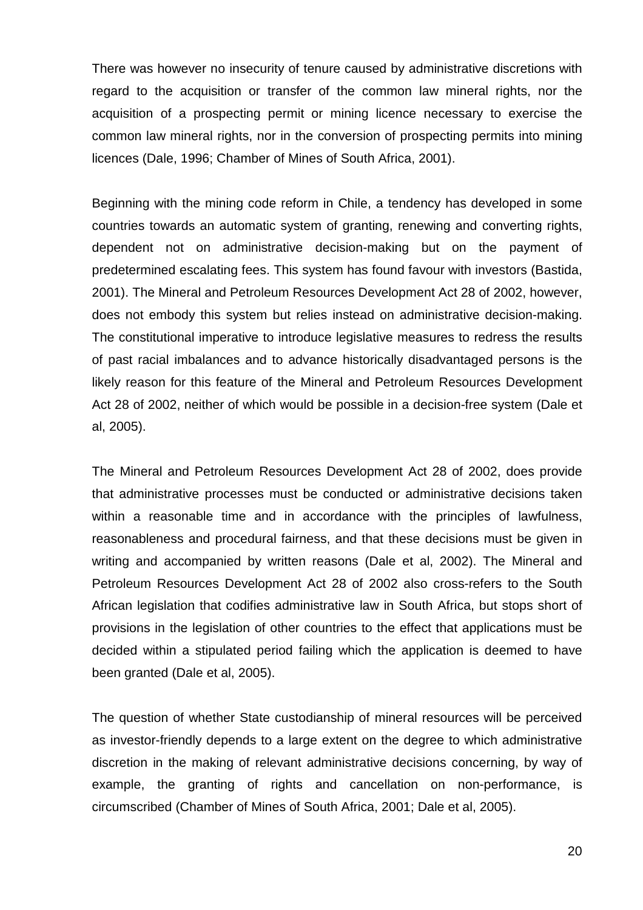There was however no insecurity of tenure caused by administrative discretions with regard to the acquisition or transfer of the common law mineral rights, nor the acquisition of a prospecting permit or mining licence necessary to exercise the common law mineral rights, nor in the conversion of prospecting permits into mining licences (Dale, 1996; Chamber of Mines of South Africa, 2001).

Beginning with the mining code reform in Chile, a tendency has developed in some countries towards an automatic system of granting, renewing and converting rights, dependent not on administrative decision-making but on the payment of predetermined escalating fees. This system has found favour with investors (Bastida, 2001). The Mineral and Petroleum Resources Development Act 28 of 2002, however, does not embody this system but relies instead on administrative decision-making. The constitutional imperative to introduce legislative measures to redress the results of past racial imbalances and to advance historically disadvantaged persons is the likely reason for this feature of the Mineral and Petroleum Resources Development Act 28 of 2002, neither of which would be possible in a decision-free system (Dale et al, 2005).

The Mineral and Petroleum Resources Development Act 28 of 2002, does provide that administrative processes must be conducted or administrative decisions taken within a reasonable time and in accordance with the principles of lawfulness, reasonableness and procedural fairness, and that these decisions must be given in writing and accompanied by written reasons (Dale et al, 2002). The Mineral and Petroleum Resources Development Act 28 of 2002 also cross-refers to the South African legislation that codifies administrative law in South Africa, but stops short of provisions in the legislation of other countries to the effect that applications must be decided within a stipulated period failing which the application is deemed to have been granted (Dale et al, 2005).

The question of whether State custodianship of mineral resources will be perceived as investor-friendly depends to a large extent on the degree to which administrative discretion in the making of relevant administrative decisions concerning, by way of example, the granting of rights and cancellation on non-performance, is circumscribed (Chamber of Mines of South Africa, 2001; Dale et al, 2005).

20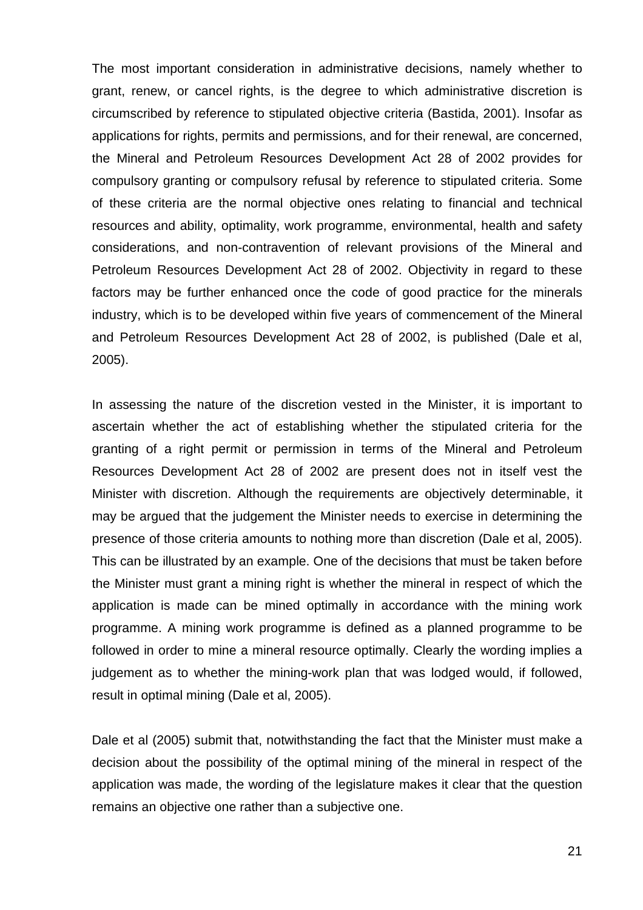The most important consideration in administrative decisions, namely whether to grant, renew, or cancel rights, is the degree to which administrative discretion is circumscribed by reference to stipulated objective criteria (Bastida, 2001). Insofar as applications for rights, permits and permissions, and for their renewal, are concerned, the Mineral and Petroleum Resources Development Act 28 of 2002 provides for compulsory granting or compulsory refusal by reference to stipulated criteria. Some of these criteria are the normal objective ones relating to financial and technical resources and ability, optimality, work programme, environmental, health and safety considerations, and non-contravention of relevant provisions of the Mineral and Petroleum Resources Development Act 28 of 2002. Objectivity in regard to these factors may be further enhanced once the code of good practice for the minerals industry, which is to be developed within five years of commencement of the Mineral and Petroleum Resources Development Act 28 of 2002, is published (Dale et al, 2005).

In assessing the nature of the discretion vested in the Minister, it is important to ascertain whether the act of establishing whether the stipulated criteria for the granting of a right permit or permission in terms of the Mineral and Petroleum Resources Development Act 28 of 2002 are present does not in itself vest the Minister with discretion. Although the requirements are objectively determinable, it may be argued that the judgement the Minister needs to exercise in determining the presence of those criteria amounts to nothing more than discretion (Dale et al, 2005). This can be illustrated by an example. One of the decisions that must be taken before the Minister must grant a mining right is whether the mineral in respect of which the application is made can be mined optimally in accordance with the mining work programme. A mining work programme is defined as a planned programme to be followed in order to mine a mineral resource optimally. Clearly the wording implies a judgement as to whether the mining-work plan that was lodged would, if followed, result in optimal mining (Dale et al, 2005).

Dale et al (2005) submit that, notwithstanding the fact that the Minister must make a decision about the possibility of the optimal mining of the mineral in respect of the application was made, the wording of the legislature makes it clear that the question remains an objective one rather than a subjective one.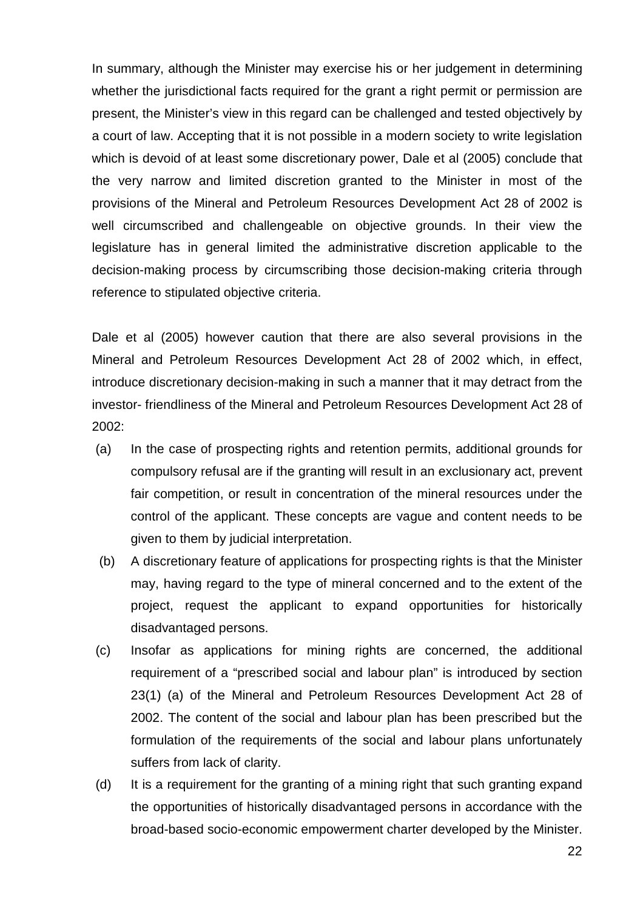In summary, although the Minister may exercise his or her judgement in determining whether the jurisdictional facts required for the grant a right permit or permission are present, the Minister's view in this regard can be challenged and tested objectively by a court of law. Accepting that it is not possible in a modern society to write legislation which is devoid of at least some discretionary power, Dale et al (2005) conclude that the very narrow and limited discretion granted to the Minister in most of the provisions of the Mineral and Petroleum Resources Development Act 28 of 2002 is well circumscribed and challengeable on objective grounds. In their view the legislature has in general limited the administrative discretion applicable to the decision-making process by circumscribing those decision-making criteria through reference to stipulated objective criteria.

Dale et al (2005) however caution that there are also several provisions in the Mineral and Petroleum Resources Development Act 28 of 2002 which, in effect, introduce discretionary decision-making in such a manner that it may detract from the investor- friendliness of the Mineral and Petroleum Resources Development Act 28 of 2002:

- (a) In the case of prospecting rights and retention permits, additional grounds for compulsory refusal are if the granting will result in an exclusionary act, prevent fair competition, or result in concentration of the mineral resources under the control of the applicant. These concepts are vague and content needs to be given to them by judicial interpretation.
- (b) A discretionary feature of applications for prospecting rights is that the Minister may, having regard to the type of mineral concerned and to the extent of the project, request the applicant to expand opportunities for historically disadvantaged persons.
- (c) Insofar as applications for mining rights are concerned, the additional requirement of a "prescribed social and labour plan" is introduced by section 23(1) (a) of the Mineral and Petroleum Resources Development Act 28 of 2002. The content of the social and labour plan has been prescribed but the formulation of the requirements of the social and labour plans unfortunately suffers from lack of clarity.
- (d) It is a requirement for the granting of a mining right that such granting expand the opportunities of historically disadvantaged persons in accordance with the broad-based socio-economic empowerment charter developed by the Minister.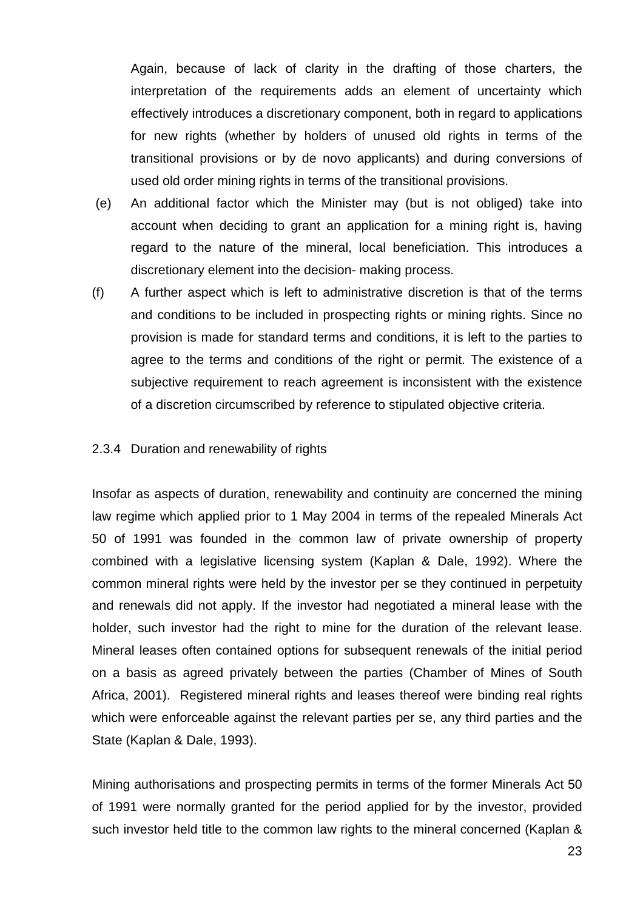Again, because of lack of clarity in the drafting of those charters, the interpretation of the requirements adds an element of uncertainty which effectively introduces a discretionary component, both in regard to applications for new rights (whether by holders of unused old rights in terms of the transitional provisions or by de novo applicants) and during conversions of used old order mining rights in terms of the transitional provisions.

- (e) An additional factor which the Minister may (but is not obliged) take into account when deciding to grant an application for a mining right is, having regard to the nature of the mineral, local beneficiation. This introduces a discretionary element into the decision- making process.
- (f) A further aspect which is left to administrative discretion is that of the terms and conditions to be included in prospecting rights or mining rights. Since no provision is made for standard terms and conditions, it is left to the parties to agree to the terms and conditions of the right or permit. The existence of a subjective requirement to reach agreement is inconsistent with the existence of a discretion circumscribed by reference to stipulated objective criteria.

# 2.3.4 Duration and renewability of rights

Insofar as aspects of duration, renewability and continuity are concerned the mining law regime which applied prior to 1 May 2004 in terms of the repealed Minerals Act 50 of 1991 was founded in the common law of private ownership of property combined with a legislative licensing system (Kaplan & Dale, 1992). Where the common mineral rights were held by the investor per se they continued in perpetuity and renewals did not apply. If the investor had negotiated a mineral lease with the holder, such investor had the right to mine for the duration of the relevant lease. Mineral leases often contained options for subsequent renewals of the initial period on a basis as agreed privately between the parties (Chamber of Mines of South Africa, 2001). Registered mineral rights and leases thereof were binding real rights which were enforceable against the relevant parties per se, any third parties and the State (Kaplan & Dale, 1993).

Mining authorisations and prospecting permits in terms of the former Minerals Act 50 of 1991 were normally granted for the period applied for by the investor, provided such investor held title to the common law rights to the mineral concerned (Kaplan &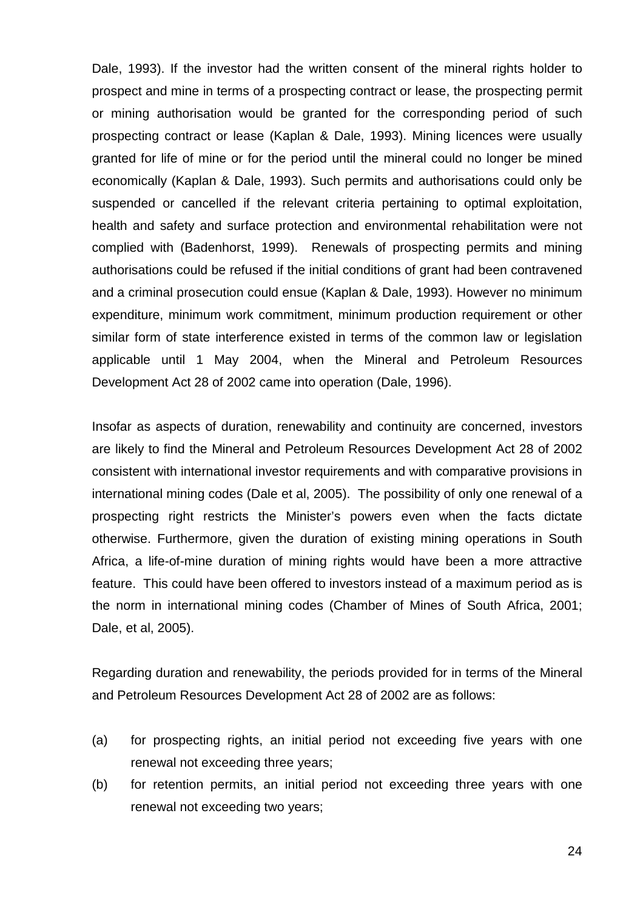Dale, 1993). If the investor had the written consent of the mineral rights holder to prospect and mine in terms of a prospecting contract or lease, the prospecting permit or mining authorisation would be granted for the corresponding period of such prospecting contract or lease (Kaplan & Dale, 1993). Mining licences were usually granted for life of mine or for the period until the mineral could no longer be mined economically (Kaplan & Dale, 1993). Such permits and authorisations could only be suspended or cancelled if the relevant criteria pertaining to optimal exploitation, health and safety and surface protection and environmental rehabilitation were not complied with (Badenhorst, 1999). Renewals of prospecting permits and mining authorisations could be refused if the initial conditions of grant had been contravened and a criminal prosecution could ensue (Kaplan & Dale, 1993). However no minimum expenditure, minimum work commitment, minimum production requirement or other similar form of state interference existed in terms of the common law or legislation applicable until 1 May 2004, when the Mineral and Petroleum Resources Development Act 28 of 2002 came into operation (Dale, 1996).

Insofar as aspects of duration, renewability and continuity are concerned, investors are likely to find the Mineral and Petroleum Resources Development Act 28 of 2002 consistent with international investor requirements and with comparative provisions in international mining codes (Dale et al, 2005). The possibility of only one renewal of a prospecting right restricts the Minister's powers even when the facts dictate otherwise. Furthermore, given the duration of existing mining operations in South Africa, a life-of-mine duration of mining rights would have been a more attractive feature. This could have been offered to investors instead of a maximum period as is the norm in international mining codes (Chamber of Mines of South Africa, 2001; Dale, et al, 2005).

Regarding duration and renewability, the periods provided for in terms of the Mineral and Petroleum Resources Development Act 28 of 2002 are as follows:

- (a) for prospecting rights, an initial period not exceeding five years with one renewal not exceeding three years;
- (b) for retention permits, an initial period not exceeding three years with one renewal not exceeding two years;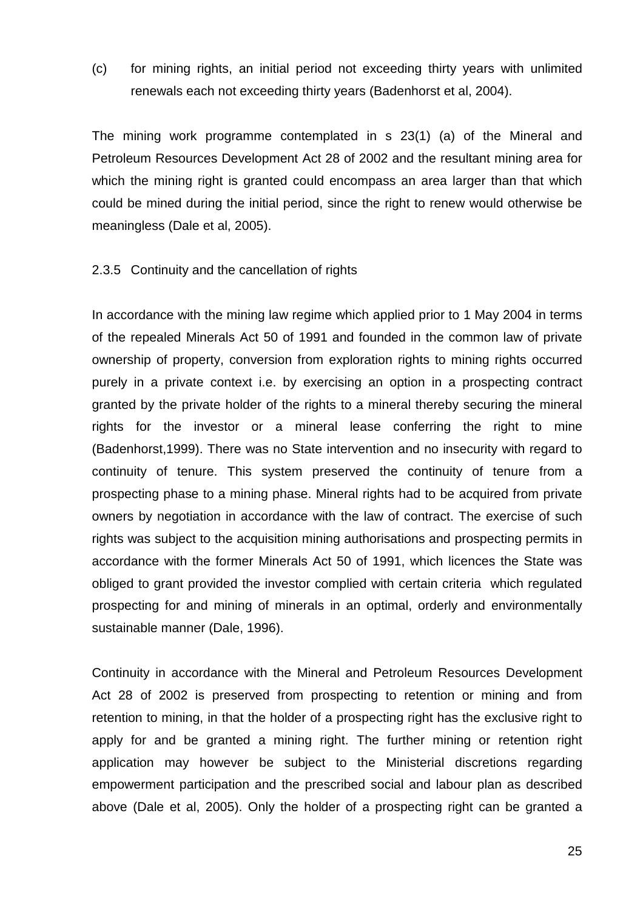(c) for mining rights, an initial period not exceeding thirty years with unlimited renewals each not exceeding thirty years (Badenhorst et al, 2004).

The mining work programme contemplated in s 23(1) (a) of the Mineral and Petroleum Resources Development Act 28 of 2002 and the resultant mining area for which the mining right is granted could encompass an area larger than that which could be mined during the initial period, since the right to renew would otherwise be meaningless (Dale et al, 2005).

# 2.3.5 Continuity and the cancellation of rights

In accordance with the mining law regime which applied prior to 1 May 2004 in terms of the repealed Minerals Act 50 of 1991 and founded in the common law of private ownership of property, conversion from exploration rights to mining rights occurred purely in a private context i.e. by exercising an option in a prospecting contract granted by the private holder of the rights to a mineral thereby securing the mineral rights for the investor or a mineral lease conferring the right to mine (Badenhorst,1999). There was no State intervention and no insecurity with regard to continuity of tenure. This system preserved the continuity of tenure from a prospecting phase to a mining phase. Mineral rights had to be acquired from private owners by negotiation in accordance with the law of contract. The exercise of such rights was subject to the acquisition mining authorisations and prospecting permits in accordance with the former Minerals Act 50 of 1991, which licences the State was obliged to grant provided the investor complied with certain criteria which regulated prospecting for and mining of minerals in an optimal, orderly and environmentally sustainable manner (Dale, 1996).

Continuity in accordance with the Mineral and Petroleum Resources Development Act 28 of 2002 is preserved from prospecting to retention or mining and from retention to mining, in that the holder of a prospecting right has the exclusive right to apply for and be granted a mining right. The further mining or retention right application may however be subject to the Ministerial discretions regarding empowerment participation and the prescribed social and labour plan as described above (Dale et al, 2005). Only the holder of a prospecting right can be granted a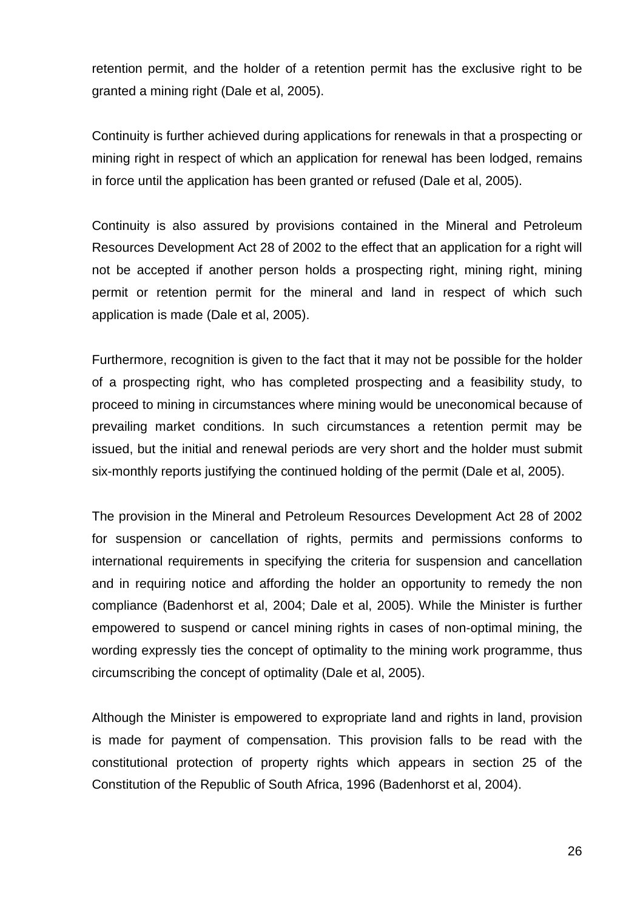retention permit, and the holder of a retention permit has the exclusive right to be granted a mining right (Dale et al, 2005).

Continuity is further achieved during applications for renewals in that a prospecting or mining right in respect of which an application for renewal has been lodged, remains in force until the application has been granted or refused (Dale et al, 2005).

Continuity is also assured by provisions contained in the Mineral and Petroleum Resources Development Act 28 of 2002 to the effect that an application for a right will not be accepted if another person holds a prospecting right, mining right, mining permit or retention permit for the mineral and land in respect of which such application is made (Dale et al, 2005).

Furthermore, recognition is given to the fact that it may not be possible for the holder of a prospecting right, who has completed prospecting and a feasibility study, to proceed to mining in circumstances where mining would be uneconomical because of prevailing market conditions. In such circumstances a retention permit may be issued, but the initial and renewal periods are very short and the holder must submit six-monthly reports justifying the continued holding of the permit (Dale et al, 2005).

The provision in the Mineral and Petroleum Resources Development Act 28 of 2002 for suspension or cancellation of rights, permits and permissions conforms to international requirements in specifying the criteria for suspension and cancellation and in requiring notice and affording the holder an opportunity to remedy the non compliance (Badenhorst et al, 2004; Dale et al, 2005). While the Minister is further empowered to suspend or cancel mining rights in cases of non-optimal mining, the wording expressly ties the concept of optimality to the mining work programme, thus circumscribing the concept of optimality (Dale et al, 2005).

Although the Minister is empowered to expropriate land and rights in land, provision is made for payment of compensation. This provision falls to be read with the constitutional protection of property rights which appears in section 25 of the Constitution of the Republic of South Africa, 1996 (Badenhorst et al, 2004).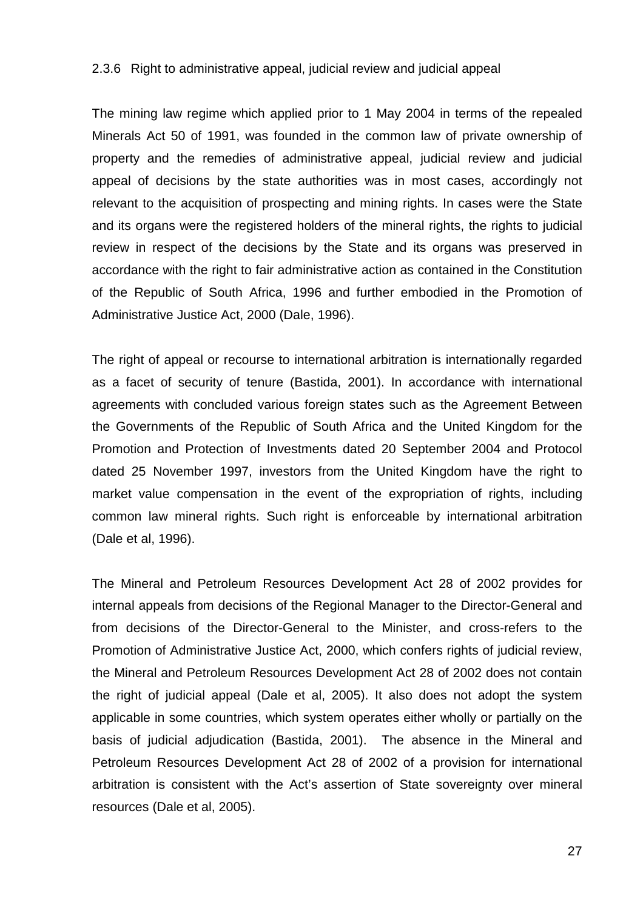#### 2.3.6 Right to administrative appeal, judicial review and judicial appeal

The mining law regime which applied prior to 1 May 2004 in terms of the repealed Minerals Act 50 of 1991, was founded in the common law of private ownership of property and the remedies of administrative appeal, judicial review and judicial appeal of decisions by the state authorities was in most cases, accordingly not relevant to the acquisition of prospecting and mining rights. In cases were the State and its organs were the registered holders of the mineral rights, the rights to judicial review in respect of the decisions by the State and its organs was preserved in accordance with the right to fair administrative action as contained in the Constitution of the Republic of South Africa, 1996 and further embodied in the Promotion of Administrative Justice Act, 2000 (Dale, 1996).

The right of appeal or recourse to international arbitration is internationally regarded as a facet of security of tenure (Bastida, 2001). In accordance with international agreements with concluded various foreign states such as the Agreement Between the Governments of the Republic of South Africa and the United Kingdom for the Promotion and Protection of Investments dated 20 September 2004 and Protocol dated 25 November 1997, investors from the United Kingdom have the right to market value compensation in the event of the expropriation of rights, including common law mineral rights. Such right is enforceable by international arbitration (Dale et al, 1996).

The Mineral and Petroleum Resources Development Act 28 of 2002 provides for internal appeals from decisions of the Regional Manager to the Director-General and from decisions of the Director-General to the Minister, and cross-refers to the Promotion of Administrative Justice Act, 2000, which confers rights of judicial review, the Mineral and Petroleum Resources Development Act 28 of 2002 does not contain the right of judicial appeal (Dale et al, 2005). It also does not adopt the system applicable in some countries, which system operates either wholly or partially on the basis of judicial adjudication (Bastida, 2001). The absence in the Mineral and Petroleum Resources Development Act 28 of 2002 of a provision for international arbitration is consistent with the Act's assertion of State sovereignty over mineral resources (Dale et al, 2005).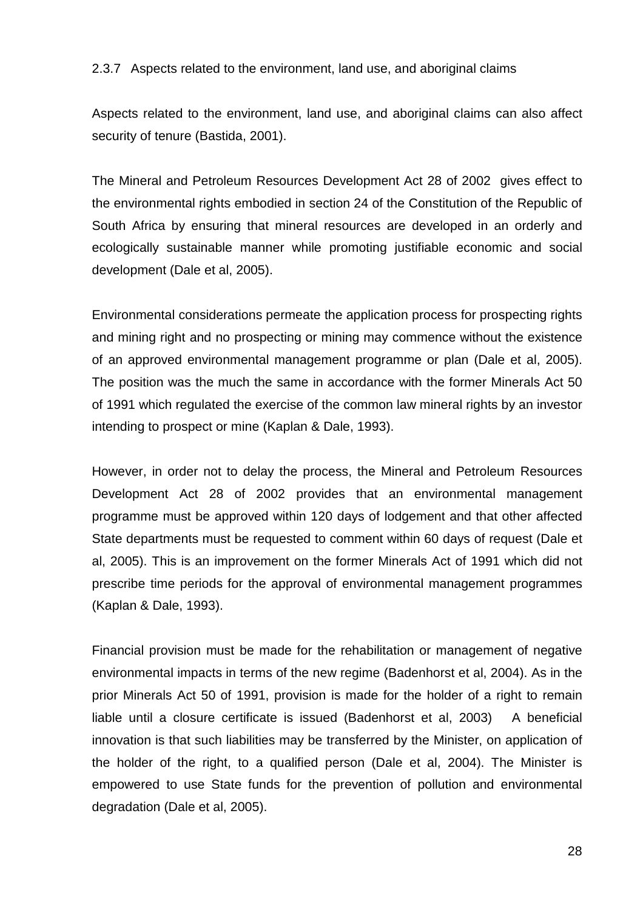### 2.3.7 Aspects related to the environment, land use, and aboriginal claims

Aspects related to the environment, land use, and aboriginal claims can also affect security of tenure (Bastida, 2001).

The Mineral and Petroleum Resources Development Act 28 of 2002 gives effect to the environmental rights embodied in section 24 of the Constitution of the Republic of South Africa by ensuring that mineral resources are developed in an orderly and ecologically sustainable manner while promoting justifiable economic and social development (Dale et al, 2005).

Environmental considerations permeate the application process for prospecting rights and mining right and no prospecting or mining may commence without the existence of an approved environmental management programme or plan (Dale et al, 2005). The position was the much the same in accordance with the former Minerals Act 50 of 1991 which regulated the exercise of the common law mineral rights by an investor intending to prospect or mine (Kaplan & Dale, 1993).

However, in order not to delay the process, the Mineral and Petroleum Resources Development Act 28 of 2002 provides that an environmental management programme must be approved within 120 days of lodgement and that other affected State departments must be requested to comment within 60 days of request (Dale et al, 2005). This is an improvement on the former Minerals Act of 1991 which did not prescribe time periods for the approval of environmental management programmes (Kaplan & Dale, 1993).

Financial provision must be made for the rehabilitation or management of negative environmental impacts in terms of the new regime (Badenhorst et al, 2004). As in the prior Minerals Act 50 of 1991, provision is made for the holder of a right to remain liable until a closure certificate is issued (Badenhorst et al, 2003) A beneficial innovation is that such liabilities may be transferred by the Minister, on application of the holder of the right, to a qualified person (Dale et al, 2004). The Minister is empowered to use State funds for the prevention of pollution and environmental degradation (Dale et al, 2005).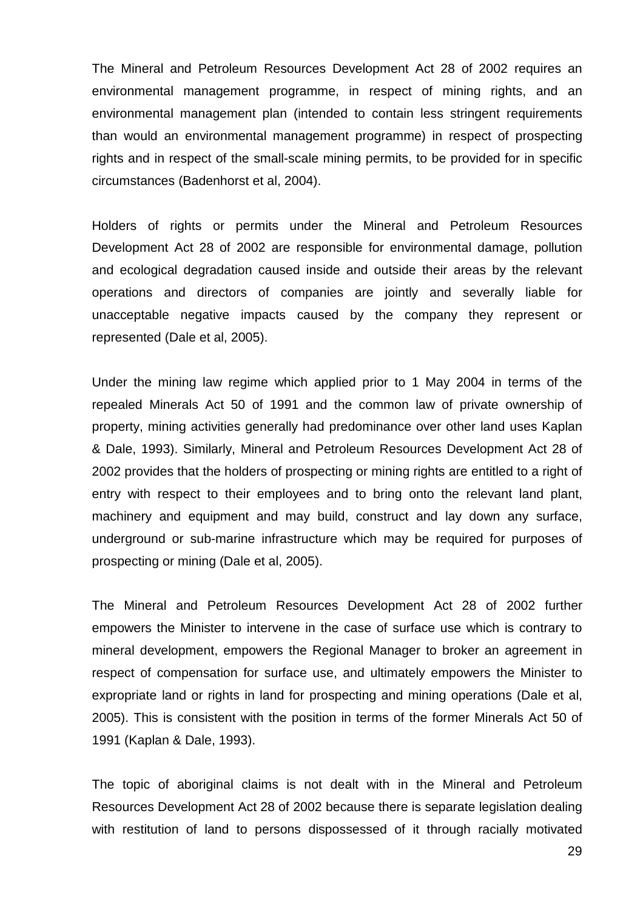The Mineral and Petroleum Resources Development Act 28 of 2002 requires an environmental management programme, in respect of mining rights, and an environmental management plan (intended to contain less stringent requirements than would an environmental management programme) in respect of prospecting rights and in respect of the small-scale mining permits, to be provided for in specific circumstances (Badenhorst et al, 2004).

Holders of rights or permits under the Mineral and Petroleum Resources Development Act 28 of 2002 are responsible for environmental damage, pollution and ecological degradation caused inside and outside their areas by the relevant operations and directors of companies are jointly and severally liable for unacceptable negative impacts caused by the company they represent or represented (Dale et al, 2005).

Under the mining law regime which applied prior to 1 May 2004 in terms of the repealed Minerals Act 50 of 1991 and the common law of private ownership of property, mining activities generally had predominance over other land uses Kaplan & Dale, 1993). Similarly, Mineral and Petroleum Resources Development Act 28 of 2002 provides that the holders of prospecting or mining rights are entitled to a right of entry with respect to their employees and to bring onto the relevant land plant, machinery and equipment and may build, construct and lay down any surface, underground or sub-marine infrastructure which may be required for purposes of prospecting or mining (Dale et al, 2005).

The Mineral and Petroleum Resources Development Act 28 of 2002 further empowers the Minister to intervene in the case of surface use which is contrary to mineral development, empowers the Regional Manager to broker an agreement in respect of compensation for surface use, and ultimately empowers the Minister to expropriate land or rights in land for prospecting and mining operations (Dale et al, 2005). This is consistent with the position in terms of the former Minerals Act 50 of 1991 (Kaplan & Dale, 1993).

The topic of aboriginal claims is not dealt with in the Mineral and Petroleum Resources Development Act 28 of 2002 because there is separate legislation dealing with restitution of land to persons dispossessed of it through racially motivated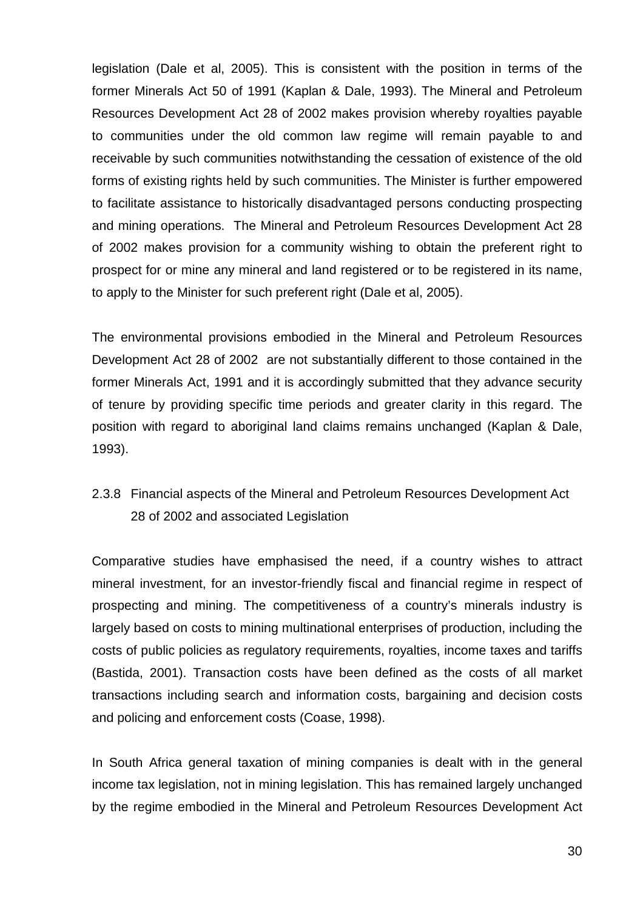legislation (Dale et al, 2005). This is consistent with the position in terms of the former Minerals Act 50 of 1991 (Kaplan & Dale, 1993). The Mineral and Petroleum Resources Development Act 28 of 2002 makes provision whereby royalties payable to communities under the old common law regime will remain payable to and receivable by such communities notwithstanding the cessation of existence of the old forms of existing rights held by such communities. The Minister is further empowered to facilitate assistance to historically disadvantaged persons conducting prospecting and mining operations. The Mineral and Petroleum Resources Development Act 28 of 2002 makes provision for a community wishing to obtain the preferent right to prospect for or mine any mineral and land registered or to be registered in its name, to apply to the Minister for such preferent right (Dale et al, 2005).

The environmental provisions embodied in the Mineral and Petroleum Resources Development Act 28 of 2002 are not substantially different to those contained in the former Minerals Act, 1991 and it is accordingly submitted that they advance security of tenure by providing specific time periods and greater clarity in this regard. The position with regard to aboriginal land claims remains unchanged (Kaplan & Dale, 1993).

# 2.3.8 Financial aspects of the Mineral and Petroleum Resources Development Act 28 of 2002 and associated Legislation

Comparative studies have emphasised the need, if a country wishes to attract mineral investment, for an investor-friendly fiscal and financial regime in respect of prospecting and mining. The competitiveness of a country's minerals industry is largely based on costs to mining multinational enterprises of production, including the costs of public policies as regulatory requirements, royalties, income taxes and tariffs (Bastida, 2001). Transaction costs have been defined as the costs of all market transactions including search and information costs, bargaining and decision costs and policing and enforcement costs (Coase, 1998).

In South Africa general taxation of mining companies is dealt with in the general income tax legislation, not in mining legislation. This has remained largely unchanged by the regime embodied in the Mineral and Petroleum Resources Development Act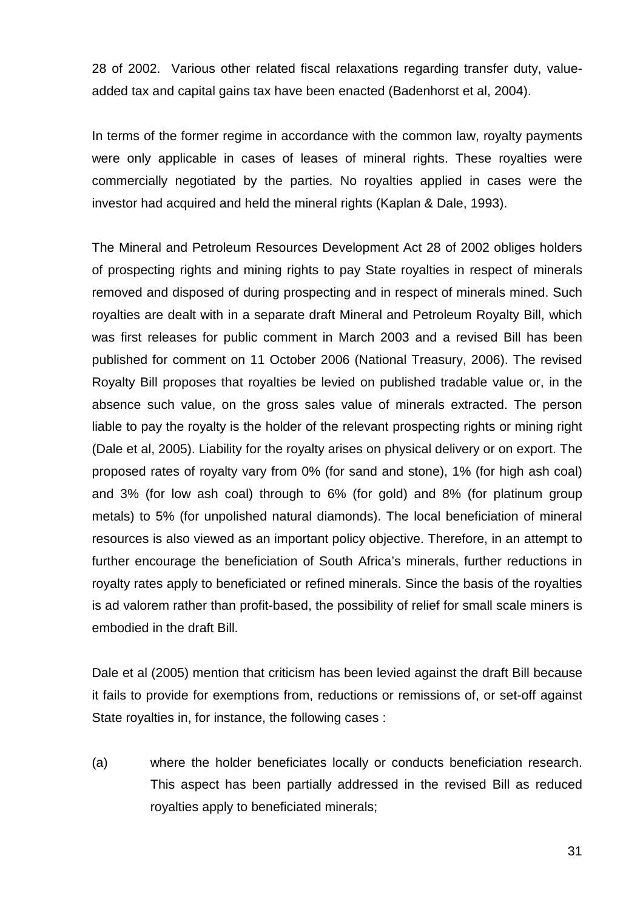28 of 2002. Various other related fiscal relaxations regarding transfer duty, valueadded tax and capital gains tax have been enacted (Badenhorst et al, 2004).

In terms of the former regime in accordance with the common law, royalty payments were only applicable in cases of leases of mineral rights. These royalties were commercially negotiated by the parties. No royalties applied in cases were the investor had acquired and held the mineral rights (Kaplan & Dale, 1993).

The Mineral and Petroleum Resources Development Act 28 of 2002 obliges holders of prospecting rights and mining rights to pay State royalties in respect of minerals removed and disposed of during prospecting and in respect of minerals mined. Such royalties are dealt with in a separate draft Mineral and Petroleum Royalty Bill, which was first releases for public comment in March 2003 and a revised Bill has been published for comment on 11 October 2006 (National Treasury, 2006). The revised Royalty Bill proposes that royalties be levied on published tradable value or, in the absence such value, on the gross sales value of minerals extracted. The person liable to pay the royalty is the holder of the relevant prospecting rights or mining right (Dale et al, 2005). Liability for the royalty arises on physical delivery or on export. The proposed rates of royalty vary from 0% (for sand and stone), 1% (for high ash coal) and 3% (for low ash coal) through to 6% (for gold) and 8% (for platinum group metals) to 5% (for unpolished natural diamonds). The local beneficiation of mineral resources is also viewed as an important policy objective. Therefore, in an attempt to further encourage the beneficiation of South Africa's minerals, further reductions in royalty rates apply to beneficiated or refined minerals. Since the basis of the royalties is ad valorem rather than profit-based, the possibility of relief for small scale miners is embodied in the draft Bill.

Dale et al (2005) mention that criticism has been levied against the draft Bill because it fails to provide for exemptions from, reductions or remissions of, or set-off against State royalties in, for instance, the following cases :

(a) where the holder beneficiates locally or conducts beneficiation research. This aspect has been partially addressed in the revised Bill as reduced royalties apply to beneficiated minerals;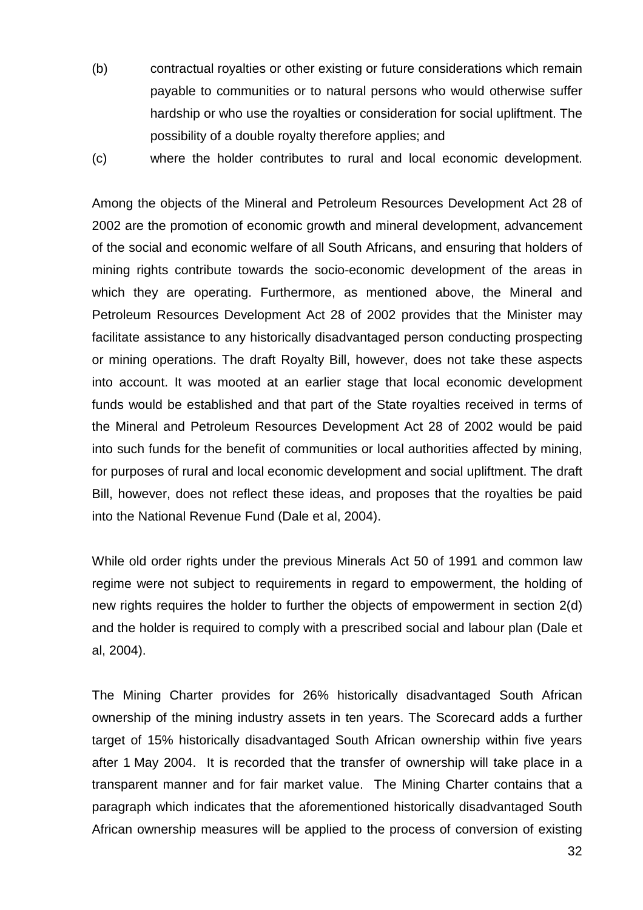- (b) contractual royalties or other existing or future considerations which remain payable to communities or to natural persons who would otherwise suffer hardship or who use the royalties or consideration for social upliftment. The possibility of a double royalty therefore applies; and
- (c) where the holder contributes to rural and local economic development.

Among the objects of the Mineral and Petroleum Resources Development Act 28 of 2002 are the promotion of economic growth and mineral development, advancement of the social and economic welfare of all South Africans, and ensuring that holders of mining rights contribute towards the socio-economic development of the areas in which they are operating. Furthermore, as mentioned above, the Mineral and Petroleum Resources Development Act 28 of 2002 provides that the Minister may facilitate assistance to any historically disadvantaged person conducting prospecting or mining operations. The draft Royalty Bill, however, does not take these aspects into account. It was mooted at an earlier stage that local economic development funds would be established and that part of the State royalties received in terms of the Mineral and Petroleum Resources Development Act 28 of 2002 would be paid into such funds for the benefit of communities or local authorities affected by mining, for purposes of rural and local economic development and social upliftment. The draft Bill, however, does not reflect these ideas, and proposes that the royalties be paid into the National Revenue Fund (Dale et al, 2004).

While old order rights under the previous Minerals Act 50 of 1991 and common law regime were not subject to requirements in regard to empowerment, the holding of new rights requires the holder to further the objects of empowerment in section 2(d) and the holder is required to comply with a prescribed social and labour plan (Dale et al, 2004).

The Mining Charter provides for 26% historically disadvantaged South African ownership of the mining industry assets in ten years. The Scorecard adds a further target of 15% historically disadvantaged South African ownership within five years after 1 May 2004. It is recorded that the transfer of ownership will take place in a transparent manner and for fair market value. The Mining Charter contains that a paragraph which indicates that the aforementioned historically disadvantaged South African ownership measures will be applied to the process of conversion of existing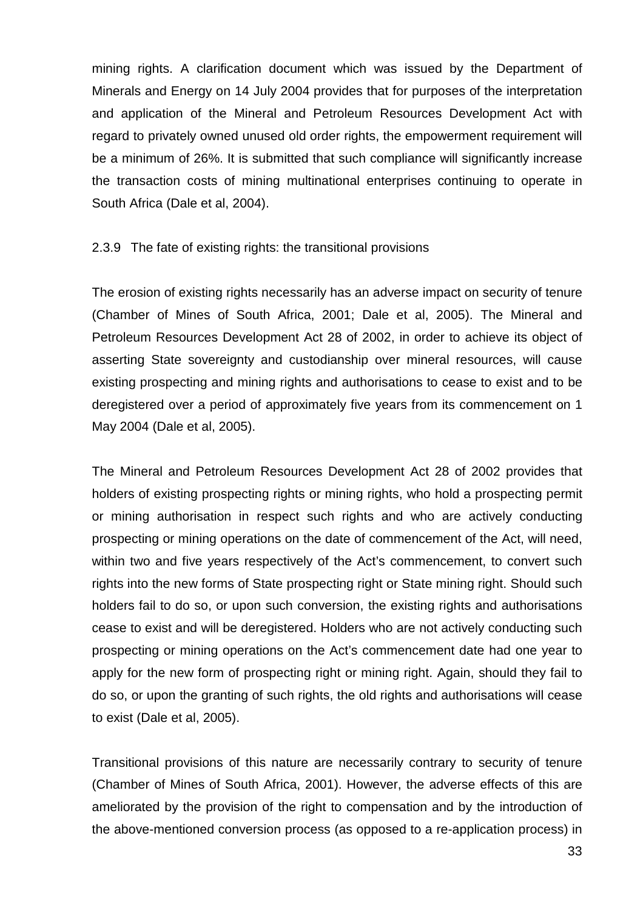mining rights. A clarification document which was issued by the Department of Minerals and Energy on 14 July 2004 provides that for purposes of the interpretation and application of the Mineral and Petroleum Resources Development Act with regard to privately owned unused old order rights, the empowerment requirement will be a minimum of 26%. It is submitted that such compliance will significantly increase the transaction costs of mining multinational enterprises continuing to operate in South Africa (Dale et al, 2004).

#### 2.3.9 The fate of existing rights: the transitional provisions

The erosion of existing rights necessarily has an adverse impact on security of tenure (Chamber of Mines of South Africa, 2001; Dale et al, 2005). The Mineral and Petroleum Resources Development Act 28 of 2002, in order to achieve its object of asserting State sovereignty and custodianship over mineral resources, will cause existing prospecting and mining rights and authorisations to cease to exist and to be deregistered over a period of approximately five years from its commencement on 1 May 2004 (Dale et al, 2005).

The Mineral and Petroleum Resources Development Act 28 of 2002 provides that holders of existing prospecting rights or mining rights, who hold a prospecting permit or mining authorisation in respect such rights and who are actively conducting prospecting or mining operations on the date of commencement of the Act, will need, within two and five years respectively of the Act's commencement, to convert such rights into the new forms of State prospecting right or State mining right. Should such holders fail to do so, or upon such conversion, the existing rights and authorisations cease to exist and will be deregistered. Holders who are not actively conducting such prospecting or mining operations on the Act's commencement date had one year to apply for the new form of prospecting right or mining right. Again, should they fail to do so, or upon the granting of such rights, the old rights and authorisations will cease to exist (Dale et al, 2005).

Transitional provisions of this nature are necessarily contrary to security of tenure (Chamber of Mines of South Africa, 2001). However, the adverse effects of this are ameliorated by the provision of the right to compensation and by the introduction of the above-mentioned conversion process (as opposed to a re-application process) in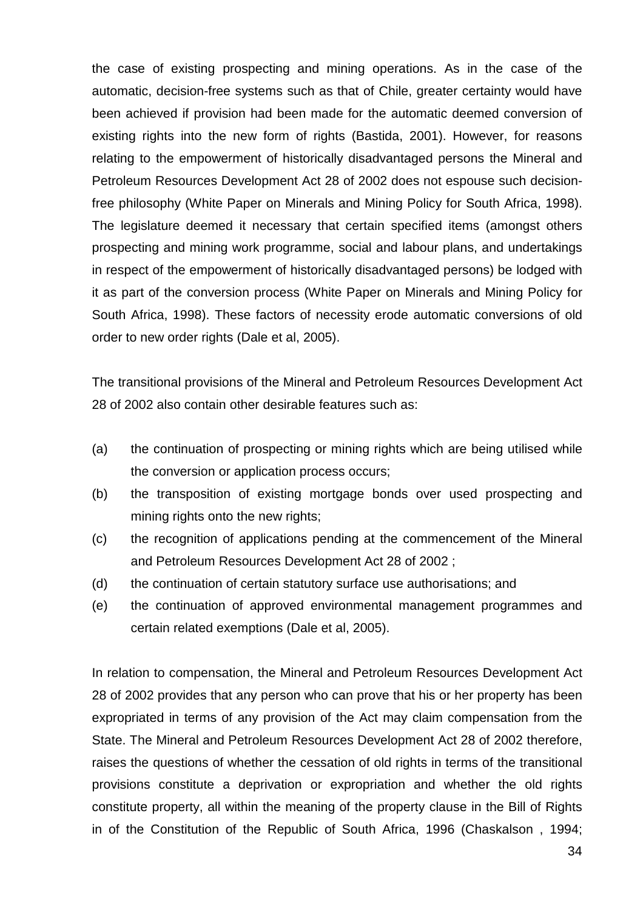the case of existing prospecting and mining operations. As in the case of the automatic, decision-free systems such as that of Chile, greater certainty would have been achieved if provision had been made for the automatic deemed conversion of existing rights into the new form of rights (Bastida, 2001). However, for reasons relating to the empowerment of historically disadvantaged persons the Mineral and Petroleum Resources Development Act 28 of 2002 does not espouse such decisionfree philosophy (White Paper on Minerals and Mining Policy for South Africa, 1998). The legislature deemed it necessary that certain specified items (amongst others prospecting and mining work programme, social and labour plans, and undertakings in respect of the empowerment of historically disadvantaged persons) be lodged with it as part of the conversion process (White Paper on Minerals and Mining Policy for South Africa, 1998). These factors of necessity erode automatic conversions of old order to new order rights (Dale et al, 2005).

The transitional provisions of the Mineral and Petroleum Resources Development Act 28 of 2002 also contain other desirable features such as:

- (a) the continuation of prospecting or mining rights which are being utilised while the conversion or application process occurs;
- (b) the transposition of existing mortgage bonds over used prospecting and mining rights onto the new rights;
- (c) the recognition of applications pending at the commencement of the Mineral and Petroleum Resources Development Act 28 of 2002 ;
- (d) the continuation of certain statutory surface use authorisations; and
- (e) the continuation of approved environmental management programmes and certain related exemptions (Dale et al, 2005).

In relation to compensation, the Mineral and Petroleum Resources Development Act 28 of 2002 provides that any person who can prove that his or her property has been expropriated in terms of any provision of the Act may claim compensation from the State. The Mineral and Petroleum Resources Development Act 28 of 2002 therefore, raises the questions of whether the cessation of old rights in terms of the transitional provisions constitute a deprivation or expropriation and whether the old rights constitute property, all within the meaning of the property clause in the Bill of Rights in of the Constitution of the Republic of South Africa, 1996 (Chaskalson , 1994;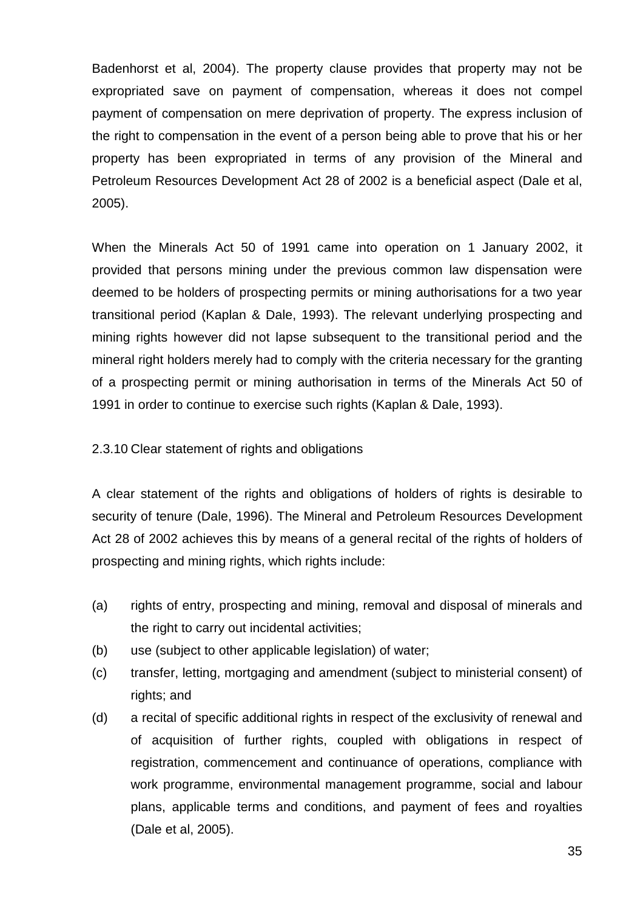Badenhorst et al, 2004). The property clause provides that property may not be expropriated save on payment of compensation, whereas it does not compel payment of compensation on mere deprivation of property. The express inclusion of the right to compensation in the event of a person being able to prove that his or her property has been expropriated in terms of any provision of the Mineral and Petroleum Resources Development Act 28 of 2002 is a beneficial aspect (Dale et al, 2005).

When the Minerals Act 50 of 1991 came into operation on 1 January 2002, it provided that persons mining under the previous common law dispensation were deemed to be holders of prospecting permits or mining authorisations for a two year transitional period (Kaplan & Dale, 1993). The relevant underlying prospecting and mining rights however did not lapse subsequent to the transitional period and the mineral right holders merely had to comply with the criteria necessary for the granting of a prospecting permit or mining authorisation in terms of the Minerals Act 50 of 1991 in order to continue to exercise such rights (Kaplan & Dale, 1993).

2.3.10 Clear statement of rights and obligations

A clear statement of the rights and obligations of holders of rights is desirable to security of tenure (Dale, 1996). The Mineral and Petroleum Resources Development Act 28 of 2002 achieves this by means of a general recital of the rights of holders of prospecting and mining rights, which rights include:

- (a) rights of entry, prospecting and mining, removal and disposal of minerals and the right to carry out incidental activities;
- (b) use (subject to other applicable legislation) of water;
- (c) transfer, letting, mortgaging and amendment (subject to ministerial consent) of rights; and
- (d) a recital of specific additional rights in respect of the exclusivity of renewal and of acquisition of further rights, coupled with obligations in respect of registration, commencement and continuance of operations, compliance with work programme, environmental management programme, social and labour plans, applicable terms and conditions, and payment of fees and royalties (Dale et al, 2005).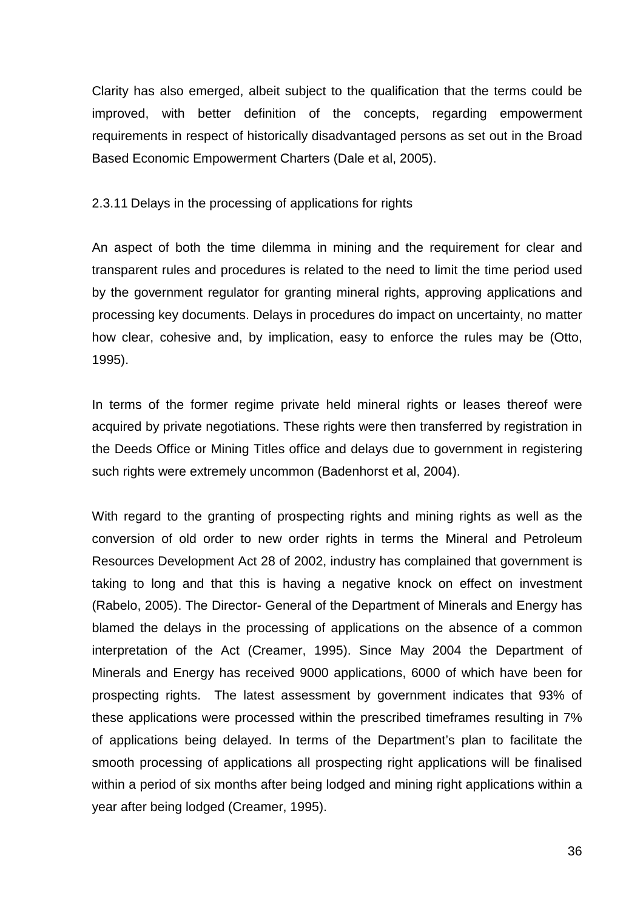Clarity has also emerged, albeit subject to the qualification that the terms could be improved, with better definition of the concepts, regarding empowerment requirements in respect of historically disadvantaged persons as set out in the Broad Based Economic Empowerment Charters (Dale et al, 2005).

2.3.11 Delays in the processing of applications for rights

An aspect of both the time dilemma in mining and the requirement for clear and transparent rules and procedures is related to the need to limit the time period used by the government regulator for granting mineral rights, approving applications and processing key documents. Delays in procedures do impact on uncertainty, no matter how clear, cohesive and, by implication, easy to enforce the rules may be (Otto, 1995).

In terms of the former regime private held mineral rights or leases thereof were acquired by private negotiations. These rights were then transferred by registration in the Deeds Office or Mining Titles office and delays due to government in registering such rights were extremely uncommon (Badenhorst et al, 2004).

With regard to the granting of prospecting rights and mining rights as well as the conversion of old order to new order rights in terms the Mineral and Petroleum Resources Development Act 28 of 2002, industry has complained that government is taking to long and that this is having a negative knock on effect on investment (Rabelo, 2005). The Director- General of the Department of Minerals and Energy has blamed the delays in the processing of applications on the absence of a common interpretation of the Act (Creamer, 1995). Since May 2004 the Department of Minerals and Energy has received 9000 applications, 6000 of which have been for prospecting rights. The latest assessment by government indicates that 93% of these applications were processed within the prescribed timeframes resulting in 7% of applications being delayed. In terms of the Department's plan to facilitate the smooth processing of applications all prospecting right applications will be finalised within a period of six months after being lodged and mining right applications within a year after being lodged (Creamer, 1995).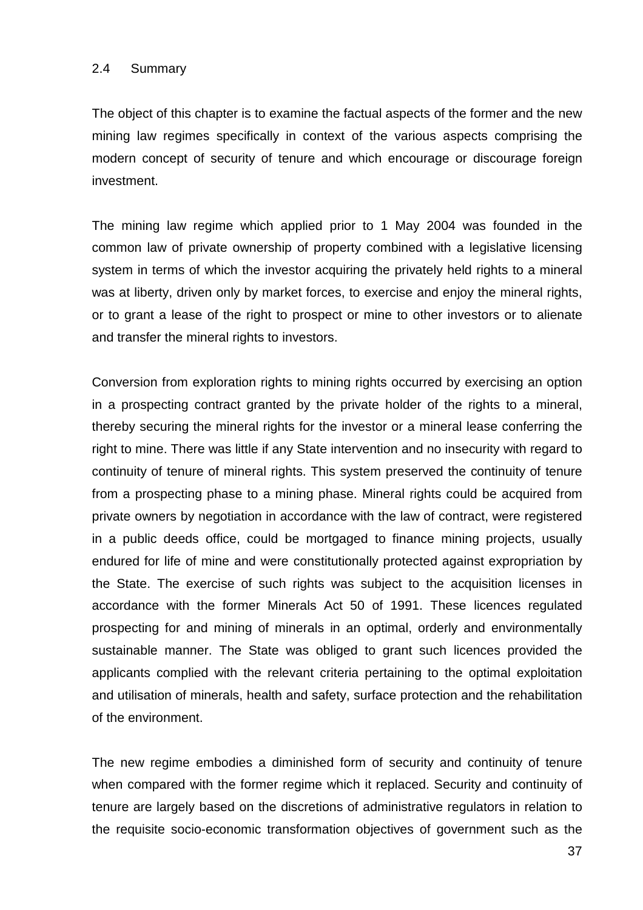#### 2.4 Summary

The object of this chapter is to examine the factual aspects of the former and the new mining law regimes specifically in context of the various aspects comprising the modern concept of security of tenure and which encourage or discourage foreign investment.

The mining law regime which applied prior to 1 May 2004 was founded in the common law of private ownership of property combined with a legislative licensing system in terms of which the investor acquiring the privately held rights to a mineral was at liberty, driven only by market forces, to exercise and enjoy the mineral rights, or to grant a lease of the right to prospect or mine to other investors or to alienate and transfer the mineral rights to investors.

Conversion from exploration rights to mining rights occurred by exercising an option in a prospecting contract granted by the private holder of the rights to a mineral, thereby securing the mineral rights for the investor or a mineral lease conferring the right to mine. There was little if any State intervention and no insecurity with regard to continuity of tenure of mineral rights. This system preserved the continuity of tenure from a prospecting phase to a mining phase. Mineral rights could be acquired from private owners by negotiation in accordance with the law of contract, were registered in a public deeds office, could be mortgaged to finance mining projects, usually endured for life of mine and were constitutionally protected against expropriation by the State. The exercise of such rights was subject to the acquisition licenses in accordance with the former Minerals Act 50 of 1991. These licences regulated prospecting for and mining of minerals in an optimal, orderly and environmentally sustainable manner. The State was obliged to grant such licences provided the applicants complied with the relevant criteria pertaining to the optimal exploitation and utilisation of minerals, health and safety, surface protection and the rehabilitation of the environment.

The new regime embodies a diminished form of security and continuity of tenure when compared with the former regime which it replaced. Security and continuity of tenure are largely based on the discretions of administrative regulators in relation to the requisite socio-economic transformation objectives of government such as the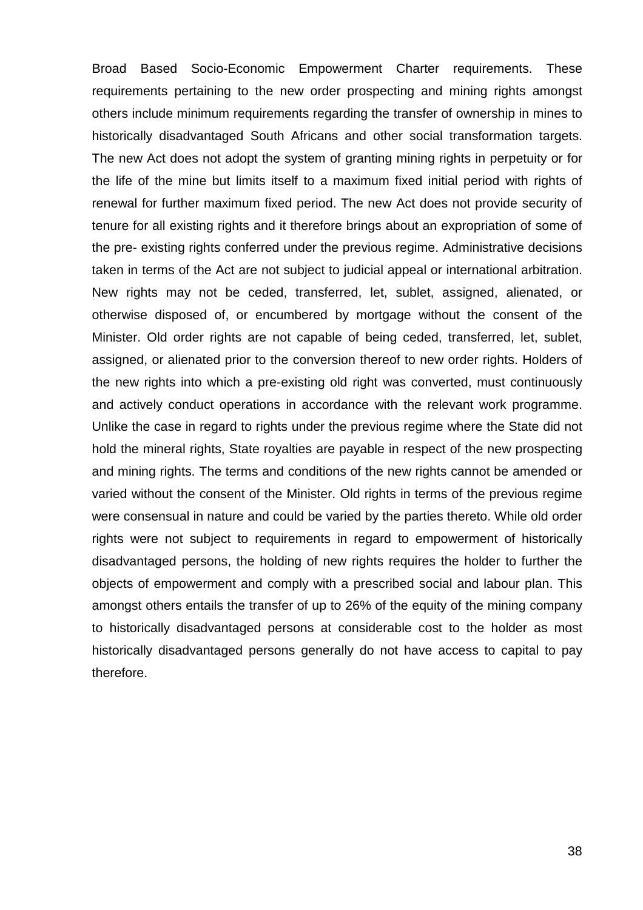Broad Based Socio-Economic Empowerment Charter requirements. These requirements pertaining to the new order prospecting and mining rights amongst others include minimum requirements regarding the transfer of ownership in mines to historically disadvantaged South Africans and other social transformation targets. The new Act does not adopt the system of granting mining rights in perpetuity or for the life of the mine but limits itself to a maximum fixed initial period with rights of renewal for further maximum fixed period. The new Act does not provide security of tenure for all existing rights and it therefore brings about an expropriation of some of the pre- existing rights conferred under the previous regime. Administrative decisions taken in terms of the Act are not subject to judicial appeal or international arbitration. New rights may not be ceded, transferred, let, sublet, assigned, alienated, or otherwise disposed of, or encumbered by mortgage without the consent of the Minister. Old order rights are not capable of being ceded, transferred, let, sublet, assigned, or alienated prior to the conversion thereof to new order rights. Holders of the new rights into which a pre-existing old right was converted, must continuously and actively conduct operations in accordance with the relevant work programme. Unlike the case in regard to rights under the previous regime where the State did not hold the mineral rights, State royalties are payable in respect of the new prospecting and mining rights. The terms and conditions of the new rights cannot be amended or varied without the consent of the Minister. Old rights in terms of the previous regime were consensual in nature and could be varied by the parties thereto. While old order rights were not subject to requirements in regard to empowerment of historically disadvantaged persons, the holding of new rights requires the holder to further the objects of empowerment and comply with a prescribed social and labour plan. This amongst others entails the transfer of up to 26% of the equity of the mining company to historically disadvantaged persons at considerable cost to the holder as most historically disadvantaged persons generally do not have access to capital to pay therefore.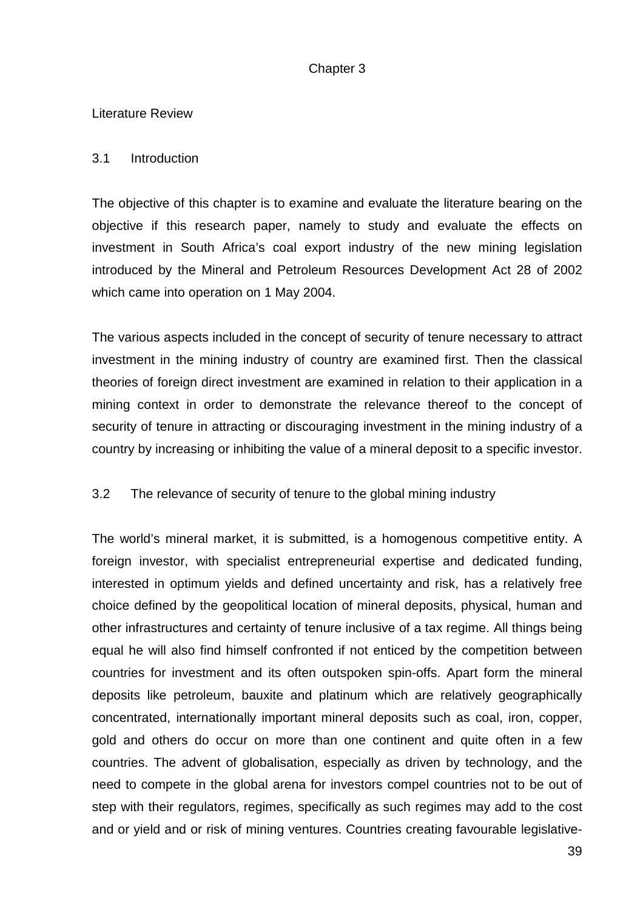# Chapter 3

### Literature Review

### 3.1 Introduction

The objective of this chapter is to examine and evaluate the literature bearing on the objective if this research paper, namely to study and evaluate the effects on investment in South Africa's coal export industry of the new mining legislation introduced by the Mineral and Petroleum Resources Development Act 28 of 2002 which came into operation on 1 May 2004.

The various aspects included in the concept of security of tenure necessary to attract investment in the mining industry of country are examined first. Then the classical theories of foreign direct investment are examined in relation to their application in a mining context in order to demonstrate the relevance thereof to the concept of security of tenure in attracting or discouraging investment in the mining industry of a country by increasing or inhibiting the value of a mineral deposit to a specific investor.

# 3.2 The relevance of security of tenure to the global mining industry

The world's mineral market, it is submitted, is a homogenous competitive entity. A foreign investor, with specialist entrepreneurial expertise and dedicated funding, interested in optimum yields and defined uncertainty and risk, has a relatively free choice defined by the geopolitical location of mineral deposits, physical, human and other infrastructures and certainty of tenure inclusive of a tax regime. All things being equal he will also find himself confronted if not enticed by the competition between countries for investment and its often outspoken spin-offs. Apart form the mineral deposits like petroleum, bauxite and platinum which are relatively geographically concentrated, internationally important mineral deposits such as coal, iron, copper, gold and others do occur on more than one continent and quite often in a few countries. The advent of globalisation, especially as driven by technology, and the need to compete in the global arena for investors compel countries not to be out of step with their regulators, regimes, specifically as such regimes may add to the cost and or yield and or risk of mining ventures. Countries creating favourable legislative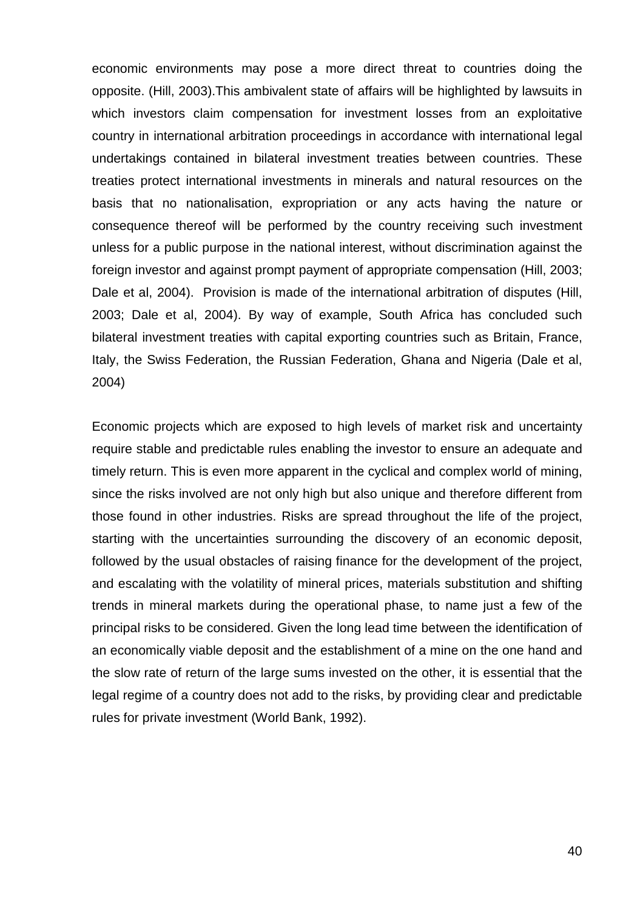economic environments may pose a more direct threat to countries doing the opposite. (Hill, 2003).This ambivalent state of affairs will be highlighted by lawsuits in which investors claim compensation for investment losses from an exploitative country in international arbitration proceedings in accordance with international legal undertakings contained in bilateral investment treaties between countries. These treaties protect international investments in minerals and natural resources on the basis that no nationalisation, expropriation or any acts having the nature or consequence thereof will be performed by the country receiving such investment unless for a public purpose in the national interest, without discrimination against the foreign investor and against prompt payment of appropriate compensation (Hill, 2003; Dale et al, 2004). Provision is made of the international arbitration of disputes (Hill, 2003; Dale et al, 2004). By way of example, South Africa has concluded such bilateral investment treaties with capital exporting countries such as Britain, France, Italy, the Swiss Federation, the Russian Federation, Ghana and Nigeria (Dale et al, 2004)

Economic projects which are exposed to high levels of market risk and uncertainty require stable and predictable rules enabling the investor to ensure an adequate and timely return. This is even more apparent in the cyclical and complex world of mining, since the risks involved are not only high but also unique and therefore different from those found in other industries. Risks are spread throughout the life of the project, starting with the uncertainties surrounding the discovery of an economic deposit, followed by the usual obstacles of raising finance for the development of the project, and escalating with the volatility of mineral prices, materials substitution and shifting trends in mineral markets during the operational phase, to name just a few of the principal risks to be considered. Given the long lead time between the identification of an economically viable deposit and the establishment of a mine on the one hand and the slow rate of return of the large sums invested on the other, it is essential that the legal regime of a country does not add to the risks, by providing clear and predictable rules for private investment (World Bank, 1992).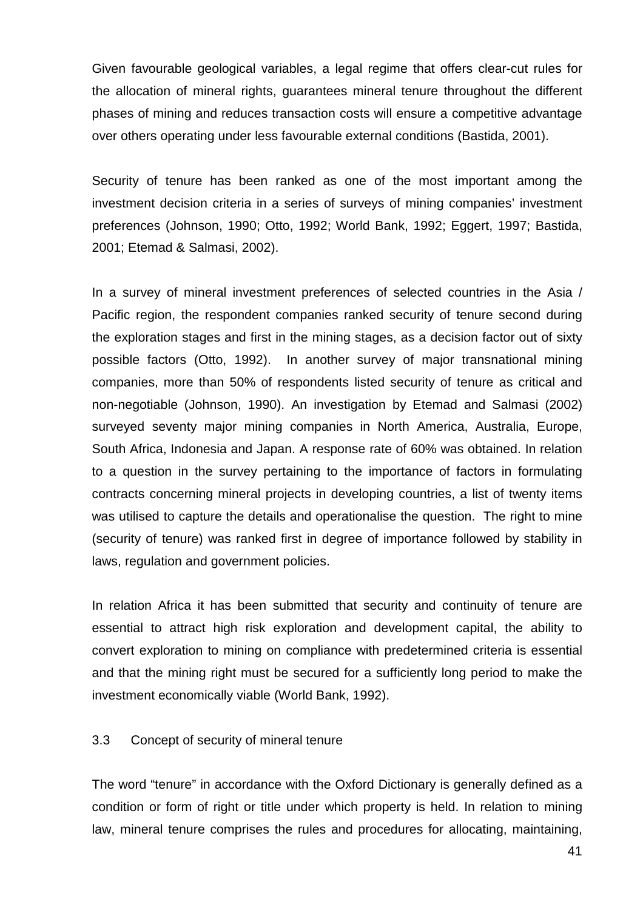Given favourable geological variables, a legal regime that offers clear-cut rules for the allocation of mineral rights, guarantees mineral tenure throughout the different phases of mining and reduces transaction costs will ensure a competitive advantage over others operating under less favourable external conditions (Bastida, 2001).

Security of tenure has been ranked as one of the most important among the investment decision criteria in a series of surveys of mining companies' investment preferences (Johnson, 1990; Otto, 1992; World Bank, 1992; Eggert, 1997; Bastida, 2001; Etemad & Salmasi, 2002).

In a survey of mineral investment preferences of selected countries in the Asia / Pacific region, the respondent companies ranked security of tenure second during the exploration stages and first in the mining stages, as a decision factor out of sixty possible factors (Otto, 1992). In another survey of major transnational mining companies, more than 50% of respondents listed security of tenure as critical and non-negotiable (Johnson, 1990). An investigation by Etemad and Salmasi (2002) surveyed seventy major mining companies in North America, Australia, Europe, South Africa, Indonesia and Japan. A response rate of 60% was obtained. In relation to a question in the survey pertaining to the importance of factors in formulating contracts concerning mineral projects in developing countries, a list of twenty items was utilised to capture the details and operationalise the question. The right to mine (security of tenure) was ranked first in degree of importance followed by stability in laws, regulation and government policies.

In relation Africa it has been submitted that security and continuity of tenure are essential to attract high risk exploration and development capital, the ability to convert exploration to mining on compliance with predetermined criteria is essential and that the mining right must be secured for a sufficiently long period to make the investment economically viable (World Bank, 1992).

#### 3.3 Concept of security of mineral tenure

The word "tenure" in accordance with the Oxford Dictionary is generally defined as a condition or form of right or title under which property is held. In relation to mining law, mineral tenure comprises the rules and procedures for allocating, maintaining,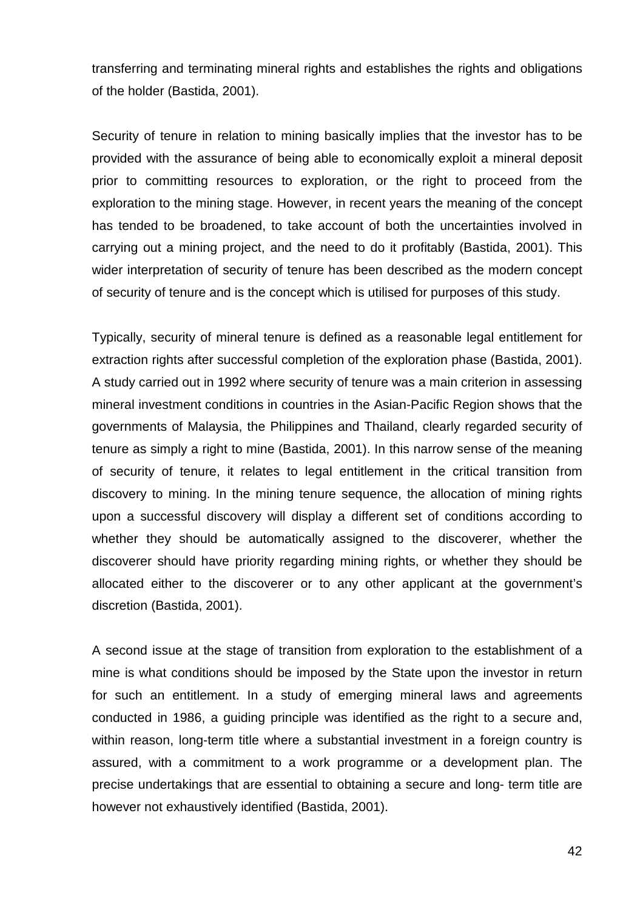transferring and terminating mineral rights and establishes the rights and obligations of the holder (Bastida, 2001).

Security of tenure in relation to mining basically implies that the investor has to be provided with the assurance of being able to economically exploit a mineral deposit prior to committing resources to exploration, or the right to proceed from the exploration to the mining stage. However, in recent years the meaning of the concept has tended to be broadened, to take account of both the uncertainties involved in carrying out a mining project, and the need to do it profitably (Bastida, 2001). This wider interpretation of security of tenure has been described as the modern concept of security of tenure and is the concept which is utilised for purposes of this study.

Typically, security of mineral tenure is defined as a reasonable legal entitlement for extraction rights after successful completion of the exploration phase (Bastida, 2001). A study carried out in 1992 where security of tenure was a main criterion in assessing mineral investment conditions in countries in the Asian-Pacific Region shows that the governments of Malaysia, the Philippines and Thailand, clearly regarded security of tenure as simply a right to mine (Bastida, 2001). In this narrow sense of the meaning of security of tenure, it relates to legal entitlement in the critical transition from discovery to mining. In the mining tenure sequence, the allocation of mining rights upon a successful discovery will display a different set of conditions according to whether they should be automatically assigned to the discoverer, whether the discoverer should have priority regarding mining rights, or whether they should be allocated either to the discoverer or to any other applicant at the government's discretion (Bastida, 2001).

A second issue at the stage of transition from exploration to the establishment of a mine is what conditions should be imposed by the State upon the investor in return for such an entitlement. In a study of emerging mineral laws and agreements conducted in 1986, a guiding principle was identified as the right to a secure and, within reason, long-term title where a substantial investment in a foreign country is assured, with a commitment to a work programme or a development plan. The precise undertakings that are essential to obtaining a secure and long- term title are however not exhaustively identified (Bastida, 2001).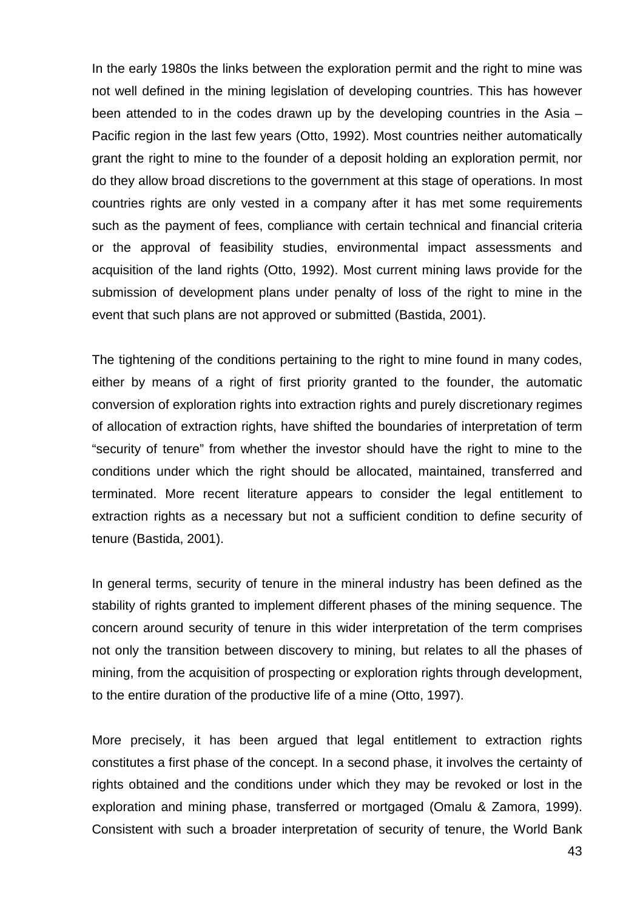In the early 1980s the links between the exploration permit and the right to mine was not well defined in the mining legislation of developing countries. This has however been attended to in the codes drawn up by the developing countries in the Asia – Pacific region in the last few years (Otto, 1992). Most countries neither automatically grant the right to mine to the founder of a deposit holding an exploration permit, nor do they allow broad discretions to the government at this stage of operations. In most countries rights are only vested in a company after it has met some requirements such as the payment of fees, compliance with certain technical and financial criteria or the approval of feasibility studies, environmental impact assessments and acquisition of the land rights (Otto, 1992). Most current mining laws provide for the submission of development plans under penalty of loss of the right to mine in the event that such plans are not approved or submitted (Bastida, 2001).

The tightening of the conditions pertaining to the right to mine found in many codes, either by means of a right of first priority granted to the founder, the automatic conversion of exploration rights into extraction rights and purely discretionary regimes of allocation of extraction rights, have shifted the boundaries of interpretation of term "security of tenure" from whether the investor should have the right to mine to the conditions under which the right should be allocated, maintained, transferred and terminated. More recent literature appears to consider the legal entitlement to extraction rights as a necessary but not a sufficient condition to define security of tenure (Bastida, 2001).

In general terms, security of tenure in the mineral industry has been defined as the stability of rights granted to implement different phases of the mining sequence. The concern around security of tenure in this wider interpretation of the term comprises not only the transition between discovery to mining, but relates to all the phases of mining, from the acquisition of prospecting or exploration rights through development, to the entire duration of the productive life of a mine (Otto, 1997).

More precisely, it has been argued that legal entitlement to extraction rights constitutes a first phase of the concept. In a second phase, it involves the certainty of rights obtained and the conditions under which they may be revoked or lost in the exploration and mining phase, transferred or mortgaged (Omalu & Zamora, 1999). Consistent with such a broader interpretation of security of tenure, the World Bank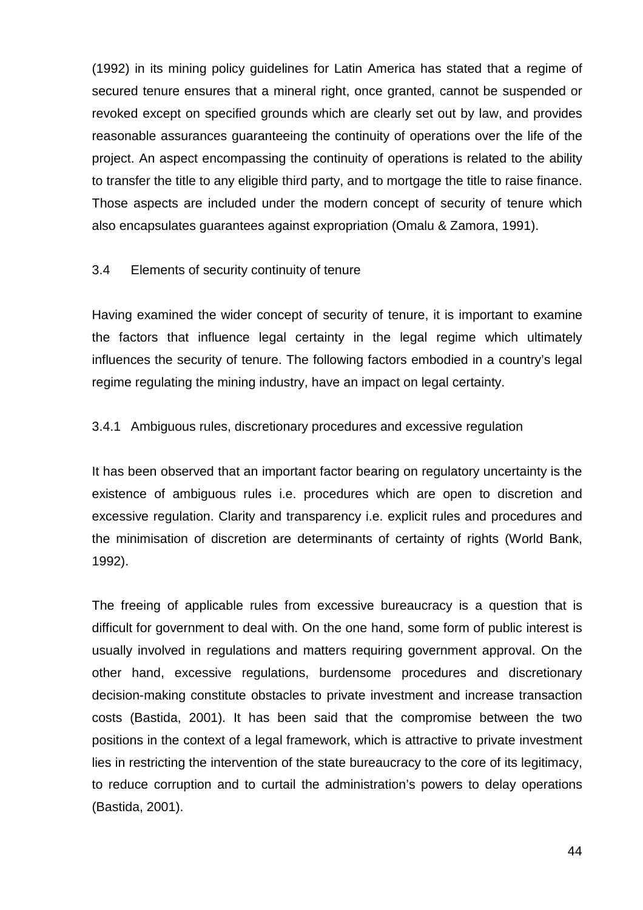(1992) in its mining policy guidelines for Latin America has stated that a regime of secured tenure ensures that a mineral right, once granted, cannot be suspended or revoked except on specified grounds which are clearly set out by law, and provides reasonable assurances guaranteeing the continuity of operations over the life of the project. An aspect encompassing the continuity of operations is related to the ability to transfer the title to any eligible third party, and to mortgage the title to raise finance. Those aspects are included under the modern concept of security of tenure which also encapsulates guarantees against expropriation (Omalu & Zamora, 1991).

# 3.4 Elements of security continuity of tenure

Having examined the wider concept of security of tenure, it is important to examine the factors that influence legal certainty in the legal regime which ultimately influences the security of tenure. The following factors embodied in a country's legal regime regulating the mining industry, have an impact on legal certainty.

# 3.4.1 Ambiguous rules, discretionary procedures and excessive regulation

It has been observed that an important factor bearing on regulatory uncertainty is the existence of ambiguous rules i.e. procedures which are open to discretion and excessive regulation. Clarity and transparency i.e. explicit rules and procedures and the minimisation of discretion are determinants of certainty of rights (World Bank, 1992).

The freeing of applicable rules from excessive bureaucracy is a question that is difficult for government to deal with. On the one hand, some form of public interest is usually involved in regulations and matters requiring government approval. On the other hand, excessive regulations, burdensome procedures and discretionary decision-making constitute obstacles to private investment and increase transaction costs (Bastida, 2001). It has been said that the compromise between the two positions in the context of a legal framework, which is attractive to private investment lies in restricting the intervention of the state bureaucracy to the core of its legitimacy, to reduce corruption and to curtail the administration's powers to delay operations (Bastida, 2001).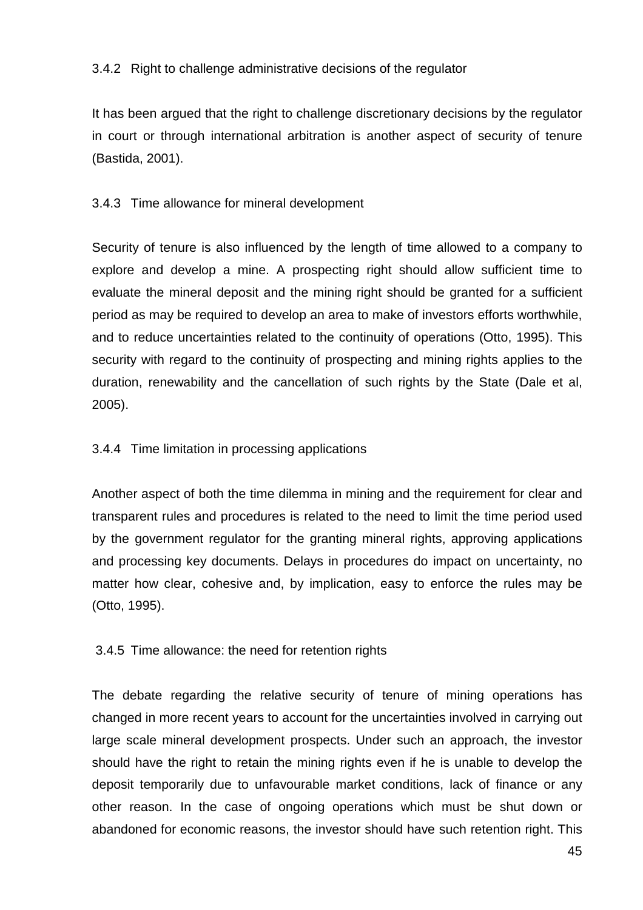# 3.4.2 Right to challenge administrative decisions of the regulator

It has been argued that the right to challenge discretionary decisions by the regulator in court or through international arbitration is another aspect of security of tenure (Bastida, 2001).

# 3.4.3 Time allowance for mineral development

Security of tenure is also influenced by the length of time allowed to a company to explore and develop a mine. A prospecting right should allow sufficient time to evaluate the mineral deposit and the mining right should be granted for a sufficient period as may be required to develop an area to make of investors efforts worthwhile, and to reduce uncertainties related to the continuity of operations (Otto, 1995). This security with regard to the continuity of prospecting and mining rights applies to the duration, renewability and the cancellation of such rights by the State (Dale et al, 2005).

### 3.4.4 Time limitation in processing applications

Another aspect of both the time dilemma in mining and the requirement for clear and transparent rules and procedures is related to the need to limit the time period used by the government regulator for the granting mineral rights, approving applications and processing key documents. Delays in procedures do impact on uncertainty, no matter how clear, cohesive and, by implication, easy to enforce the rules may be (Otto, 1995).

# 3.4.5 Time allowance: the need for retention rights

The debate regarding the relative security of tenure of mining operations has changed in more recent years to account for the uncertainties involved in carrying out large scale mineral development prospects. Under such an approach, the investor should have the right to retain the mining rights even if he is unable to develop the deposit temporarily due to unfavourable market conditions, lack of finance or any other reason. In the case of ongoing operations which must be shut down or abandoned for economic reasons, the investor should have such retention right. This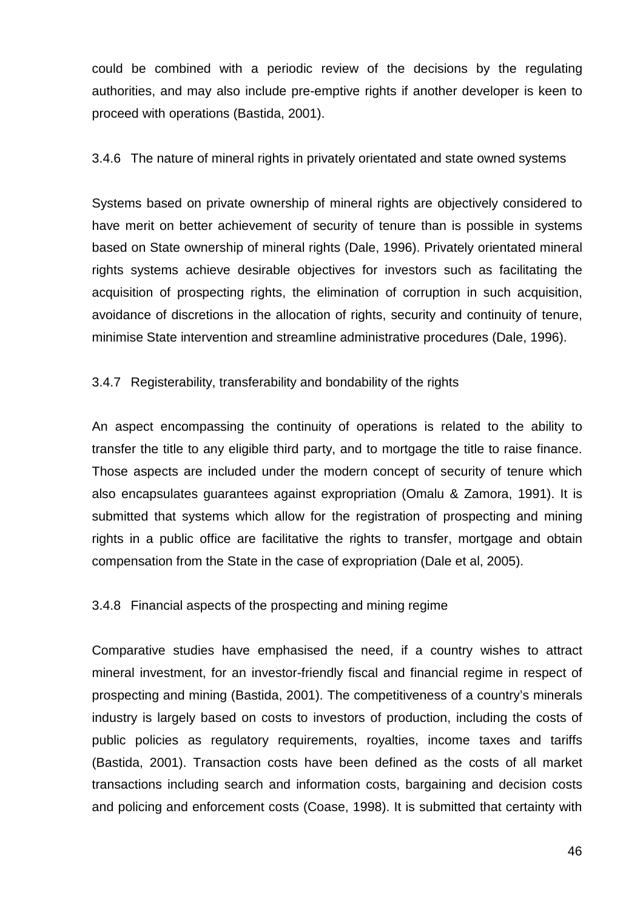could be combined with a periodic review of the decisions by the regulating authorities, and may also include pre-emptive rights if another developer is keen to proceed with operations (Bastida, 2001).

### 3.4.6 The nature of mineral rights in privately orientated and state owned systems

Systems based on private ownership of mineral rights are objectively considered to have merit on better achievement of security of tenure than is possible in systems based on State ownership of mineral rights (Dale, 1996). Privately orientated mineral rights systems achieve desirable objectives for investors such as facilitating the acquisition of prospecting rights, the elimination of corruption in such acquisition, avoidance of discretions in the allocation of rights, security and continuity of tenure, minimise State intervention and streamline administrative procedures (Dale, 1996).

# 3.4.7 Registerability, transferability and bondability of the rights

An aspect encompassing the continuity of operations is related to the ability to transfer the title to any eligible third party, and to mortgage the title to raise finance. Those aspects are included under the modern concept of security of tenure which also encapsulates guarantees against expropriation (Omalu & Zamora, 1991). It is submitted that systems which allow for the registration of prospecting and mining rights in a public office are facilitative the rights to transfer, mortgage and obtain compensation from the State in the case of expropriation (Dale et al, 2005).

#### 3.4.8 Financial aspects of the prospecting and mining regime

Comparative studies have emphasised the need, if a country wishes to attract mineral investment, for an investor-friendly fiscal and financial regime in respect of prospecting and mining (Bastida, 2001). The competitiveness of a country's minerals industry is largely based on costs to investors of production, including the costs of public policies as regulatory requirements, royalties, income taxes and tariffs (Bastida, 2001). Transaction costs have been defined as the costs of all market transactions including search and information costs, bargaining and decision costs and policing and enforcement costs (Coase, 1998). It is submitted that certainty with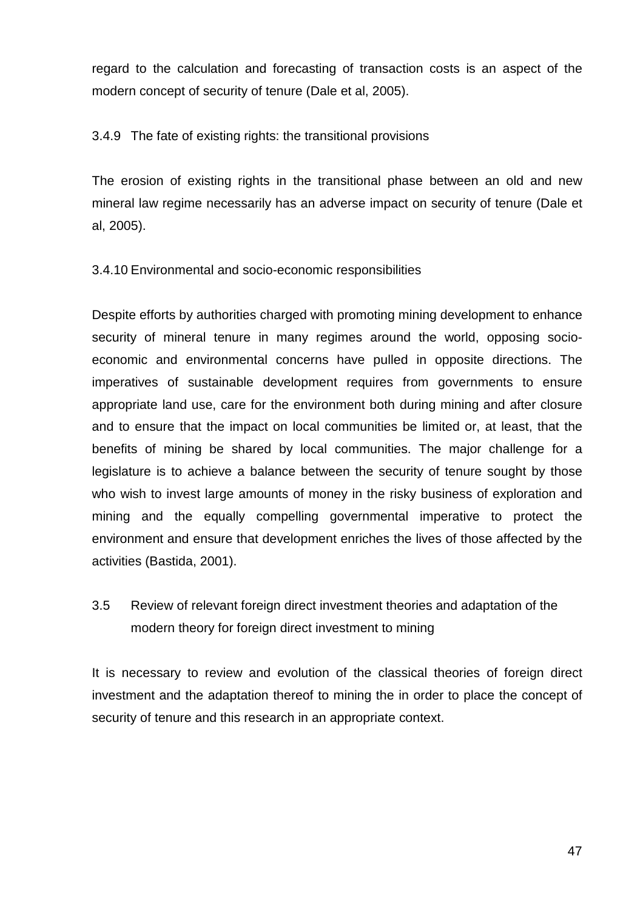regard to the calculation and forecasting of transaction costs is an aspect of the modern concept of security of tenure (Dale et al, 2005).

3.4.9 The fate of existing rights: the transitional provisions

The erosion of existing rights in the transitional phase between an old and new mineral law regime necessarily has an adverse impact on security of tenure (Dale et al, 2005).

3.4.10 Environmental and socio-economic responsibilities

Despite efforts by authorities charged with promoting mining development to enhance security of mineral tenure in many regimes around the world, opposing socioeconomic and environmental concerns have pulled in opposite directions. The imperatives of sustainable development requires from governments to ensure appropriate land use, care for the environment both during mining and after closure and to ensure that the impact on local communities be limited or, at least, that the benefits of mining be shared by local communities. The major challenge for a legislature is to achieve a balance between the security of tenure sought by those who wish to invest large amounts of money in the risky business of exploration and mining and the equally compelling governmental imperative to protect the environment and ensure that development enriches the lives of those affected by the activities (Bastida, 2001).

3.5 Review of relevant foreign direct investment theories and adaptation of the modern theory for foreign direct investment to mining

It is necessary to review and evolution of the classical theories of foreign direct investment and the adaptation thereof to mining the in order to place the concept of security of tenure and this research in an appropriate context.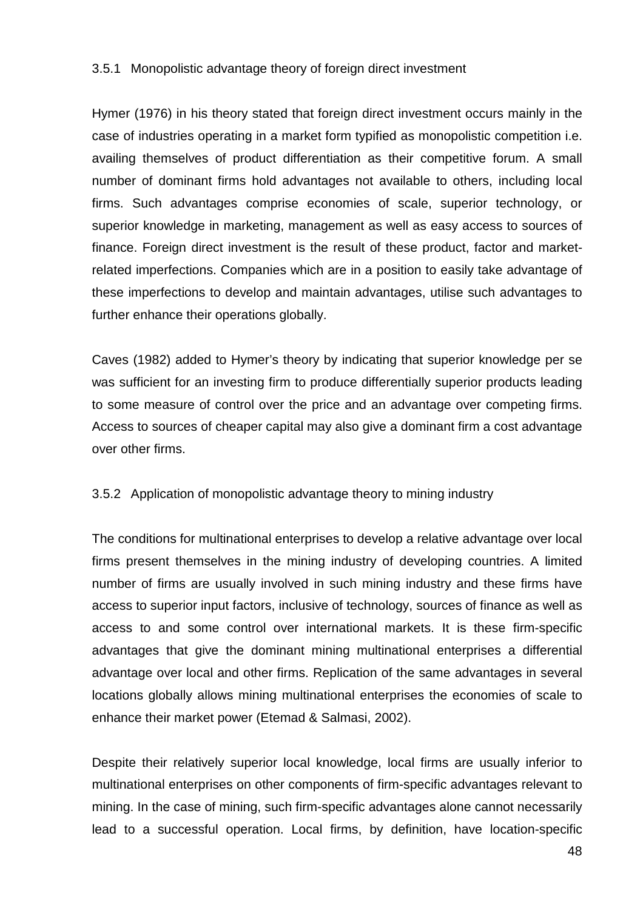### 3.5.1 Monopolistic advantage theory of foreign direct investment

Hymer (1976) in his theory stated that foreign direct investment occurs mainly in the case of industries operating in a market form typified as monopolistic competition i.e. availing themselves of product differentiation as their competitive forum. A small number of dominant firms hold advantages not available to others, including local firms. Such advantages comprise economies of scale, superior technology, or superior knowledge in marketing, management as well as easy access to sources of finance. Foreign direct investment is the result of these product, factor and marketrelated imperfections. Companies which are in a position to easily take advantage of these imperfections to develop and maintain advantages, utilise such advantages to further enhance their operations globally.

Caves (1982) added to Hymer's theory by indicating that superior knowledge per se was sufficient for an investing firm to produce differentially superior products leading to some measure of control over the price and an advantage over competing firms. Access to sources of cheaper capital may also give a dominant firm a cost advantage over other firms.

# 3.5.2 Application of monopolistic advantage theory to mining industry

The conditions for multinational enterprises to develop a relative advantage over local firms present themselves in the mining industry of developing countries. A limited number of firms are usually involved in such mining industry and these firms have access to superior input factors, inclusive of technology, sources of finance as well as access to and some control over international markets. It is these firm-specific advantages that give the dominant mining multinational enterprises a differential advantage over local and other firms. Replication of the same advantages in several locations globally allows mining multinational enterprises the economies of scale to enhance their market power (Etemad & Salmasi, 2002).

Despite their relatively superior local knowledge, local firms are usually inferior to multinational enterprises on other components of firm-specific advantages relevant to mining. In the case of mining, such firm-specific advantages alone cannot necessarily lead to a successful operation. Local firms, by definition, have location-specific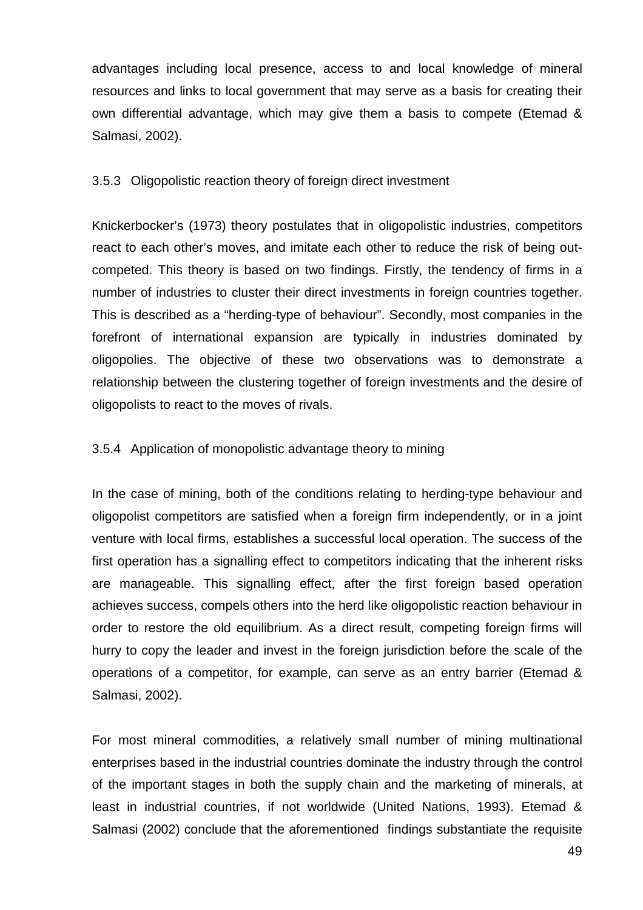advantages including local presence, access to and local knowledge of mineral resources and links to local government that may serve as a basis for creating their own differential advantage, which may give them a basis to compete (Etemad & Salmasi, 2002).

### 3.5.3 Oligopolistic reaction theory of foreign direct investment

Knickerbocker's (1973) theory postulates that in oligopolistic industries, competitors react to each other's moves, and imitate each other to reduce the risk of being outcompeted. This theory is based on two findings. Firstly, the tendency of firms in a number of industries to cluster their direct investments in foreign countries together. This is described as a "herding-type of behaviour". Secondly, most companies in the forefront of international expansion are typically in industries dominated by oligopolies. The objective of these two observations was to demonstrate a relationship between the clustering together of foreign investments and the desire of oligopolists to react to the moves of rivals.

### 3.5.4 Application of monopolistic advantage theory to mining

In the case of mining, both of the conditions relating to herding-type behaviour and oligopolist competitors are satisfied when a foreign firm independently, or in a joint venture with local firms, establishes a successful local operation. The success of the first operation has a signalling effect to competitors indicating that the inherent risks are manageable. This signalling effect, after the first foreign based operation achieves success, compels others into the herd like oligopolistic reaction behaviour in order to restore the old equilibrium. As a direct result, competing foreign firms will hurry to copy the leader and invest in the foreign jurisdiction before the scale of the operations of a competitor, for example, can serve as an entry barrier (Etemad & Salmasi, 2002).

For most mineral commodities, a relatively small number of mining multinational enterprises based in the industrial countries dominate the industry through the control of the important stages in both the supply chain and the marketing of minerals, at least in industrial countries, if not worldwide (United Nations, 1993). Etemad & Salmasi (2002) conclude that the aforementioned findings substantiate the requisite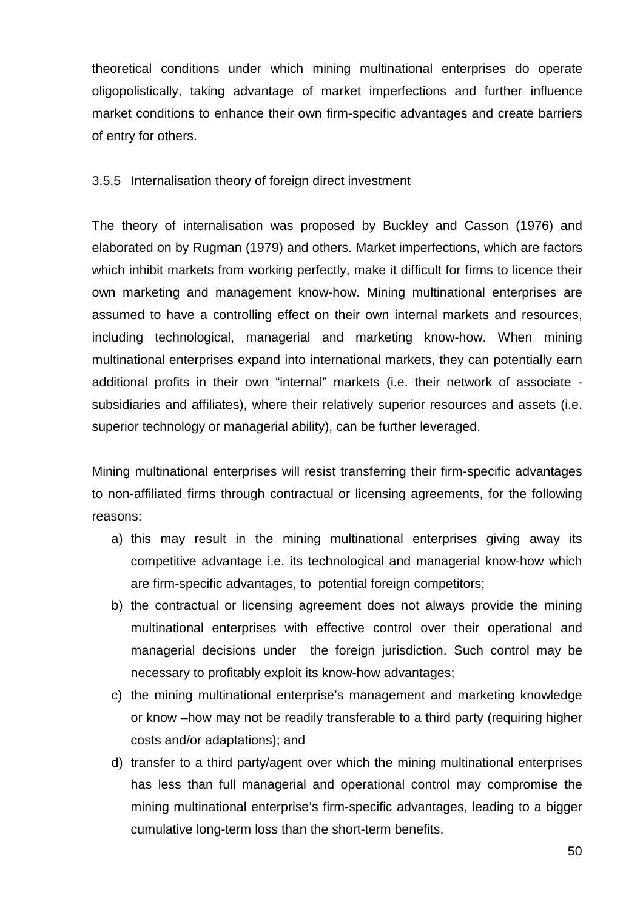theoretical conditions under which mining multinational enterprises do operate oligopolistically, taking advantage of market imperfections and further influence market conditions to enhance their own firm-specific advantages and create barriers of entry for others.

### 3.5.5 Internalisation theory of foreign direct investment

The theory of internalisation was proposed by Buckley and Casson (1976) and elaborated on by Rugman (1979) and others. Market imperfections, which are factors which inhibit markets from working perfectly, make it difficult for firms to licence their own marketing and management know-how. Mining multinational enterprises are assumed to have a controlling effect on their own internal markets and resources, including technological, managerial and marketing know-how. When mining multinational enterprises expand into international markets, they can potentially earn additional profits in their own "internal" markets (i.e. their network of associate subsidiaries and affiliates), where their relatively superior resources and assets (i.e. superior technology or managerial ability), can be further leveraged.

Mining multinational enterprises will resist transferring their firm-specific advantages to non-affiliated firms through contractual or licensing agreements, for the following reasons:

- a) this may result in the mining multinational enterprises giving away its competitive advantage i.e. its technological and managerial know-how which are firm-specific advantages, to potential foreign competitors;
- b) the contractual or licensing agreement does not always provide the mining multinational enterprises with effective control over their operational and managerial decisions under the foreign jurisdiction. Such control may be necessary to profitably exploit its know-how advantages;
- c) the mining multinational enterprise's management and marketing knowledge or know –how may not be readily transferable to a third party (requiring higher costs and/or adaptations); and
- d) transfer to a third party/agent over which the mining multinational enterprises has less than full managerial and operational control may compromise the mining multinational enterprise's firm-specific advantages, leading to a bigger cumulative long-term loss than the short-term benefits.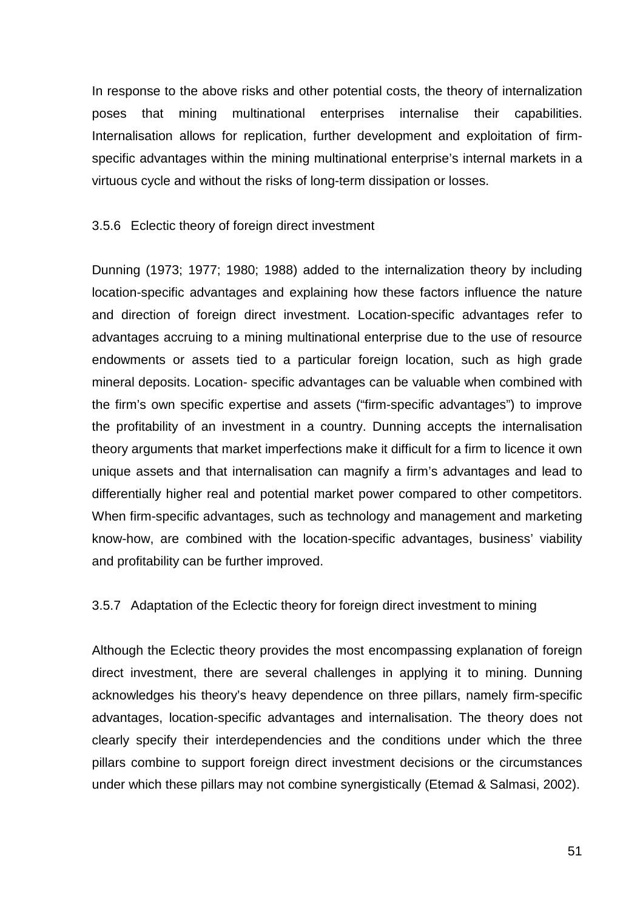In response to the above risks and other potential costs, the theory of internalization poses that mining multinational enterprises internalise their capabilities. Internalisation allows for replication, further development and exploitation of firmspecific advantages within the mining multinational enterprise's internal markets in a virtuous cycle and without the risks of long-term dissipation or losses.

#### 3.5.6 Eclectic theory of foreign direct investment

Dunning (1973; 1977; 1980; 1988) added to the internalization theory by including location-specific advantages and explaining how these factors influence the nature and direction of foreign direct investment. Location-specific advantages refer to advantages accruing to a mining multinational enterprise due to the use of resource endowments or assets tied to a particular foreign location, such as high grade mineral deposits. Location- specific advantages can be valuable when combined with the firm's own specific expertise and assets ("firm-specific advantages") to improve the profitability of an investment in a country. Dunning accepts the internalisation theory arguments that market imperfections make it difficult for a firm to licence it own unique assets and that internalisation can magnify a firm's advantages and lead to differentially higher real and potential market power compared to other competitors. When firm-specific advantages, such as technology and management and marketing know-how, are combined with the location-specific advantages, business' viability and profitability can be further improved.

#### 3.5.7 Adaptation of the Eclectic theory for foreign direct investment to mining

Although the Eclectic theory provides the most encompassing explanation of foreign direct investment, there are several challenges in applying it to mining. Dunning acknowledges his theory's heavy dependence on three pillars, namely firm-specific advantages, location-specific advantages and internalisation. The theory does not clearly specify their interdependencies and the conditions under which the three pillars combine to support foreign direct investment decisions or the circumstances under which these pillars may not combine synergistically (Etemad & Salmasi, 2002).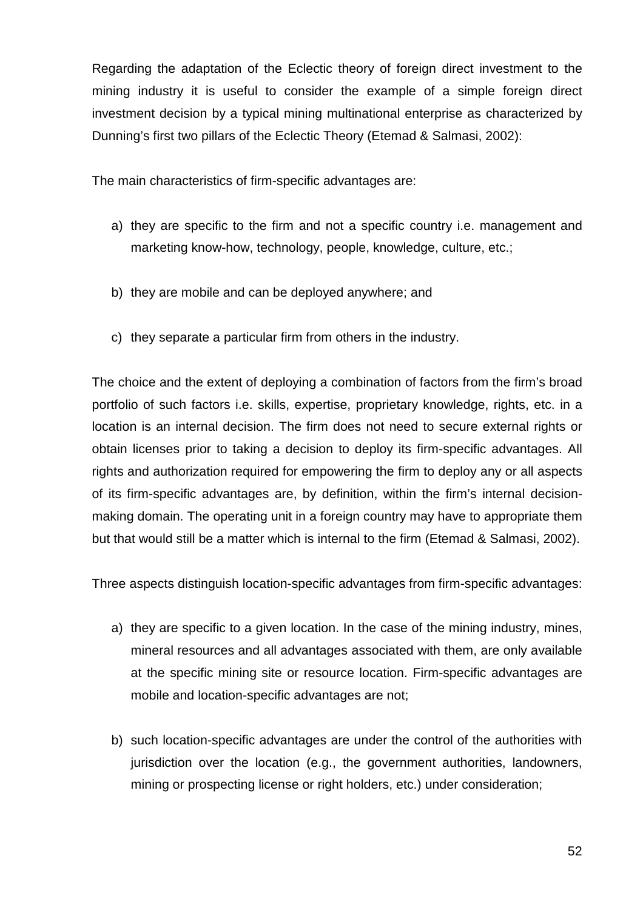Regarding the adaptation of the Eclectic theory of foreign direct investment to the mining industry it is useful to consider the example of a simple foreign direct investment decision by a typical mining multinational enterprise as characterized by Dunning's first two pillars of the Eclectic Theory (Etemad & Salmasi, 2002):

The main characteristics of firm-specific advantages are:

- a) they are specific to the firm and not a specific country i.e. management and marketing know-how, technology, people, knowledge, culture, etc.;
- b) they are mobile and can be deployed anywhere; and
- c) they separate a particular firm from others in the industry.

The choice and the extent of deploying a combination of factors from the firm's broad portfolio of such factors i.e. skills, expertise, proprietary knowledge, rights, etc. in a location is an internal decision. The firm does not need to secure external rights or obtain licenses prior to taking a decision to deploy its firm-specific advantages. All rights and authorization required for empowering the firm to deploy any or all aspects of its firm-specific advantages are, by definition, within the firm's internal decisionmaking domain. The operating unit in a foreign country may have to appropriate them but that would still be a matter which is internal to the firm (Etemad & Salmasi, 2002).

Three aspects distinguish location-specific advantages from firm-specific advantages:

- a) they are specific to a given location. In the case of the mining industry, mines, mineral resources and all advantages associated with them, are only available at the specific mining site or resource location. Firm-specific advantages are mobile and location-specific advantages are not;
- b) such location-specific advantages are under the control of the authorities with jurisdiction over the location (e.g., the government authorities, landowners, mining or prospecting license or right holders, etc.) under consideration;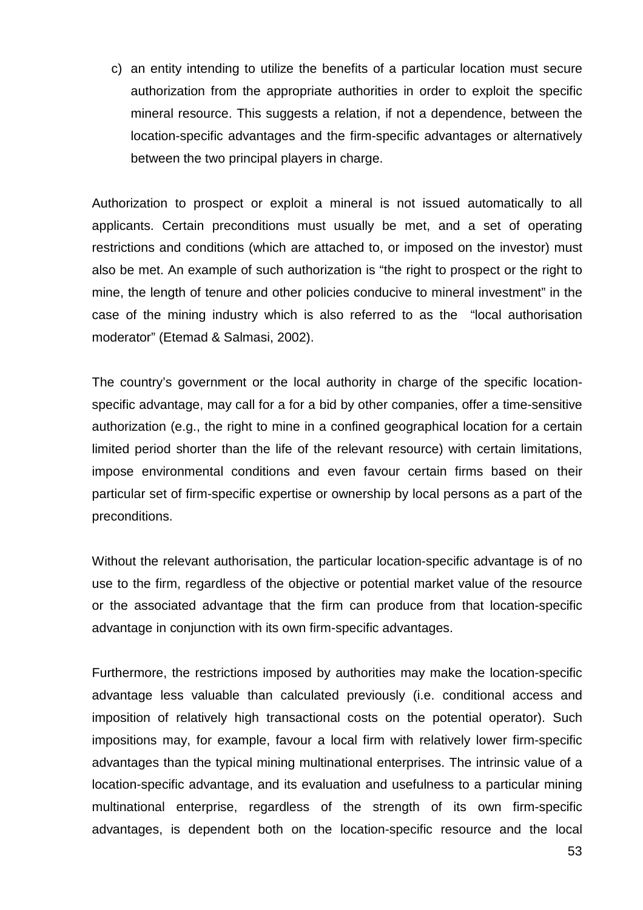c) an entity intending to utilize the benefits of a particular location must secure authorization from the appropriate authorities in order to exploit the specific mineral resource. This suggests a relation, if not a dependence, between the location-specific advantages and the firm-specific advantages or alternatively between the two principal players in charge.

Authorization to prospect or exploit a mineral is not issued automatically to all applicants. Certain preconditions must usually be met, and a set of operating restrictions and conditions (which are attached to, or imposed on the investor) must also be met. An example of such authorization is "the right to prospect or the right to mine, the length of tenure and other policies conducive to mineral investment" in the case of the mining industry which is also referred to as the "local authorisation moderator" (Etemad & Salmasi, 2002).

The country's government or the local authority in charge of the specific locationspecific advantage, may call for a for a bid by other companies, offer a time-sensitive authorization (e.g., the right to mine in a confined geographical location for a certain limited period shorter than the life of the relevant resource) with certain limitations, impose environmental conditions and even favour certain firms based on their particular set of firm-specific expertise or ownership by local persons as a part of the preconditions.

Without the relevant authorisation, the particular location-specific advantage is of no use to the firm, regardless of the objective or potential market value of the resource or the associated advantage that the firm can produce from that location-specific advantage in conjunction with its own firm-specific advantages.

Furthermore, the restrictions imposed by authorities may make the location-specific advantage less valuable than calculated previously (i.e. conditional access and imposition of relatively high transactional costs on the potential operator). Such impositions may, for example, favour a local firm with relatively lower firm-specific advantages than the typical mining multinational enterprises. The intrinsic value of a location-specific advantage, and its evaluation and usefulness to a particular mining multinational enterprise, regardless of the strength of its own firm-specific advantages, is dependent both on the location-specific resource and the local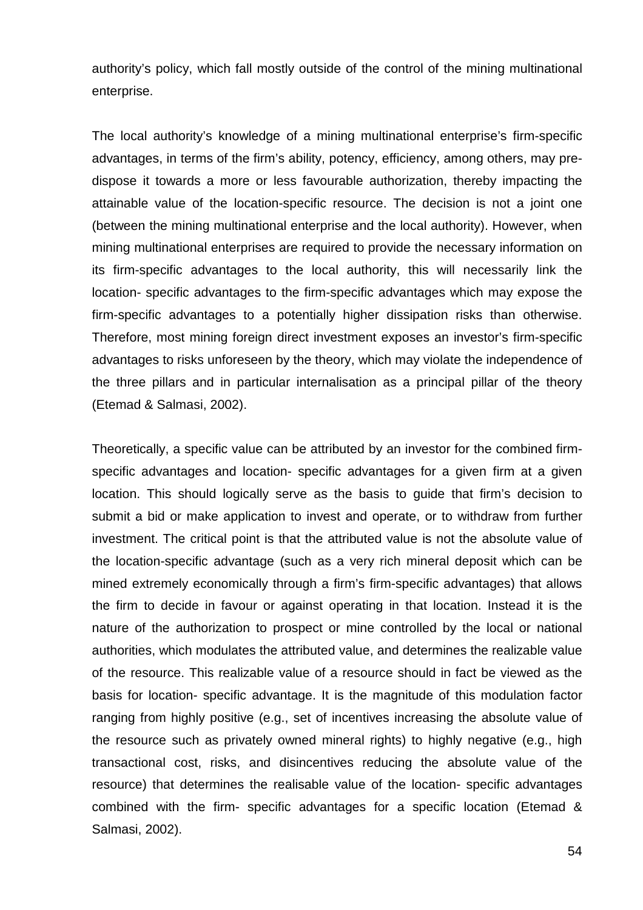authority's policy, which fall mostly outside of the control of the mining multinational enterprise.

The local authority's knowledge of a mining multinational enterprise's firm-specific advantages, in terms of the firm's ability, potency, efficiency, among others, may predispose it towards a more or less favourable authorization, thereby impacting the attainable value of the location-specific resource. The decision is not a joint one (between the mining multinational enterprise and the local authority). However, when mining multinational enterprises are required to provide the necessary information on its firm-specific advantages to the local authority, this will necessarily link the location- specific advantages to the firm-specific advantages which may expose the firm-specific advantages to a potentially higher dissipation risks than otherwise. Therefore, most mining foreign direct investment exposes an investor's firm-specific advantages to risks unforeseen by the theory, which may violate the independence of the three pillars and in particular internalisation as a principal pillar of the theory (Etemad & Salmasi, 2002).

Theoretically, a specific value can be attributed by an investor for the combined firmspecific advantages and location- specific advantages for a given firm at a given location. This should logically serve as the basis to guide that firm's decision to submit a bid or make application to invest and operate, or to withdraw from further investment. The critical point is that the attributed value is not the absolute value of the location-specific advantage (such as a very rich mineral deposit which can be mined extremely economically through a firm's firm-specific advantages) that allows the firm to decide in favour or against operating in that location. Instead it is the nature of the authorization to prospect or mine controlled by the local or national authorities, which modulates the attributed value, and determines the realizable value of the resource. This realizable value of a resource should in fact be viewed as the basis for location- specific advantage. It is the magnitude of this modulation factor ranging from highly positive (e.g., set of incentives increasing the absolute value of the resource such as privately owned mineral rights) to highly negative (e.g., high transactional cost, risks, and disincentives reducing the absolute value of the resource) that determines the realisable value of the location- specific advantages combined with the firm- specific advantages for a specific location (Etemad & Salmasi, 2002).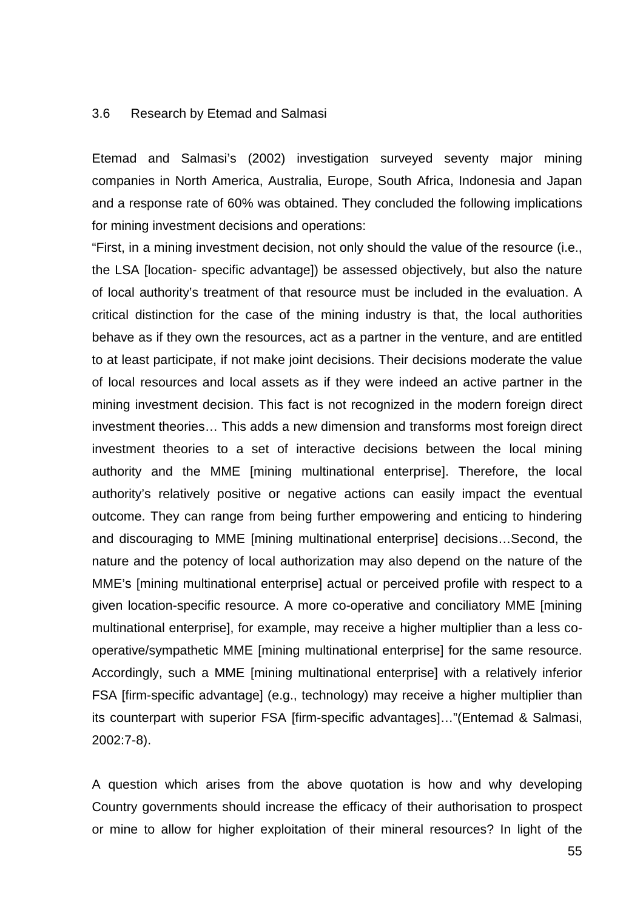#### 3.6 Research by Etemad and Salmasi

Etemad and Salmasi's (2002) investigation surveyed seventy major mining companies in North America, Australia, Europe, South Africa, Indonesia and Japan and a response rate of 60% was obtained. They concluded the following implications for mining investment decisions and operations:

"First, in a mining investment decision, not only should the value of the resource (i.e., the LSA [location- specific advantage]) be assessed objectively, but also the nature of local authority's treatment of that resource must be included in the evaluation. A critical distinction for the case of the mining industry is that, the local authorities behave as if they own the resources, act as a partner in the venture, and are entitled to at least participate, if not make joint decisions. Their decisions moderate the value of local resources and local assets as if they were indeed an active partner in the mining investment decision. This fact is not recognized in the modern foreign direct investment theories… This adds a new dimension and transforms most foreign direct investment theories to a set of interactive decisions between the local mining authority and the MME [mining multinational enterprise]. Therefore, the local authority's relatively positive or negative actions can easily impact the eventual outcome. They can range from being further empowering and enticing to hindering and discouraging to MME [mining multinational enterprise] decisions…Second, the nature and the potency of local authorization may also depend on the nature of the MME's [mining multinational enterprise] actual or perceived profile with respect to a given location-specific resource. A more co-operative and conciliatory MME [mining multinational enterprise], for example, may receive a higher multiplier than a less cooperative/sympathetic MME [mining multinational enterprise] for the same resource. Accordingly, such a MME [mining multinational enterprise] with a relatively inferior FSA [firm-specific advantage] (e.g., technology) may receive a higher multiplier than its counterpart with superior FSA [firm-specific advantages]…"(Entemad & Salmasi, 2002:7-8).

A question which arises from the above quotation is how and why developing Country governments should increase the efficacy of their authorisation to prospect or mine to allow for higher exploitation of their mineral resources? In light of the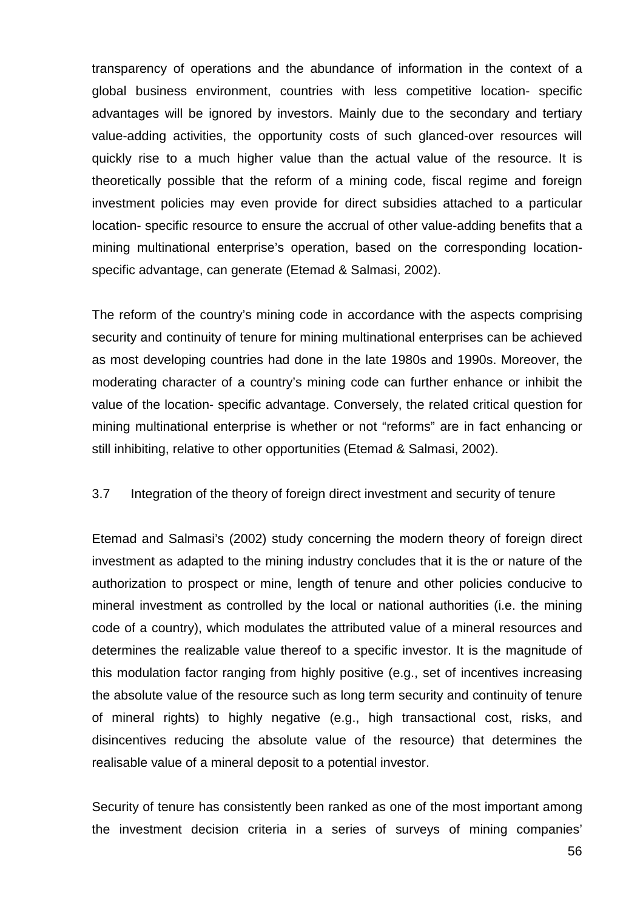transparency of operations and the abundance of information in the context of a global business environment, countries with less competitive location- specific advantages will be ignored by investors. Mainly due to the secondary and tertiary value-adding activities, the opportunity costs of such glanced-over resources will quickly rise to a much higher value than the actual value of the resource. It is theoretically possible that the reform of a mining code, fiscal regime and foreign investment policies may even provide for direct subsidies attached to a particular location- specific resource to ensure the accrual of other value-adding benefits that a mining multinational enterprise's operation, based on the corresponding locationspecific advantage, can generate (Etemad & Salmasi, 2002).

The reform of the country's mining code in accordance with the aspects comprising security and continuity of tenure for mining multinational enterprises can be achieved as most developing countries had done in the late 1980s and 1990s. Moreover, the moderating character of a country's mining code can further enhance or inhibit the value of the location- specific advantage. Conversely, the related critical question for mining multinational enterprise is whether or not "reforms" are in fact enhancing or still inhibiting, relative to other opportunities (Etemad & Salmasi, 2002).

#### 3.7 Integration of the theory of foreign direct investment and security of tenure

Etemad and Salmasi's (2002) study concerning the modern theory of foreign direct investment as adapted to the mining industry concludes that it is the or nature of the authorization to prospect or mine, length of tenure and other policies conducive to mineral investment as controlled by the local or national authorities (i.e. the mining code of a country), which modulates the attributed value of a mineral resources and determines the realizable value thereof to a specific investor. It is the magnitude of this modulation factor ranging from highly positive (e.g., set of incentives increasing the absolute value of the resource such as long term security and continuity of tenure of mineral rights) to highly negative (e.g., high transactional cost, risks, and disincentives reducing the absolute value of the resource) that determines the realisable value of a mineral deposit to a potential investor.

Security of tenure has consistently been ranked as one of the most important among the investment decision criteria in a series of surveys of mining companies'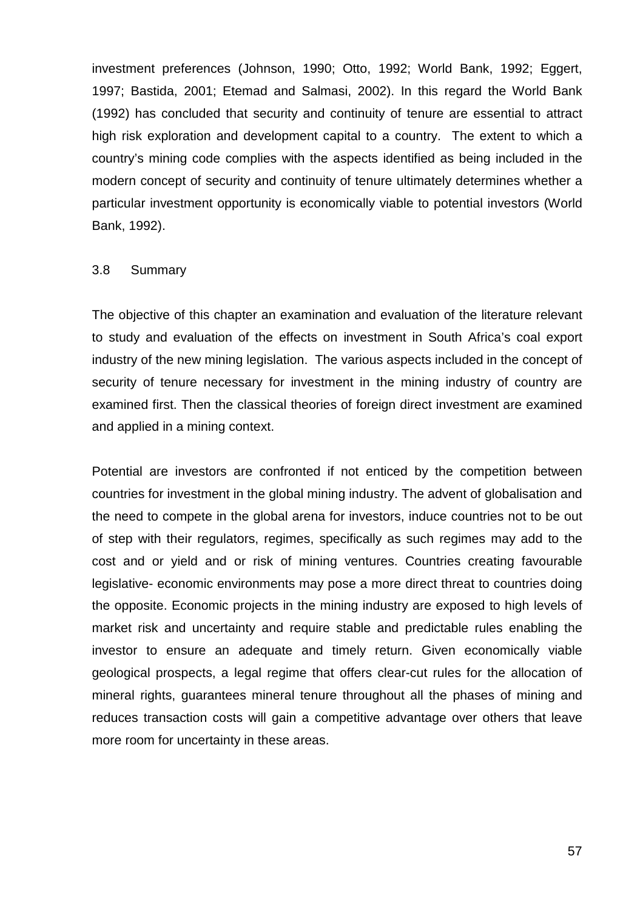investment preferences (Johnson, 1990; Otto, 1992; World Bank, 1992; Eggert, 1997; Bastida, 2001; Etemad and Salmasi, 2002). In this regard the World Bank (1992) has concluded that security and continuity of tenure are essential to attract high risk exploration and development capital to a country. The extent to which a country's mining code complies with the aspects identified as being included in the modern concept of security and continuity of tenure ultimately determines whether a particular investment opportunity is economically viable to potential investors (World Bank, 1992).

#### 3.8 Summary

The objective of this chapter an examination and evaluation of the literature relevant to study and evaluation of the effects on investment in South Africa's coal export industry of the new mining legislation. The various aspects included in the concept of security of tenure necessary for investment in the mining industry of country are examined first. Then the classical theories of foreign direct investment are examined and applied in a mining context.

Potential are investors are confronted if not enticed by the competition between countries for investment in the global mining industry. The advent of globalisation and the need to compete in the global arena for investors, induce countries not to be out of step with their regulators, regimes, specifically as such regimes may add to the cost and or yield and or risk of mining ventures. Countries creating favourable legislative- economic environments may pose a more direct threat to countries doing the opposite. Economic projects in the mining industry are exposed to high levels of market risk and uncertainty and require stable and predictable rules enabling the investor to ensure an adequate and timely return. Given economically viable geological prospects, a legal regime that offers clear-cut rules for the allocation of mineral rights, guarantees mineral tenure throughout all the phases of mining and reduces transaction costs will gain a competitive advantage over others that leave more room for uncertainty in these areas.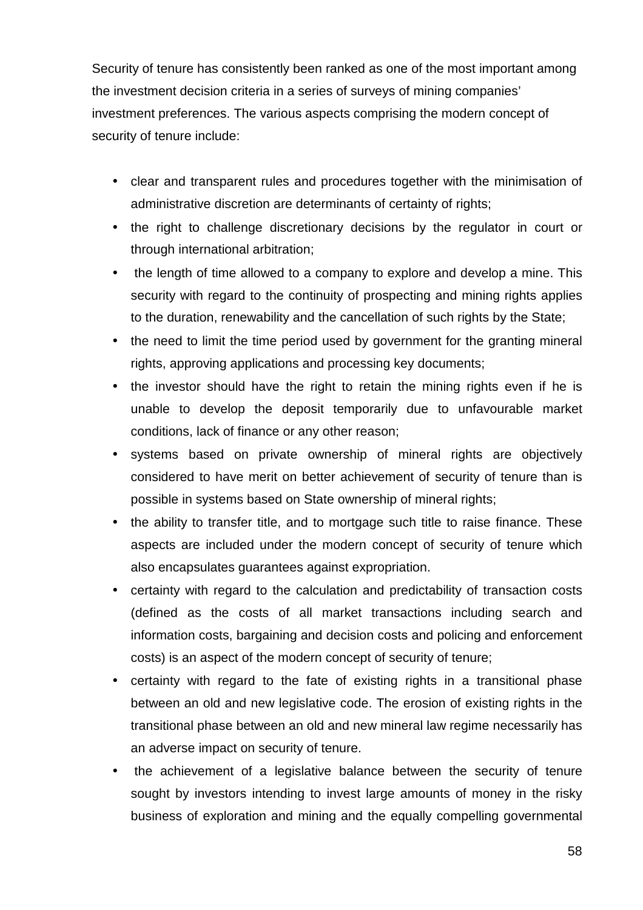Security of tenure has consistently been ranked as one of the most important among the investment decision criteria in a series of surveys of mining companies' investment preferences. The various aspects comprising the modern concept of security of tenure include:

- clear and transparent rules and procedures together with the minimisation of administrative discretion are determinants of certainty of rights;
- the right to challenge discretionary decisions by the regulator in court or through international arbitration;
- the length of time allowed to a company to explore and develop a mine. This security with regard to the continuity of prospecting and mining rights applies to the duration, renewability and the cancellation of such rights by the State;
- the need to limit the time period used by government for the granting mineral rights, approving applications and processing key documents;
- the investor should have the right to retain the mining rights even if he is unable to develop the deposit temporarily due to unfavourable market conditions, lack of finance or any other reason;
- systems based on private ownership of mineral rights are objectively considered to have merit on better achievement of security of tenure than is possible in systems based on State ownership of mineral rights;
- the ability to transfer title, and to mortgage such title to raise finance. These aspects are included under the modern concept of security of tenure which also encapsulates guarantees against expropriation.
- certainty with regard to the calculation and predictability of transaction costs (defined as the costs of all market transactions including search and information costs, bargaining and decision costs and policing and enforcement costs) is an aspect of the modern concept of security of tenure;
- certainty with regard to the fate of existing rights in a transitional phase between an old and new legislative code. The erosion of existing rights in the transitional phase between an old and new mineral law regime necessarily has an adverse impact on security of tenure.
- the achievement of a legislative balance between the security of tenure sought by investors intending to invest large amounts of money in the risky business of exploration and mining and the equally compelling governmental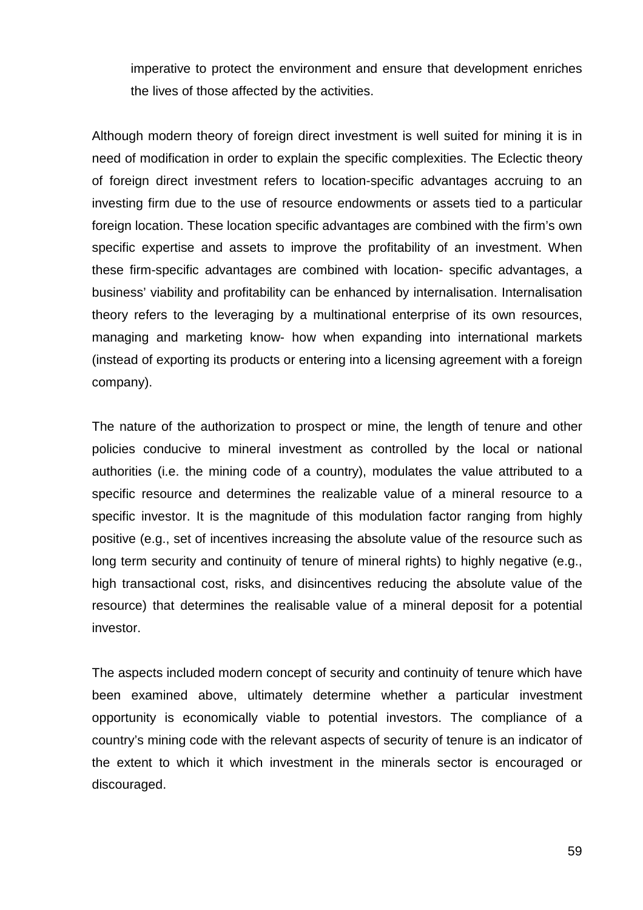imperative to protect the environment and ensure that development enriches the lives of those affected by the activities.

Although modern theory of foreign direct investment is well suited for mining it is in need of modification in order to explain the specific complexities. The Eclectic theory of foreign direct investment refers to location-specific advantages accruing to an investing firm due to the use of resource endowments or assets tied to a particular foreign location. These location specific advantages are combined with the firm's own specific expertise and assets to improve the profitability of an investment. When these firm-specific advantages are combined with location- specific advantages, a business' viability and profitability can be enhanced by internalisation. Internalisation theory refers to the leveraging by a multinational enterprise of its own resources, managing and marketing know- how when expanding into international markets (instead of exporting its products or entering into a licensing agreement with a foreign company).

The nature of the authorization to prospect or mine, the length of tenure and other policies conducive to mineral investment as controlled by the local or national authorities (i.e. the mining code of a country), modulates the value attributed to a specific resource and determines the realizable value of a mineral resource to a specific investor. It is the magnitude of this modulation factor ranging from highly positive (e.g., set of incentives increasing the absolute value of the resource such as long term security and continuity of tenure of mineral rights) to highly negative (e.g., high transactional cost, risks, and disincentives reducing the absolute value of the resource) that determines the realisable value of a mineral deposit for a potential investor.

The aspects included modern concept of security and continuity of tenure which have been examined above, ultimately determine whether a particular investment opportunity is economically viable to potential investors. The compliance of a country's mining code with the relevant aspects of security of tenure is an indicator of the extent to which it which investment in the minerals sector is encouraged or discouraged.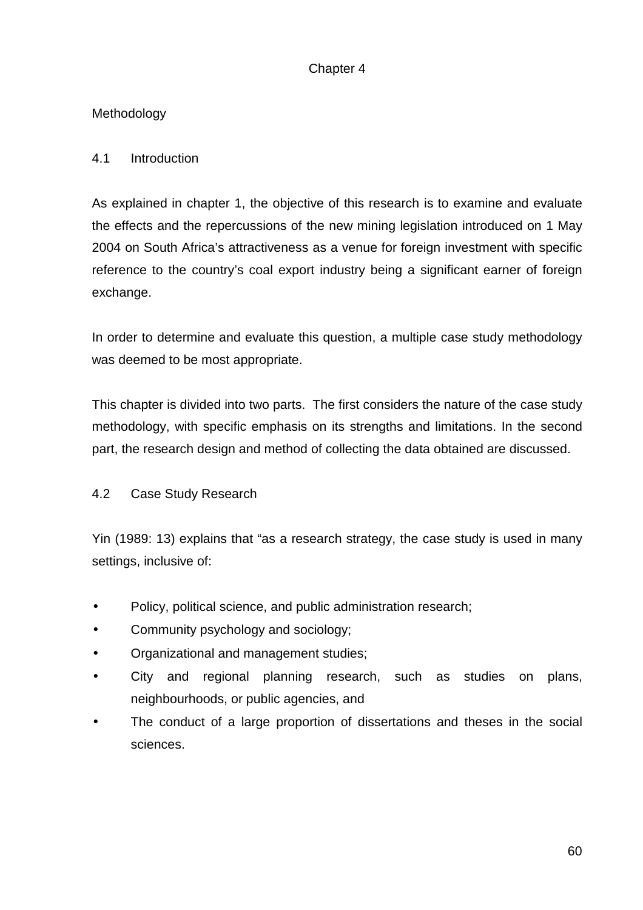# Chapter 4

# Methodology

# 4.1 Introduction

As explained in chapter 1, the objective of this research is to examine and evaluate the effects and the repercussions of the new mining legislation introduced on 1 May 2004 on South Africa's attractiveness as a venue for foreign investment with specific reference to the country's coal export industry being a significant earner of foreign exchange.

In order to determine and evaluate this question, a multiple case study methodology was deemed to be most appropriate.

This chapter is divided into two parts. The first considers the nature of the case study methodology, with specific emphasis on its strengths and limitations. In the second part, the research design and method of collecting the data obtained are discussed.

# 4.2 Case Study Research

Yin (1989: 13) explains that "as a research strategy, the case study is used in many settings, inclusive of:

- Policy, political science, and public administration research;
- Community psychology and sociology;
- Organizational and management studies;
- City and regional planning research, such as studies on plans, neighbourhoods, or public agencies, and
- The conduct of a large proportion of dissertations and theses in the social sciences.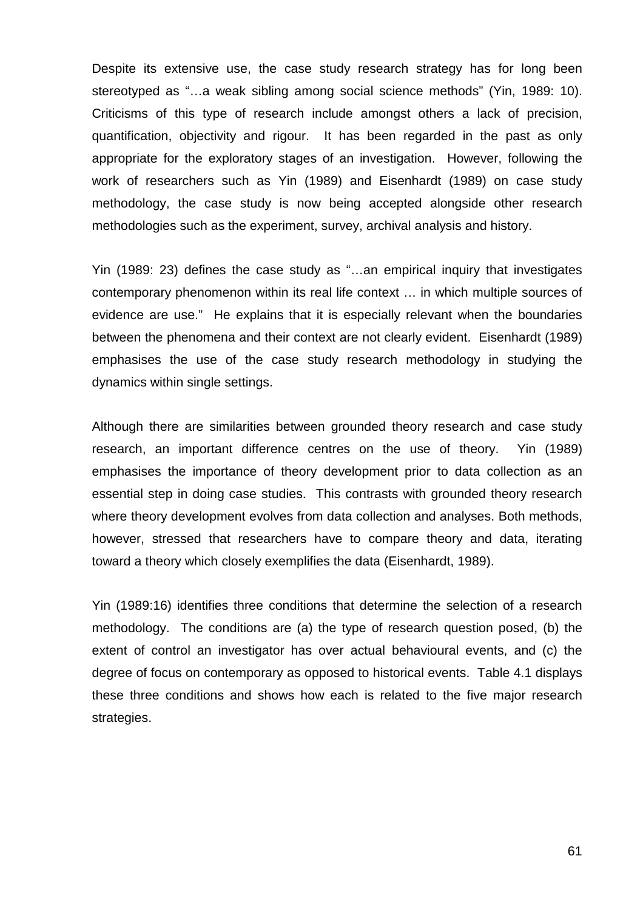Despite its extensive use, the case study research strategy has for long been stereotyped as "…a weak sibling among social science methods" (Yin, 1989: 10). Criticisms of this type of research include amongst others a lack of precision, quantification, objectivity and rigour. It has been regarded in the past as only appropriate for the exploratory stages of an investigation. However, following the work of researchers such as Yin (1989) and Eisenhardt (1989) on case study methodology, the case study is now being accepted alongside other research methodologies such as the experiment, survey, archival analysis and history.

Yin (1989: 23) defines the case study as "…an empirical inquiry that investigates contemporary phenomenon within its real life context … in which multiple sources of evidence are use." He explains that it is especially relevant when the boundaries between the phenomena and their context are not clearly evident. Eisenhardt (1989) emphasises the use of the case study research methodology in studying the dynamics within single settings.

Although there are similarities between grounded theory research and case study research, an important difference centres on the use of theory. Yin (1989) emphasises the importance of theory development prior to data collection as an essential step in doing case studies. This contrasts with grounded theory research where theory development evolves from data collection and analyses. Both methods, however, stressed that researchers have to compare theory and data, iterating toward a theory which closely exemplifies the data (Eisenhardt, 1989).

Yin (1989:16) identifies three conditions that determine the selection of a research methodology. The conditions are (a) the type of research question posed, (b) the extent of control an investigator has over actual behavioural events, and (c) the degree of focus on contemporary as opposed to historical events. Table 4.1 displays these three conditions and shows how each is related to the five major research strategies.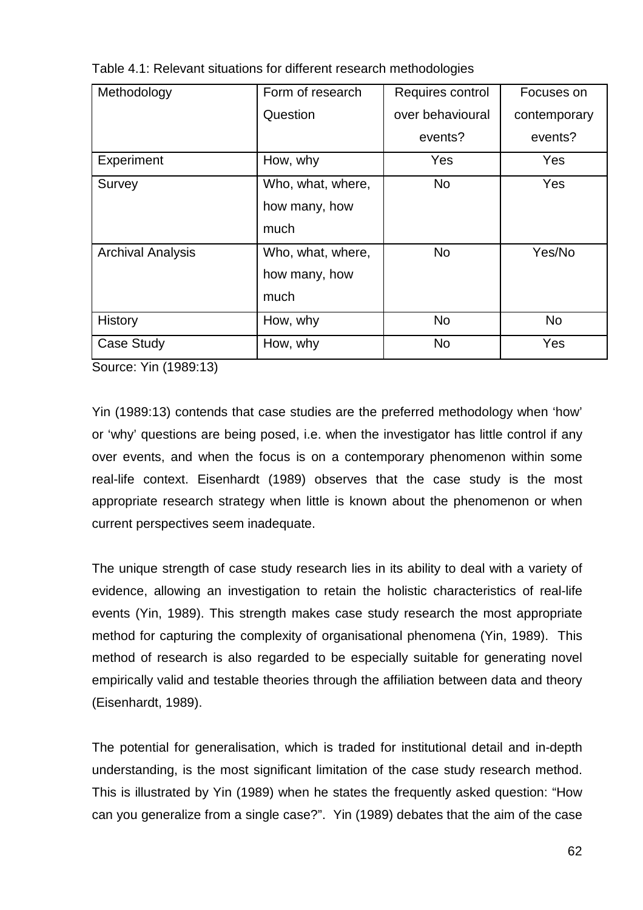| Methodology              | Form of research  | Requires control | Focuses on   |
|--------------------------|-------------------|------------------|--------------|
|                          | Question          | over behavioural | contemporary |
|                          |                   | events?          | events?      |
| Experiment               | How, why          | Yes              | Yes          |
| Survey                   | Who, what, where, | <b>No</b>        | Yes          |
|                          | how many, how     |                  |              |
|                          | much              |                  |              |
| <b>Archival Analysis</b> | Who, what, where, | <b>No</b>        | Yes/No       |
|                          | how many, how     |                  |              |
|                          | much              |                  |              |
| History                  | How, why          | <b>No</b>        | <b>No</b>    |
| <b>Case Study</b>        | How, why          | <b>No</b>        | Yes          |

Table 4.1: Relevant situations for different research methodologies

Source: Yin (1989:13)

Yin (1989:13) contends that case studies are the preferred methodology when 'how' or 'why' questions are being posed, i.e. when the investigator has little control if any over events, and when the focus is on a contemporary phenomenon within some real-life context. Eisenhardt (1989) observes that the case study is the most appropriate research strategy when little is known about the phenomenon or when current perspectives seem inadequate.

The unique strength of case study research lies in its ability to deal with a variety of evidence, allowing an investigation to retain the holistic characteristics of real-life events (Yin, 1989). This strength makes case study research the most appropriate method for capturing the complexity of organisational phenomena (Yin, 1989). This method of research is also regarded to be especially suitable for generating novel empirically valid and testable theories through the affiliation between data and theory (Eisenhardt, 1989).

The potential for generalisation, which is traded for institutional detail and in-depth understanding, is the most significant limitation of the case study research method. This is illustrated by Yin (1989) when he states the frequently asked question: "How can you generalize from a single case?". Yin (1989) debates that the aim of the case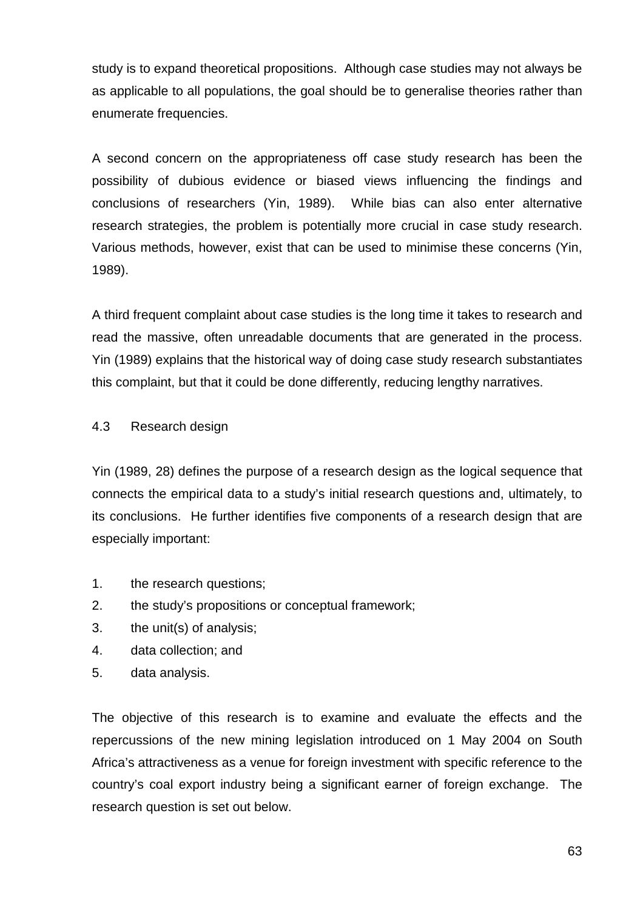study is to expand theoretical propositions. Although case studies may not always be as applicable to all populations, the goal should be to generalise theories rather than enumerate frequencies.

A second concern on the appropriateness off case study research has been the possibility of dubious evidence or biased views influencing the findings and conclusions of researchers (Yin, 1989). While bias can also enter alternative research strategies, the problem is potentially more crucial in case study research. Various methods, however, exist that can be used to minimise these concerns (Yin, 1989).

A third frequent complaint about case studies is the long time it takes to research and read the massive, often unreadable documents that are generated in the process. Yin (1989) explains that the historical way of doing case study research substantiates this complaint, but that it could be done differently, reducing lengthy narratives.

# 4.3 Research design

Yin (1989, 28) defines the purpose of a research design as the logical sequence that connects the empirical data to a study's initial research questions and, ultimately, to its conclusions. He further identifies five components of a research design that are especially important:

- 1. the research questions;
- 2. the study's propositions or conceptual framework;
- 3. the unit(s) of analysis;
- 4. data collection; and
- 5. data analysis.

The objective of this research is to examine and evaluate the effects and the repercussions of the new mining legislation introduced on 1 May 2004 on South Africa's attractiveness as a venue for foreign investment with specific reference to the country's coal export industry being a significant earner of foreign exchange. The research question is set out below.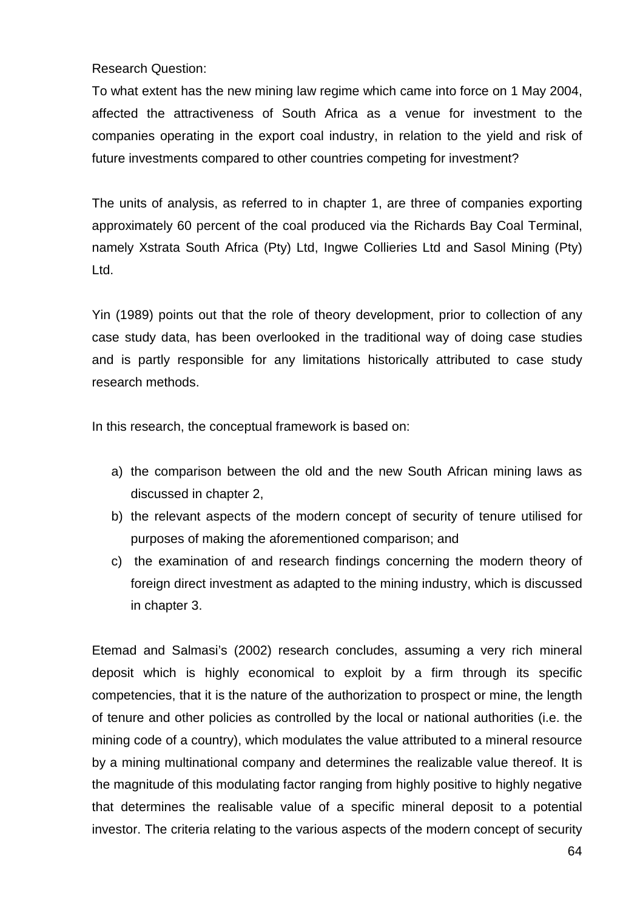Research Question:

To what extent has the new mining law regime which came into force on 1 May 2004, affected the attractiveness of South Africa as a venue for investment to the companies operating in the export coal industry, in relation to the yield and risk of future investments compared to other countries competing for investment?

The units of analysis, as referred to in chapter 1, are three of companies exporting approximately 60 percent of the coal produced via the Richards Bay Coal Terminal, namely Xstrata South Africa (Pty) Ltd, Ingwe Collieries Ltd and Sasol Mining (Pty) Ltd.

Yin (1989) points out that the role of theory development, prior to collection of any case study data, has been overlooked in the traditional way of doing case studies and is partly responsible for any limitations historically attributed to case study research methods.

In this research, the conceptual framework is based on:

- a) the comparison between the old and the new South African mining laws as discussed in chapter 2,
- b) the relevant aspects of the modern concept of security of tenure utilised for purposes of making the aforementioned comparison; and
- c) the examination of and research findings concerning the modern theory of foreign direct investment as adapted to the mining industry, which is discussed in chapter 3.

Etemad and Salmasi's (2002) research concludes, assuming a very rich mineral deposit which is highly economical to exploit by a firm through its specific competencies, that it is the nature of the authorization to prospect or mine, the length of tenure and other policies as controlled by the local or national authorities (i.e. the mining code of a country), which modulates the value attributed to a mineral resource by a mining multinational company and determines the realizable value thereof. It is the magnitude of this modulating factor ranging from highly positive to highly negative that determines the realisable value of a specific mineral deposit to a potential investor. The criteria relating to the various aspects of the modern concept of security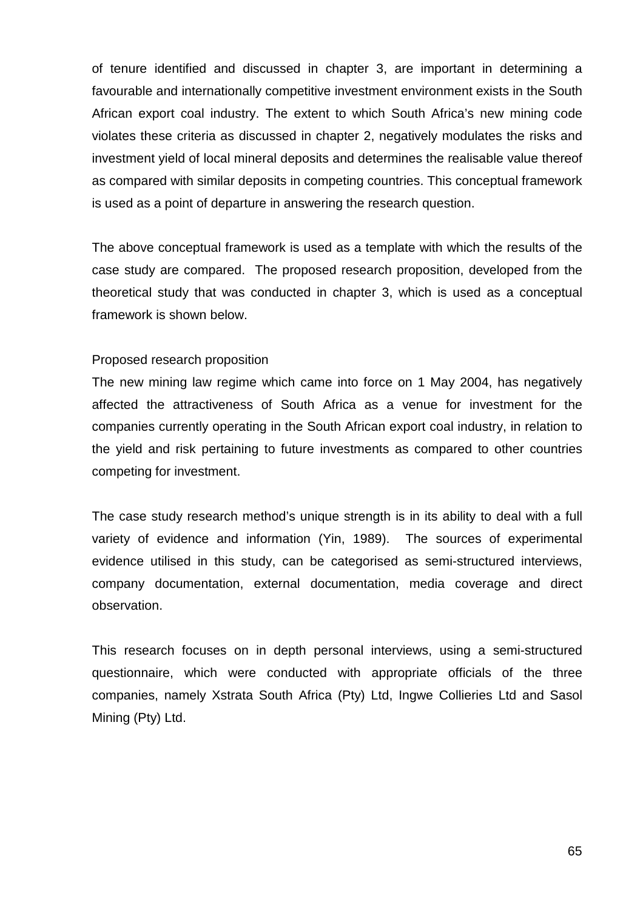of tenure identified and discussed in chapter 3, are important in determining a favourable and internationally competitive investment environment exists in the South African export coal industry. The extent to which South Africa's new mining code violates these criteria as discussed in chapter 2, negatively modulates the risks and investment yield of local mineral deposits and determines the realisable value thereof as compared with similar deposits in competing countries. This conceptual framework is used as a point of departure in answering the research question.

The above conceptual framework is used as a template with which the results of the case study are compared. The proposed research proposition, developed from the theoretical study that was conducted in chapter 3, which is used as a conceptual framework is shown below.

# Proposed research proposition

The new mining law regime which came into force on 1 May 2004, has negatively affected the attractiveness of South Africa as a venue for investment for the companies currently operating in the South African export coal industry, in relation to the yield and risk pertaining to future investments as compared to other countries competing for investment.

The case study research method's unique strength is in its ability to deal with a full variety of evidence and information (Yin, 1989). The sources of experimental evidence utilised in this study, can be categorised as semi-structured interviews, company documentation, external documentation, media coverage and direct observation.

This research focuses on in depth personal interviews, using a semi-structured questionnaire, which were conducted with appropriate officials of the three companies, namely Xstrata South Africa (Pty) Ltd, Ingwe Collieries Ltd and Sasol Mining (Pty) Ltd.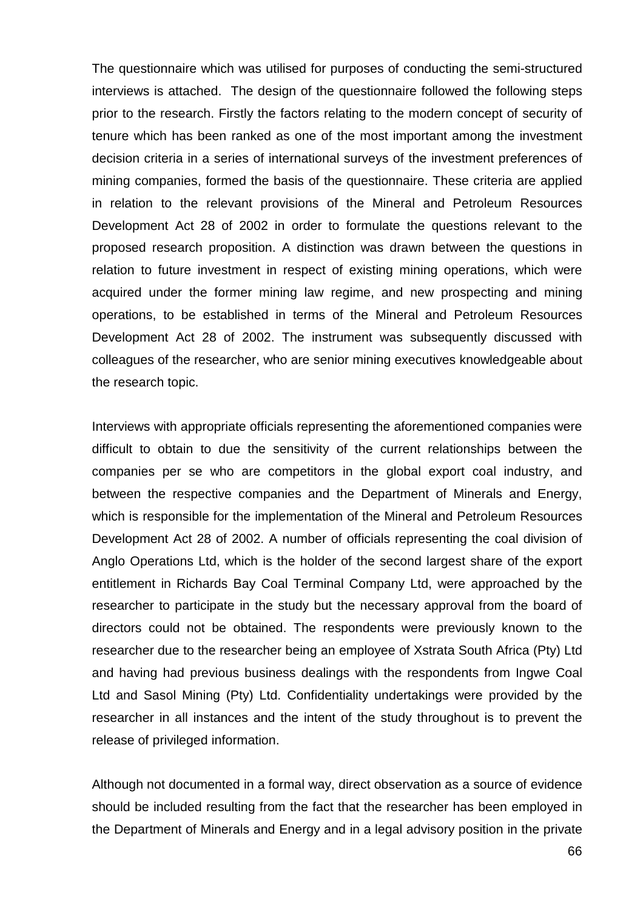The questionnaire which was utilised for purposes of conducting the semi-structured interviews is attached. The design of the questionnaire followed the following steps prior to the research. Firstly the factors relating to the modern concept of security of tenure which has been ranked as one of the most important among the investment decision criteria in a series of international surveys of the investment preferences of mining companies, formed the basis of the questionnaire. These criteria are applied in relation to the relevant provisions of the Mineral and Petroleum Resources Development Act 28 of 2002 in order to formulate the questions relevant to the proposed research proposition. A distinction was drawn between the questions in relation to future investment in respect of existing mining operations, which were acquired under the former mining law regime, and new prospecting and mining operations, to be established in terms of the Mineral and Petroleum Resources Development Act 28 of 2002. The instrument was subsequently discussed with colleagues of the researcher, who are senior mining executives knowledgeable about the research topic.

Interviews with appropriate officials representing the aforementioned companies were difficult to obtain to due the sensitivity of the current relationships between the companies per se who are competitors in the global export coal industry, and between the respective companies and the Department of Minerals and Energy, which is responsible for the implementation of the Mineral and Petroleum Resources Development Act 28 of 2002. A number of officials representing the coal division of Anglo Operations Ltd, which is the holder of the second largest share of the export entitlement in Richards Bay Coal Terminal Company Ltd, were approached by the researcher to participate in the study but the necessary approval from the board of directors could not be obtained. The respondents were previously known to the researcher due to the researcher being an employee of Xstrata South Africa (Pty) Ltd and having had previous business dealings with the respondents from Ingwe Coal Ltd and Sasol Mining (Pty) Ltd. Confidentiality undertakings were provided by the researcher in all instances and the intent of the study throughout is to prevent the release of privileged information.

Although not documented in a formal way, direct observation as a source of evidence should be included resulting from the fact that the researcher has been employed in the Department of Minerals and Energy and in a legal advisory position in the private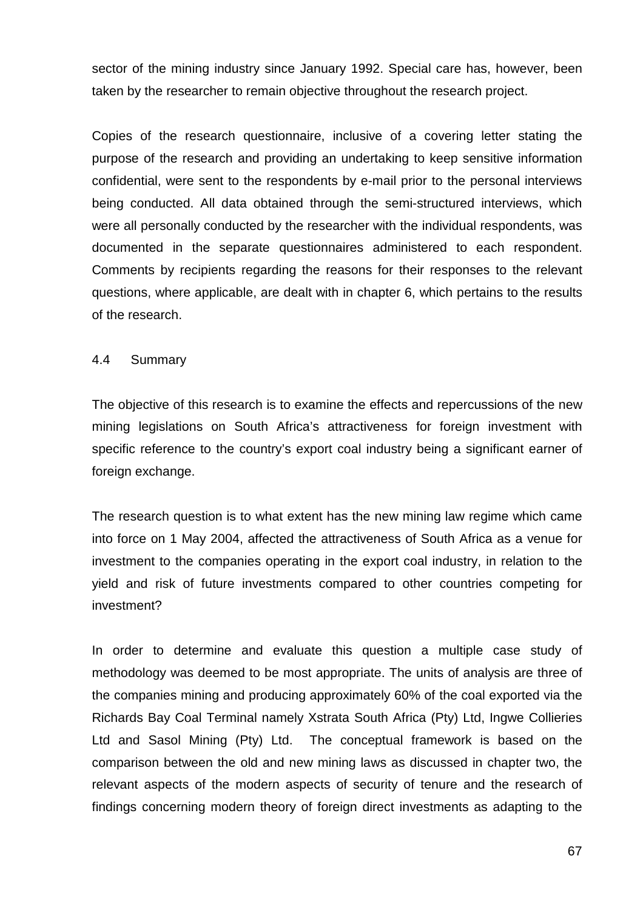sector of the mining industry since January 1992. Special care has, however, been taken by the researcher to remain objective throughout the research project.

Copies of the research questionnaire, inclusive of a covering letter stating the purpose of the research and providing an undertaking to keep sensitive information confidential, were sent to the respondents by e-mail prior to the personal interviews being conducted. All data obtained through the semi-structured interviews, which were all personally conducted by the researcher with the individual respondents, was documented in the separate questionnaires administered to each respondent. Comments by recipients regarding the reasons for their responses to the relevant questions, where applicable, are dealt with in chapter 6, which pertains to the results of the research.

# 4.4 Summary

The objective of this research is to examine the effects and repercussions of the new mining legislations on South Africa's attractiveness for foreign investment with specific reference to the country's export coal industry being a significant earner of foreign exchange.

The research question is to what extent has the new mining law regime which came into force on 1 May 2004, affected the attractiveness of South Africa as a venue for investment to the companies operating in the export coal industry, in relation to the yield and risk of future investments compared to other countries competing for investment?

In order to determine and evaluate this question a multiple case study of methodology was deemed to be most appropriate. The units of analysis are three of the companies mining and producing approximately 60% of the coal exported via the Richards Bay Coal Terminal namely Xstrata South Africa (Pty) Ltd, Ingwe Collieries Ltd and Sasol Mining (Pty) Ltd. The conceptual framework is based on the comparison between the old and new mining laws as discussed in chapter two, the relevant aspects of the modern aspects of security of tenure and the research of findings concerning modern theory of foreign direct investments as adapting to the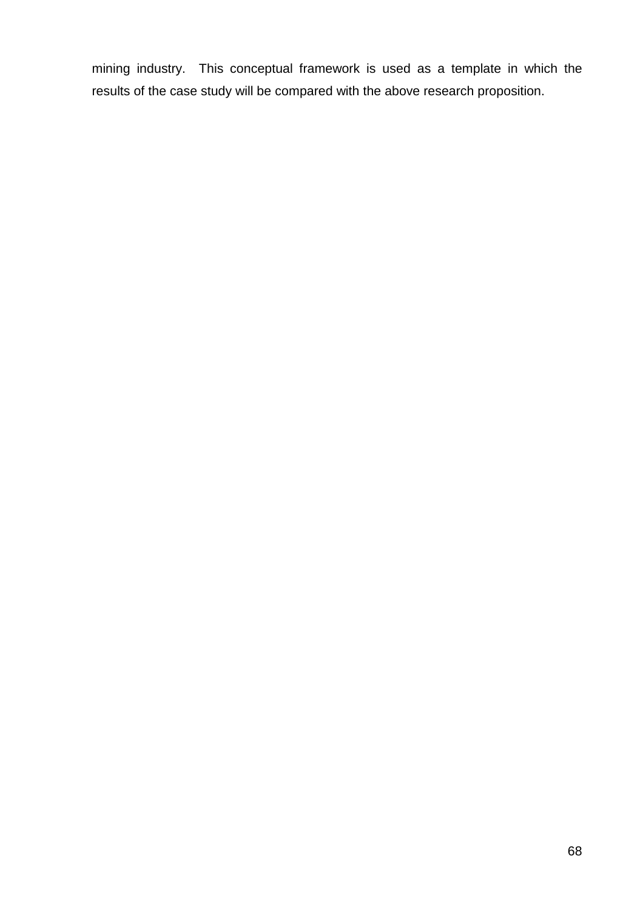mining industry. This conceptual framework is used as a template in which the results of the case study will be compared with the above research proposition.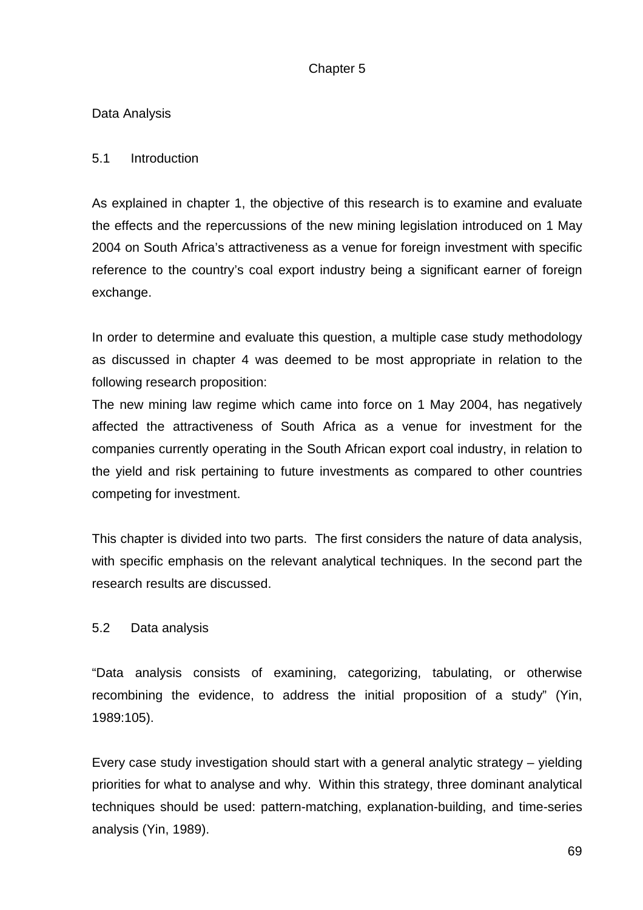# Chapter 5

# Data Analysis

# 5.1 Introduction

As explained in chapter 1, the objective of this research is to examine and evaluate the effects and the repercussions of the new mining legislation introduced on 1 May 2004 on South Africa's attractiveness as a venue for foreign investment with specific reference to the country's coal export industry being a significant earner of foreign exchange.

In order to determine and evaluate this question, a multiple case study methodology as discussed in chapter 4 was deemed to be most appropriate in relation to the following research proposition:

The new mining law regime which came into force on 1 May 2004, has negatively affected the attractiveness of South Africa as a venue for investment for the companies currently operating in the South African export coal industry, in relation to the yield and risk pertaining to future investments as compared to other countries competing for investment.

This chapter is divided into two parts. The first considers the nature of data analysis, with specific emphasis on the relevant analytical techniques. In the second part the research results are discussed.

# 5.2 Data analysis

"Data analysis consists of examining, categorizing, tabulating, or otherwise recombining the evidence, to address the initial proposition of a study" (Yin, 1989:105).

Every case study investigation should start with a general analytic strategy – yielding priorities for what to analyse and why. Within this strategy, three dominant analytical techniques should be used: pattern-matching, explanation-building, and time-series analysis (Yin, 1989).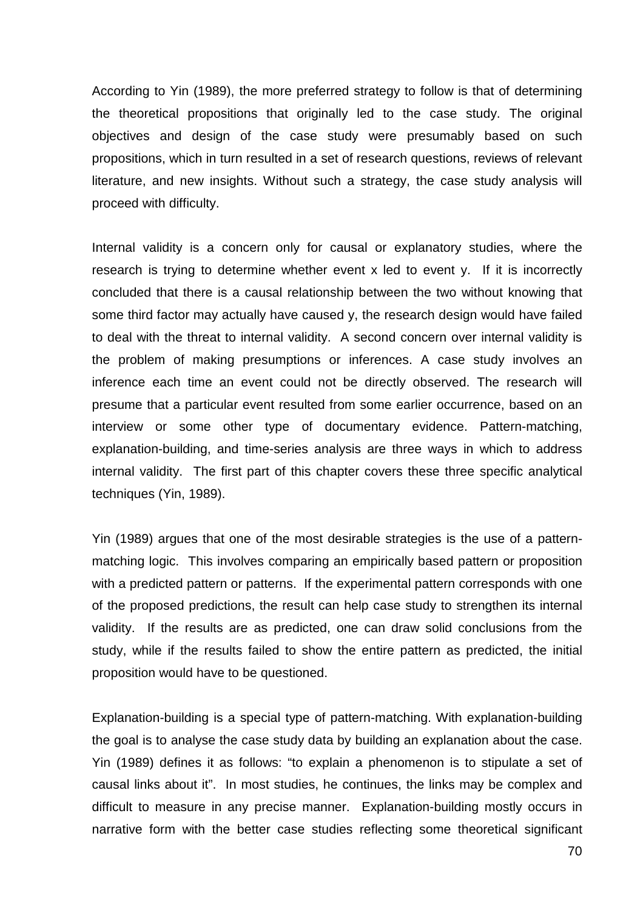According to Yin (1989), the more preferred strategy to follow is that of determining the theoretical propositions that originally led to the case study. The original objectives and design of the case study were presumably based on such propositions, which in turn resulted in a set of research questions, reviews of relevant literature, and new insights. Without such a strategy, the case study analysis will proceed with difficulty.

Internal validity is a concern only for causal or explanatory studies, where the research is trying to determine whether event x led to event y. If it is incorrectly concluded that there is a causal relationship between the two without knowing that some third factor may actually have caused y, the research design would have failed to deal with the threat to internal validity. A second concern over internal validity is the problem of making presumptions or inferences. A case study involves an inference each time an event could not be directly observed. The research will presume that a particular event resulted from some earlier occurrence, based on an interview or some other type of documentary evidence. Pattern-matching, explanation-building, and time-series analysis are three ways in which to address internal validity. The first part of this chapter covers these three specific analytical techniques (Yin, 1989).

Yin (1989) argues that one of the most desirable strategies is the use of a patternmatching logic. This involves comparing an empirically based pattern or proposition with a predicted pattern or patterns. If the experimental pattern corresponds with one of the proposed predictions, the result can help case study to strengthen its internal validity. If the results are as predicted, one can draw solid conclusions from the study, while if the results failed to show the entire pattern as predicted, the initial proposition would have to be questioned.

Explanation-building is a special type of pattern-matching. With explanation-building the goal is to analyse the case study data by building an explanation about the case. Yin (1989) defines it as follows: "to explain a phenomenon is to stipulate a set of causal links about it". In most studies, he continues, the links may be complex and difficult to measure in any precise manner. Explanation-building mostly occurs in narrative form with the better case studies reflecting some theoretical significant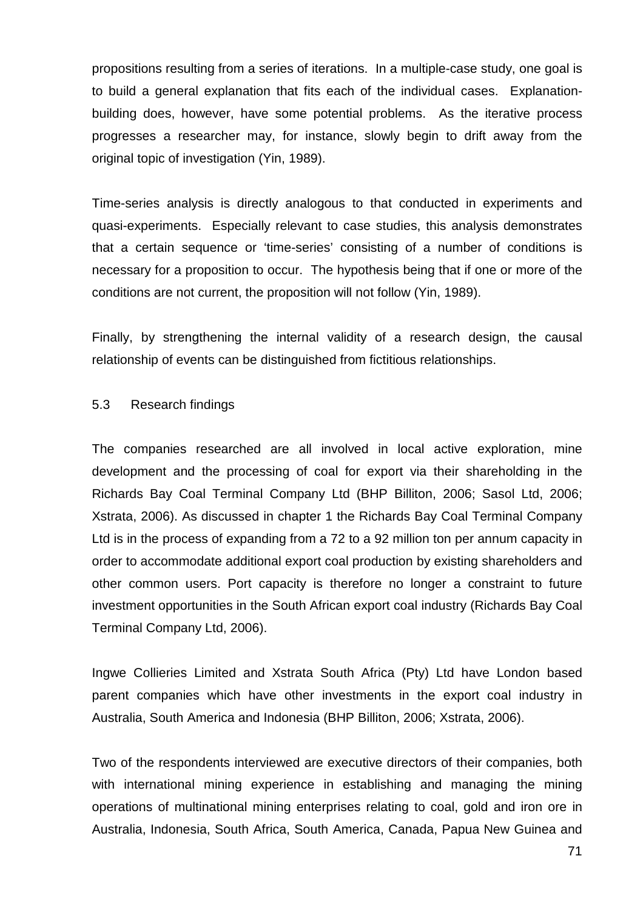propositions resulting from a series of iterations. In a multiple-case study, one goal is to build a general explanation that fits each of the individual cases. Explanationbuilding does, however, have some potential problems. As the iterative process progresses a researcher may, for instance, slowly begin to drift away from the original topic of investigation (Yin, 1989).

Time-series analysis is directly analogous to that conducted in experiments and quasi-experiments. Especially relevant to case studies, this analysis demonstrates that a certain sequence or 'time-series' consisting of a number of conditions is necessary for a proposition to occur. The hypothesis being that if one or more of the conditions are not current, the proposition will not follow (Yin, 1989).

Finally, by strengthening the internal validity of a research design, the causal relationship of events can be distinguished from fictitious relationships.

### 5.3 Research findings

The companies researched are all involved in local active exploration, mine development and the processing of coal for export via their shareholding in the Richards Bay Coal Terminal Company Ltd (BHP Billiton, 2006; Sasol Ltd, 2006; Xstrata, 2006). As discussed in chapter 1 the Richards Bay Coal Terminal Company Ltd is in the process of expanding from a 72 to a 92 million ton per annum capacity in order to accommodate additional export coal production by existing shareholders and other common users. Port capacity is therefore no longer a constraint to future investment opportunities in the South African export coal industry (Richards Bay Coal Terminal Company Ltd, 2006).

Ingwe Collieries Limited and Xstrata South Africa (Pty) Ltd have London based parent companies which have other investments in the export coal industry in Australia, South America and Indonesia (BHP Billiton, 2006; Xstrata, 2006).

Two of the respondents interviewed are executive directors of their companies, both with international mining experience in establishing and managing the mining operations of multinational mining enterprises relating to coal, gold and iron ore in Australia, Indonesia, South Africa, South America, Canada, Papua New Guinea and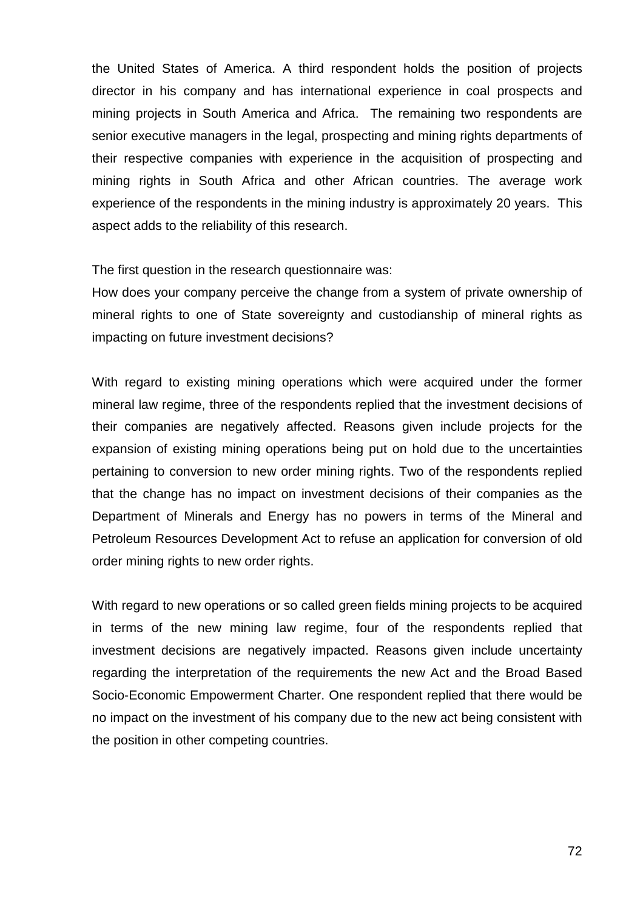the United States of America. A third respondent holds the position of projects director in his company and has international experience in coal prospects and mining projects in South America and Africa. The remaining two respondents are senior executive managers in the legal, prospecting and mining rights departments of their respective companies with experience in the acquisition of prospecting and mining rights in South Africa and other African countries. The average work experience of the respondents in the mining industry is approximately 20 years. This aspect adds to the reliability of this research.

The first question in the research questionnaire was:

How does your company perceive the change from a system of private ownership of mineral rights to one of State sovereignty and custodianship of mineral rights as impacting on future investment decisions?

With regard to existing mining operations which were acquired under the former mineral law regime, three of the respondents replied that the investment decisions of their companies are negatively affected. Reasons given include projects for the expansion of existing mining operations being put on hold due to the uncertainties pertaining to conversion to new order mining rights. Two of the respondents replied that the change has no impact on investment decisions of their companies as the Department of Minerals and Energy has no powers in terms of the Mineral and Petroleum Resources Development Act to refuse an application for conversion of old order mining rights to new order rights.

With regard to new operations or so called green fields mining projects to be acquired in terms of the new mining law regime, four of the respondents replied that investment decisions are negatively impacted. Reasons given include uncertainty regarding the interpretation of the requirements the new Act and the Broad Based Socio-Economic Empowerment Charter. One respondent replied that there would be no impact on the investment of his company due to the new act being consistent with the position in other competing countries.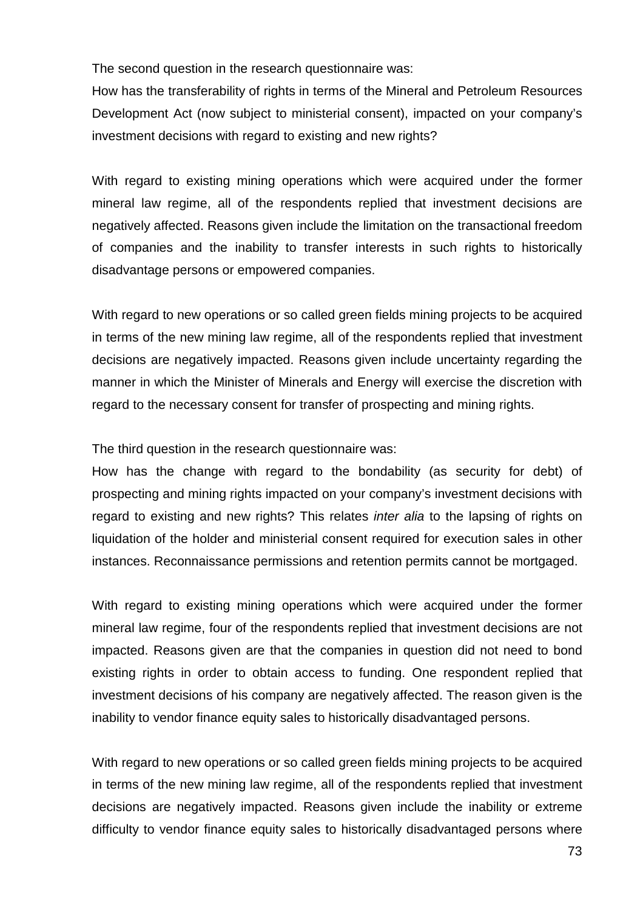The second question in the research questionnaire was:

How has the transferability of rights in terms of the Mineral and Petroleum Resources Development Act (now subject to ministerial consent), impacted on your company's investment decisions with regard to existing and new rights?

With regard to existing mining operations which were acquired under the former mineral law regime, all of the respondents replied that investment decisions are negatively affected. Reasons given include the limitation on the transactional freedom of companies and the inability to transfer interests in such rights to historically disadvantage persons or empowered companies.

With regard to new operations or so called green fields mining projects to be acquired in terms of the new mining law regime, all of the respondents replied that investment decisions are negatively impacted. Reasons given include uncertainty regarding the manner in which the Minister of Minerals and Energy will exercise the discretion with regard to the necessary consent for transfer of prospecting and mining rights.

The third question in the research questionnaire was:

How has the change with regard to the bondability (as security for debt) of prospecting and mining rights impacted on your company's investment decisions with regard to existing and new rights? This relates *inter alia* to the lapsing of rights on liquidation of the holder and ministerial consent required for execution sales in other instances. Reconnaissance permissions and retention permits cannot be mortgaged.

With regard to existing mining operations which were acquired under the former mineral law regime, four of the respondents replied that investment decisions are not impacted. Reasons given are that the companies in question did not need to bond existing rights in order to obtain access to funding. One respondent replied that investment decisions of his company are negatively affected. The reason given is the inability to vendor finance equity sales to historically disadvantaged persons.

With regard to new operations or so called green fields mining projects to be acquired in terms of the new mining law regime, all of the respondents replied that investment decisions are negatively impacted. Reasons given include the inability or extreme difficulty to vendor finance equity sales to historically disadvantaged persons where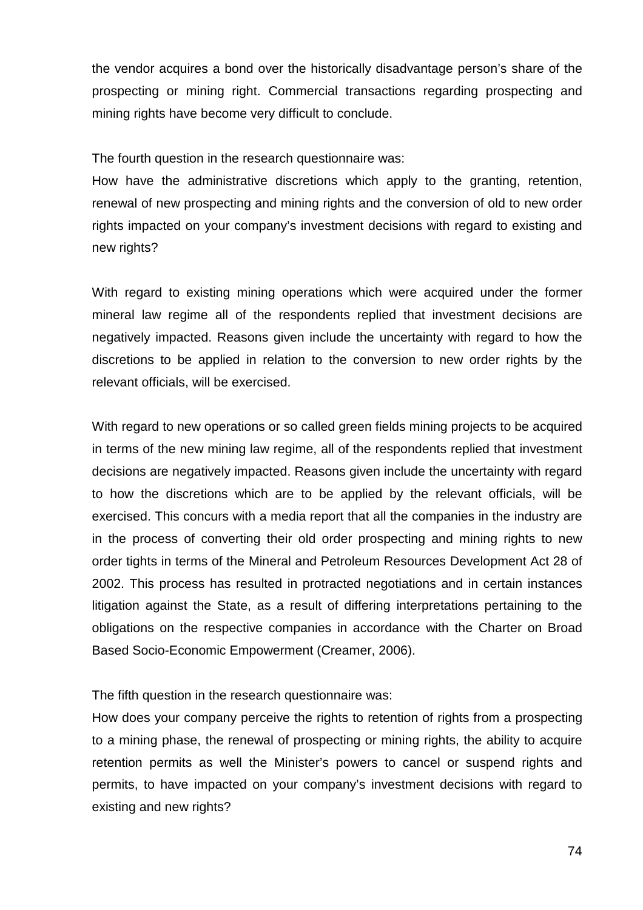the vendor acquires a bond over the historically disadvantage person's share of the prospecting or mining right. Commercial transactions regarding prospecting and mining rights have become very difficult to conclude.

The fourth question in the research questionnaire was:

How have the administrative discretions which apply to the granting, retention, renewal of new prospecting and mining rights and the conversion of old to new order rights impacted on your company's investment decisions with regard to existing and new rights?

With regard to existing mining operations which were acquired under the former mineral law regime all of the respondents replied that investment decisions are negatively impacted. Reasons given include the uncertainty with regard to how the discretions to be applied in relation to the conversion to new order rights by the relevant officials, will be exercised.

With regard to new operations or so called green fields mining projects to be acquired in terms of the new mining law regime, all of the respondents replied that investment decisions are negatively impacted. Reasons given include the uncertainty with regard to how the discretions which are to be applied by the relevant officials, will be exercised. This concurs with a media report that all the companies in the industry are in the process of converting their old order prospecting and mining rights to new order tights in terms of the Mineral and Petroleum Resources Development Act 28 of 2002. This process has resulted in protracted negotiations and in certain instances litigation against the State, as a result of differing interpretations pertaining to the obligations on the respective companies in accordance with the Charter on Broad Based Socio-Economic Empowerment (Creamer, 2006).

The fifth question in the research questionnaire was:

How does your company perceive the rights to retention of rights from a prospecting to a mining phase, the renewal of prospecting or mining rights, the ability to acquire retention permits as well the Minister's powers to cancel or suspend rights and permits, to have impacted on your company's investment decisions with regard to existing and new rights?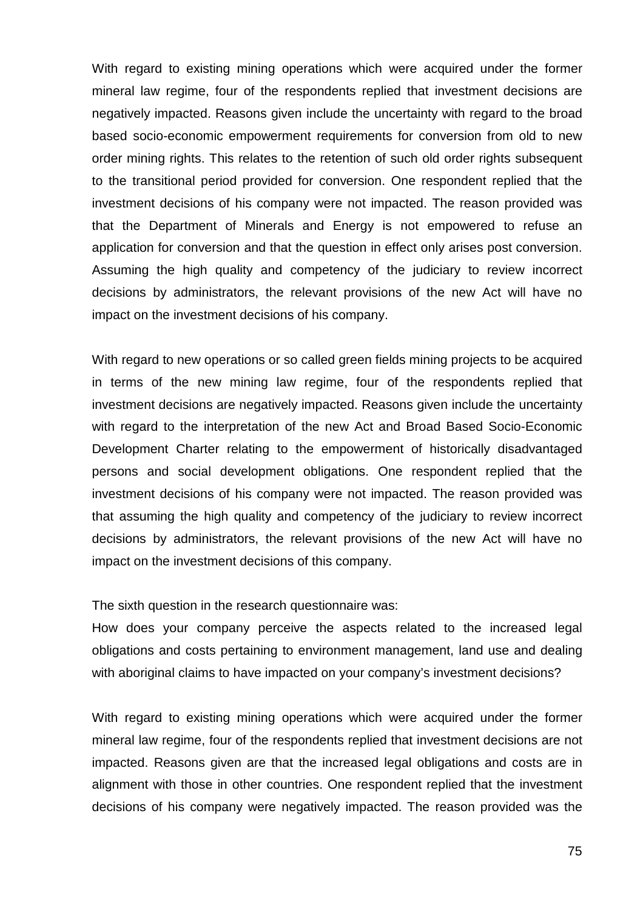With regard to existing mining operations which were acquired under the former mineral law regime, four of the respondents replied that investment decisions are negatively impacted. Reasons given include the uncertainty with regard to the broad based socio-economic empowerment requirements for conversion from old to new order mining rights. This relates to the retention of such old order rights subsequent to the transitional period provided for conversion. One respondent replied that the investment decisions of his company were not impacted. The reason provided was that the Department of Minerals and Energy is not empowered to refuse an application for conversion and that the question in effect only arises post conversion. Assuming the high quality and competency of the judiciary to review incorrect decisions by administrators, the relevant provisions of the new Act will have no impact on the investment decisions of his company.

With regard to new operations or so called green fields mining projects to be acquired in terms of the new mining law regime, four of the respondents replied that investment decisions are negatively impacted. Reasons given include the uncertainty with regard to the interpretation of the new Act and Broad Based Socio-Economic Development Charter relating to the empowerment of historically disadvantaged persons and social development obligations. One respondent replied that the investment decisions of his company were not impacted. The reason provided was that assuming the high quality and competency of the judiciary to review incorrect decisions by administrators, the relevant provisions of the new Act will have no impact on the investment decisions of this company.

The sixth question in the research questionnaire was:

How does your company perceive the aspects related to the increased legal obligations and costs pertaining to environment management, land use and dealing with aboriginal claims to have impacted on your company's investment decisions?

With regard to existing mining operations which were acquired under the former mineral law regime, four of the respondents replied that investment decisions are not impacted. Reasons given are that the increased legal obligations and costs are in alignment with those in other countries. One respondent replied that the investment decisions of his company were negatively impacted. The reason provided was the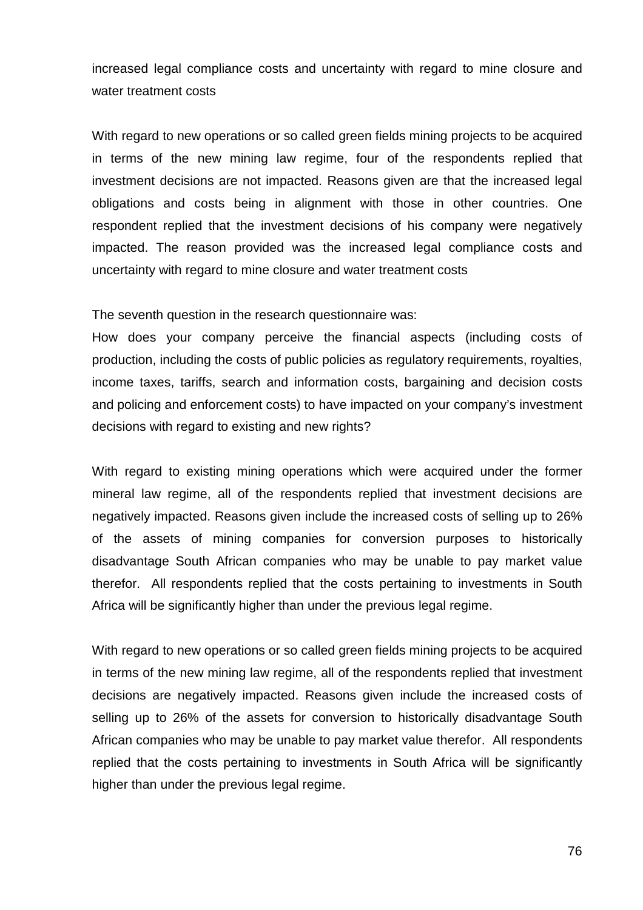increased legal compliance costs and uncertainty with regard to mine closure and water treatment costs

With regard to new operations or so called green fields mining projects to be acquired in terms of the new mining law regime, four of the respondents replied that investment decisions are not impacted. Reasons given are that the increased legal obligations and costs being in alignment with those in other countries. One respondent replied that the investment decisions of his company were negatively impacted. The reason provided was the increased legal compliance costs and uncertainty with regard to mine closure and water treatment costs

The seventh question in the research questionnaire was:

How does your company perceive the financial aspects (including costs of production, including the costs of public policies as regulatory requirements, royalties, income taxes, tariffs, search and information costs, bargaining and decision costs and policing and enforcement costs) to have impacted on your company's investment decisions with regard to existing and new rights?

With regard to existing mining operations which were acquired under the former mineral law regime, all of the respondents replied that investment decisions are negatively impacted. Reasons given include the increased costs of selling up to 26% of the assets of mining companies for conversion purposes to historically disadvantage South African companies who may be unable to pay market value therefor. All respondents replied that the costs pertaining to investments in South Africa will be significantly higher than under the previous legal regime.

With regard to new operations or so called green fields mining projects to be acquired in terms of the new mining law regime, all of the respondents replied that investment decisions are negatively impacted. Reasons given include the increased costs of selling up to 26% of the assets for conversion to historically disadvantage South African companies who may be unable to pay market value therefor. All respondents replied that the costs pertaining to investments in South Africa will be significantly higher than under the previous legal regime.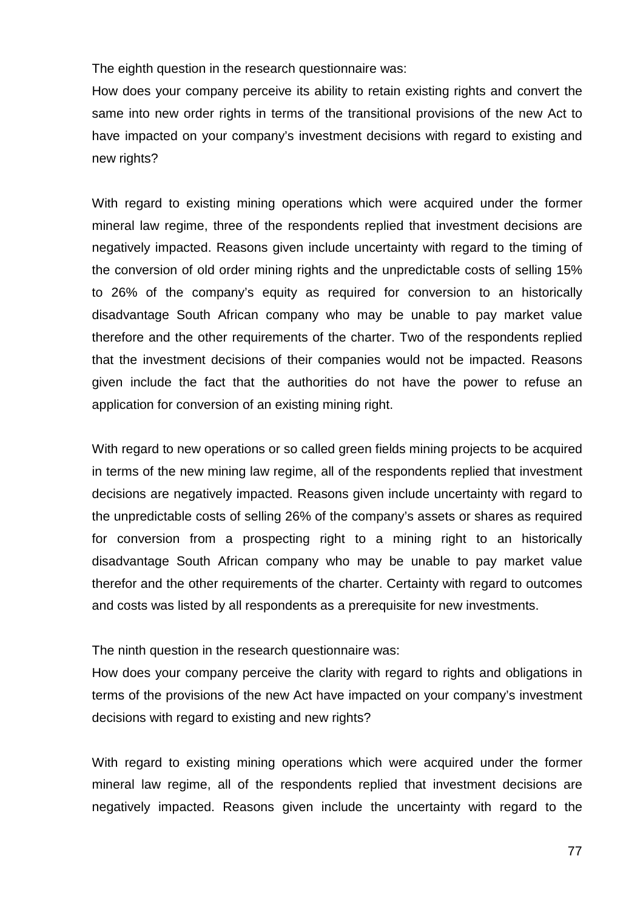The eighth question in the research questionnaire was:

How does your company perceive its ability to retain existing rights and convert the same into new order rights in terms of the transitional provisions of the new Act to have impacted on your company's investment decisions with regard to existing and new rights?

With regard to existing mining operations which were acquired under the former mineral law regime, three of the respondents replied that investment decisions are negatively impacted. Reasons given include uncertainty with regard to the timing of the conversion of old order mining rights and the unpredictable costs of selling 15% to 26% of the company's equity as required for conversion to an historically disadvantage South African company who may be unable to pay market value therefore and the other requirements of the charter. Two of the respondents replied that the investment decisions of their companies would not be impacted. Reasons given include the fact that the authorities do not have the power to refuse an application for conversion of an existing mining right.

With regard to new operations or so called green fields mining projects to be acquired in terms of the new mining law regime, all of the respondents replied that investment decisions are negatively impacted. Reasons given include uncertainty with regard to the unpredictable costs of selling 26% of the company's assets or shares as required for conversion from a prospecting right to a mining right to an historically disadvantage South African company who may be unable to pay market value therefor and the other requirements of the charter. Certainty with regard to outcomes and costs was listed by all respondents as a prerequisite for new investments.

The ninth question in the research questionnaire was:

How does your company perceive the clarity with regard to rights and obligations in terms of the provisions of the new Act have impacted on your company's investment decisions with regard to existing and new rights?

With regard to existing mining operations which were acquired under the former mineral law regime, all of the respondents replied that investment decisions are negatively impacted. Reasons given include the uncertainty with regard to the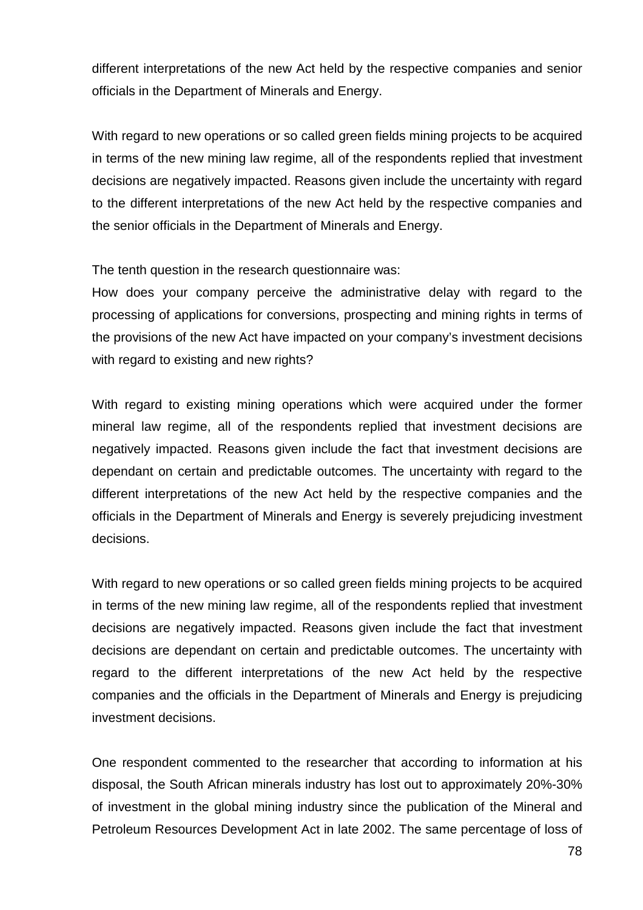different interpretations of the new Act held by the respective companies and senior officials in the Department of Minerals and Energy.

With regard to new operations or so called green fields mining projects to be acquired in terms of the new mining law regime, all of the respondents replied that investment decisions are negatively impacted. Reasons given include the uncertainty with regard to the different interpretations of the new Act held by the respective companies and the senior officials in the Department of Minerals and Energy.

The tenth question in the research questionnaire was:

How does your company perceive the administrative delay with regard to the processing of applications for conversions, prospecting and mining rights in terms of the provisions of the new Act have impacted on your company's investment decisions with regard to existing and new rights?

With regard to existing mining operations which were acquired under the former mineral law regime, all of the respondents replied that investment decisions are negatively impacted. Reasons given include the fact that investment decisions are dependant on certain and predictable outcomes. The uncertainty with regard to the different interpretations of the new Act held by the respective companies and the officials in the Department of Minerals and Energy is severely prejudicing investment decisions.

With regard to new operations or so called green fields mining projects to be acquired in terms of the new mining law regime, all of the respondents replied that investment decisions are negatively impacted. Reasons given include the fact that investment decisions are dependant on certain and predictable outcomes. The uncertainty with regard to the different interpretations of the new Act held by the respective companies and the officials in the Department of Minerals and Energy is prejudicing investment decisions.

One respondent commented to the researcher that according to information at his disposal, the South African minerals industry has lost out to approximately 20%-30% of investment in the global mining industry since the publication of the Mineral and Petroleum Resources Development Act in late 2002. The same percentage of loss of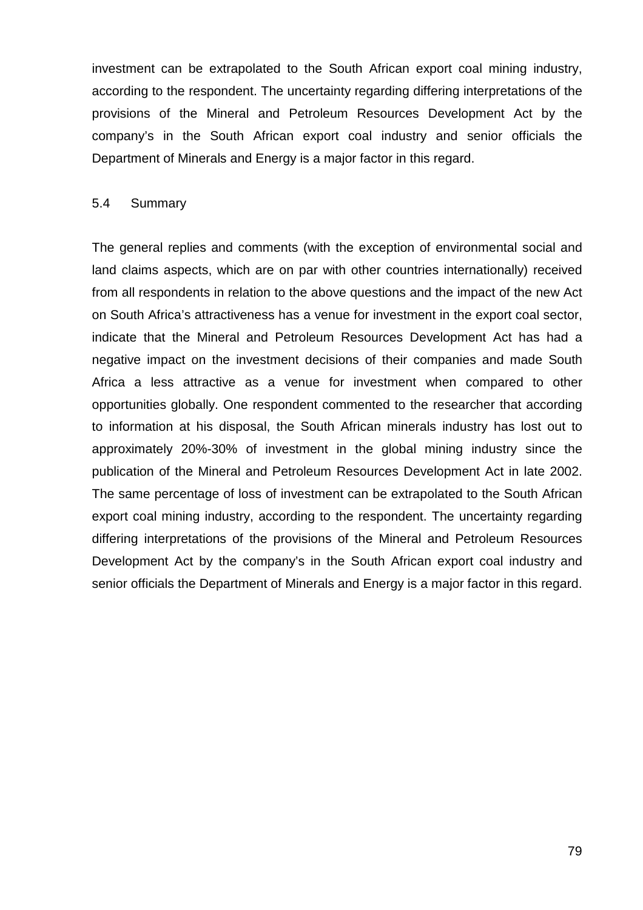investment can be extrapolated to the South African export coal mining industry, according to the respondent. The uncertainty regarding differing interpretations of the provisions of the Mineral and Petroleum Resources Development Act by the company's in the South African export coal industry and senior officials the Department of Minerals and Energy is a major factor in this regard.

### 5.4 Summary

The general replies and comments (with the exception of environmental social and land claims aspects, which are on par with other countries internationally) received from all respondents in relation to the above questions and the impact of the new Act on South Africa's attractiveness has a venue for investment in the export coal sector, indicate that the Mineral and Petroleum Resources Development Act has had a negative impact on the investment decisions of their companies and made South Africa a less attractive as a venue for investment when compared to other opportunities globally. One respondent commented to the researcher that according to information at his disposal, the South African minerals industry has lost out to approximately 20%-30% of investment in the global mining industry since the publication of the Mineral and Petroleum Resources Development Act in late 2002. The same percentage of loss of investment can be extrapolated to the South African export coal mining industry, according to the respondent. The uncertainty regarding differing interpretations of the provisions of the Mineral and Petroleum Resources Development Act by the company's in the South African export coal industry and senior officials the Department of Minerals and Energy is a major factor in this regard.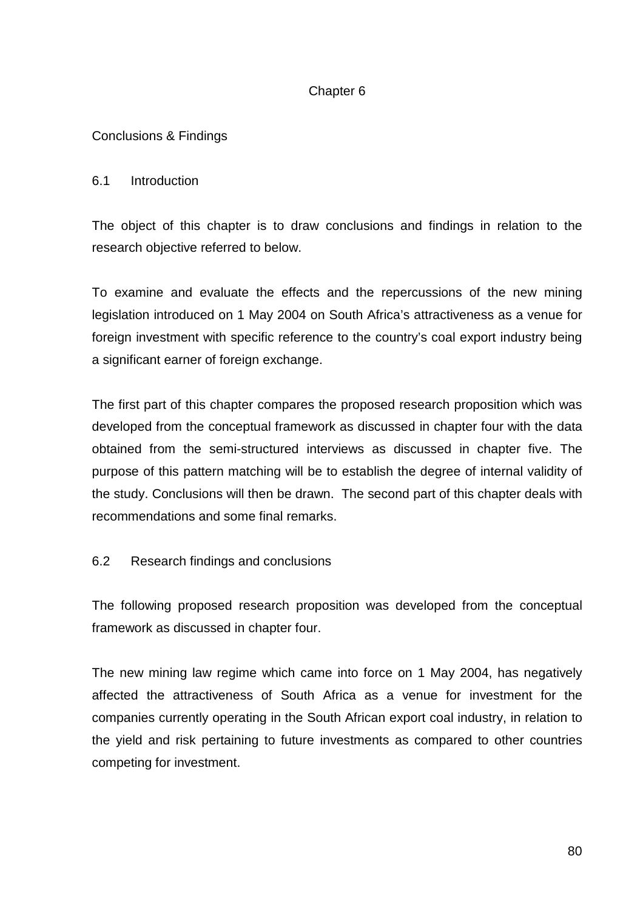# Chapter 6

# Conclusions & Findings

# 6.1 Introduction

The object of this chapter is to draw conclusions and findings in relation to the research objective referred to below.

To examine and evaluate the effects and the repercussions of the new mining legislation introduced on 1 May 2004 on South Africa's attractiveness as a venue for foreign investment with specific reference to the country's coal export industry being a significant earner of foreign exchange.

The first part of this chapter compares the proposed research proposition which was developed from the conceptual framework as discussed in chapter four with the data obtained from the semi-structured interviews as discussed in chapter five. The purpose of this pattern matching will be to establish the degree of internal validity of the study. Conclusions will then be drawn. The second part of this chapter deals with recommendations and some final remarks.

# 6.2 Research findings and conclusions

The following proposed research proposition was developed from the conceptual framework as discussed in chapter four.

The new mining law regime which came into force on 1 May 2004, has negatively affected the attractiveness of South Africa as a venue for investment for the companies currently operating in the South African export coal industry, in relation to the yield and risk pertaining to future investments as compared to other countries competing for investment.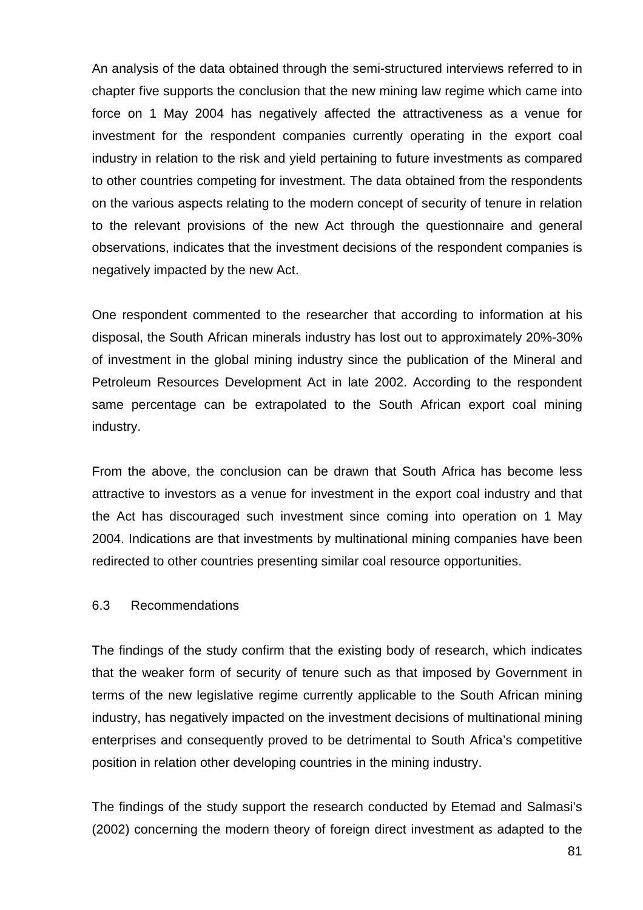An analysis of the data obtained through the semi-structured interviews referred to in chapter five supports the conclusion that the new mining law regime which came into force on 1 May 2004 has negatively affected the attractiveness as a venue for investment for the respondent companies currently operating in the export coal industry in relation to the risk and yield pertaining to future investments as compared to other countries competing for investment. The data obtained from the respondents on the various aspects relating to the modern concept of security of tenure in relation to the relevant provisions of the new Act through the questionnaire and general observations, indicates that the investment decisions of the respondent companies is negatively impacted by the new Act.

One respondent commented to the researcher that according to information at his disposal, the South African minerals industry has lost out to approximately 20%-30% of investment in the global mining industry since the publication of the Mineral and Petroleum Resources Development Act in late 2002. According to the respondent same percentage can be extrapolated to the South African export coal mining industry.

From the above, the conclusion can be drawn that South Africa has become less attractive to investors as a venue for investment in the export coal industry and that the Act has discouraged such investment since coming into operation on 1 May 2004. Indications are that investments by multinational mining companies have been redirected to other countries presenting similar coal resource opportunities.

# 6.3 Recommendations

The findings of the study confirm that the existing body of research, which indicates that the weaker form of security of tenure such as that imposed by Government in terms of the new legislative regime currently applicable to the South African mining industry, has negatively impacted on the investment decisions of multinational mining enterprises and consequently proved to be detrimental to South Africa's competitive position in relation other developing countries in the mining industry.

The findings of the study support the research conducted by Etemad and Salmasi's (2002) concerning the modern theory of foreign direct investment as adapted to the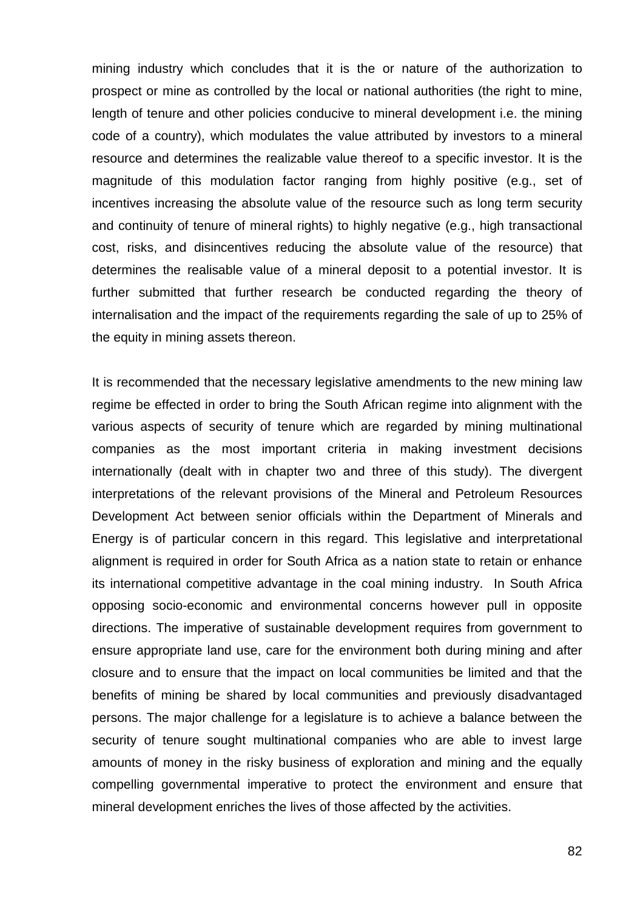mining industry which concludes that it is the or nature of the authorization to prospect or mine as controlled by the local or national authorities (the right to mine, length of tenure and other policies conducive to mineral development i.e. the mining code of a country), which modulates the value attributed by investors to a mineral resource and determines the realizable value thereof to a specific investor. It is the magnitude of this modulation factor ranging from highly positive (e.g., set of incentives increasing the absolute value of the resource such as long term security and continuity of tenure of mineral rights) to highly negative (e.g., high transactional cost, risks, and disincentives reducing the absolute value of the resource) that determines the realisable value of a mineral deposit to a potential investor. It is further submitted that further research be conducted regarding the theory of internalisation and the impact of the requirements regarding the sale of up to 25% of the equity in mining assets thereon.

It is recommended that the necessary legislative amendments to the new mining law regime be effected in order to bring the South African regime into alignment with the various aspects of security of tenure which are regarded by mining multinational companies as the most important criteria in making investment decisions internationally (dealt with in chapter two and three of this study). The divergent interpretations of the relevant provisions of the Mineral and Petroleum Resources Development Act between senior officials within the Department of Minerals and Energy is of particular concern in this regard. This legislative and interpretational alignment is required in order for South Africa as a nation state to retain or enhance its international competitive advantage in the coal mining industry. In South Africa opposing socio-economic and environmental concerns however pull in opposite directions. The imperative of sustainable development requires from government to ensure appropriate land use, care for the environment both during mining and after closure and to ensure that the impact on local communities be limited and that the benefits of mining be shared by local communities and previously disadvantaged persons. The major challenge for a legislature is to achieve a balance between the security of tenure sought multinational companies who are able to invest large amounts of money in the risky business of exploration and mining and the equally compelling governmental imperative to protect the environment and ensure that mineral development enriches the lives of those affected by the activities.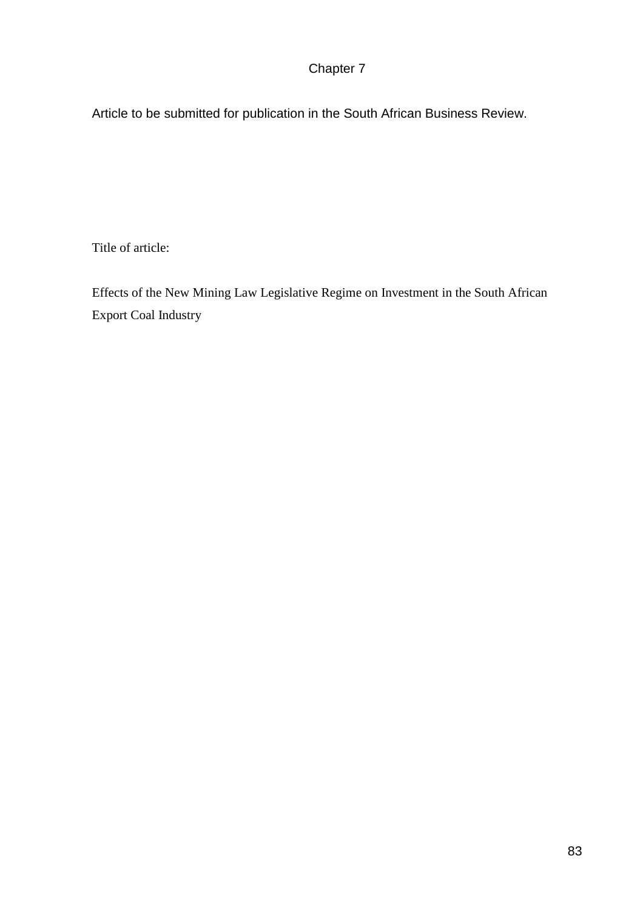# Chapter 7

Article to be submitted for publication in the South African Business Review.

Title of article:

Effects of the New Mining Law Legislative Regime on Investment in the South African Export Coal Industry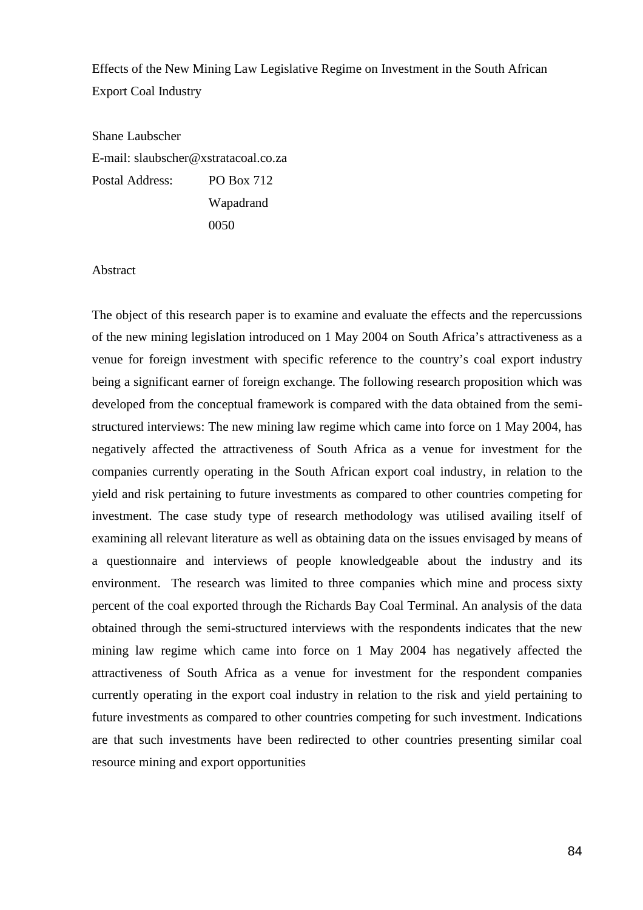Effects of the New Mining Law Legislative Regime on Investment in the South African Export Coal Industry

Shane Laubscher E-mail: slaubscher@xstratacoal.co.za Postal Address: PO Box 712 Wapadrand 0050

Abstract

The object of this research paper is to examine and evaluate the effects and the repercussions of the new mining legislation introduced on 1 May 2004 on South Africa's attractiveness as a venue for foreign investment with specific reference to the country's coal export industry being a significant earner of foreign exchange. The following research proposition which was developed from the conceptual framework is compared with the data obtained from the semistructured interviews: The new mining law regime which came into force on 1 May 2004, has negatively affected the attractiveness of South Africa as a venue for investment for the companies currently operating in the South African export coal industry, in relation to the yield and risk pertaining to future investments as compared to other countries competing for investment. The case study type of research methodology was utilised availing itself of examining all relevant literature as well as obtaining data on the issues envisaged by means of a questionnaire and interviews of people knowledgeable about the industry and its environment. The research was limited to three companies which mine and process sixty percent of the coal exported through the Richards Bay Coal Terminal. An analysis of the data obtained through the semi-structured interviews with the respondents indicates that the new mining law regime which came into force on 1 May 2004 has negatively affected the attractiveness of South Africa as a venue for investment for the respondent companies currently operating in the export coal industry in relation to the risk and yield pertaining to future investments as compared to other countries competing for such investment. Indications are that such investments have been redirected to other countries presenting similar coal resource mining and export opportunities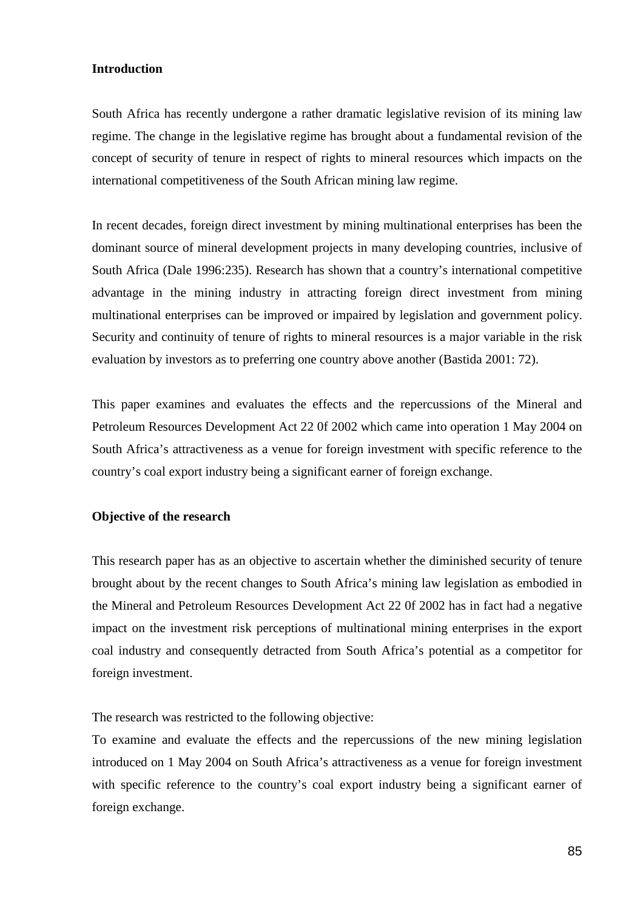### **Introduction**

South Africa has recently undergone a rather dramatic legislative revision of its mining law regime. The change in the legislative regime has brought about a fundamental revision of the concept of security of tenure in respect of rights to mineral resources which impacts on the international competitiveness of the South African mining law regime.

In recent decades, foreign direct investment by mining multinational enterprises has been the dominant source of mineral development projects in many developing countries, inclusive of South Africa (Dale 1996:235). Research has shown that a country's international competitive advantage in the mining industry in attracting foreign direct investment from mining multinational enterprises can be improved or impaired by legislation and government policy. Security and continuity of tenure of rights to mineral resources is a major variable in the risk evaluation by investors as to preferring one country above another (Bastida 2001: 72).

This paper examines and evaluates the effects and the repercussions of the Mineral and Petroleum Resources Development Act 22 0f 2002 which came into operation 1 May 2004 on South Africa's attractiveness as a venue for foreign investment with specific reference to the country's coal export industry being a significant earner of foreign exchange.

### **Objective of the research**

This research paper has as an objective to ascertain whether the diminished security of tenure brought about by the recent changes to South Africa's mining law legislation as embodied in the Mineral and Petroleum Resources Development Act 22 0f 2002 has in fact had a negative impact on the investment risk perceptions of multinational mining enterprises in the export coal industry and consequently detracted from South Africa's potential as a competitor for foreign investment.

The research was restricted to the following objective:

To examine and evaluate the effects and the repercussions of the new mining legislation introduced on 1 May 2004 on South Africa's attractiveness as a venue for foreign investment with specific reference to the country's coal export industry being a significant earner of foreign exchange.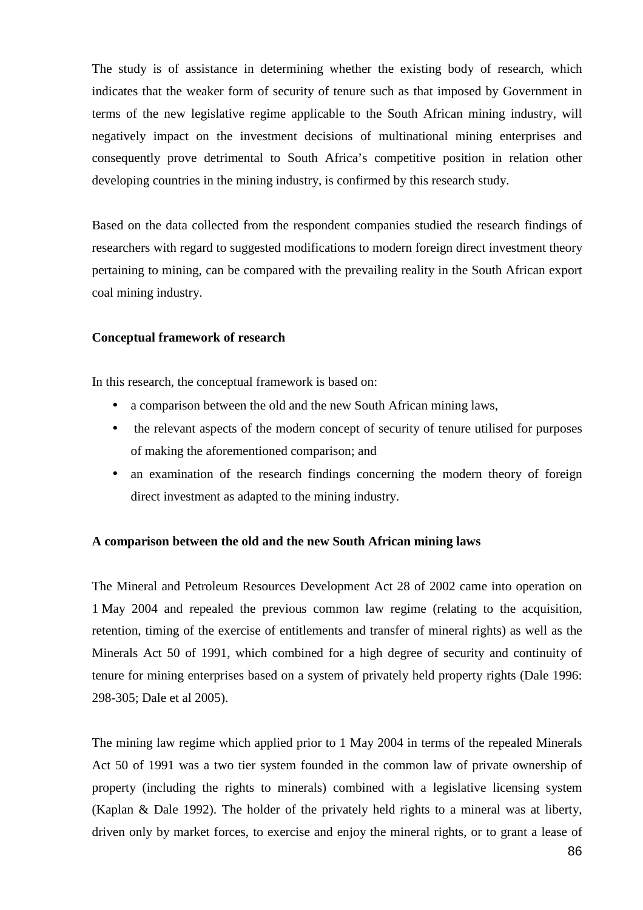The study is of assistance in determining whether the existing body of research, which indicates that the weaker form of security of tenure such as that imposed by Government in terms of the new legislative regime applicable to the South African mining industry, will negatively impact on the investment decisions of multinational mining enterprises and consequently prove detrimental to South Africa's competitive position in relation other developing countries in the mining industry, is confirmed by this research study.

Based on the data collected from the respondent companies studied the research findings of researchers with regard to suggested modifications to modern foreign direct investment theory pertaining to mining, can be compared with the prevailing reality in the South African export coal mining industry.

### **Conceptual framework of research**

In this research, the conceptual framework is based on:

- a comparison between the old and the new South African mining laws,
- the relevant aspects of the modern concept of security of tenure utilised for purposes of making the aforementioned comparison; and
- an examination of the research findings concerning the modern theory of foreign direct investment as adapted to the mining industry.

# **A comparison between the old and the new South African mining laws**

The Mineral and Petroleum Resources Development Act 28 of 2002 came into operation on 1 May 2004 and repealed the previous common law regime (relating to the acquisition, retention, timing of the exercise of entitlements and transfer of mineral rights) as well as the Minerals Act 50 of 1991, which combined for a high degree of security and continuity of tenure for mining enterprises based on a system of privately held property rights (Dale 1996: 298-305; Dale et al 2005).

The mining law regime which applied prior to 1 May 2004 in terms of the repealed Minerals Act 50 of 1991 was a two tier system founded in the common law of private ownership of property (including the rights to minerals) combined with a legislative licensing system (Kaplan & Dale 1992). The holder of the privately held rights to a mineral was at liberty, driven only by market forces, to exercise and enjoy the mineral rights, or to grant a lease of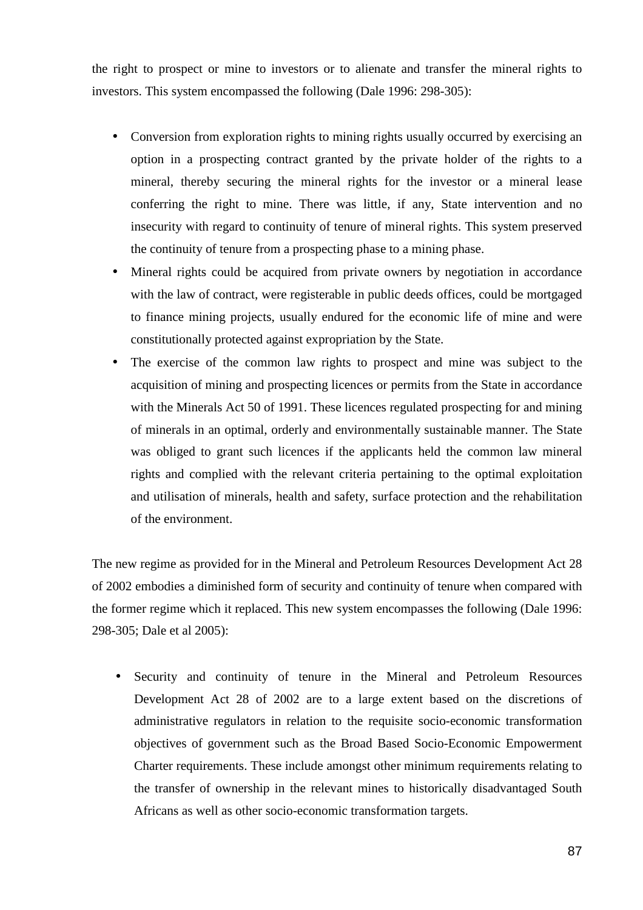the right to prospect or mine to investors or to alienate and transfer the mineral rights to investors. This system encompassed the following (Dale 1996: 298-305):

- Conversion from exploration rights to mining rights usually occurred by exercising an option in a prospecting contract granted by the private holder of the rights to a mineral, thereby securing the mineral rights for the investor or a mineral lease conferring the right to mine. There was little, if any, State intervention and no insecurity with regard to continuity of tenure of mineral rights. This system preserved the continuity of tenure from a prospecting phase to a mining phase.
- Mineral rights could be acquired from private owners by negotiation in accordance with the law of contract, were registerable in public deeds offices, could be mortgaged to finance mining projects, usually endured for the economic life of mine and were constitutionally protected against expropriation by the State.
- The exercise of the common law rights to prospect and mine was subject to the acquisition of mining and prospecting licences or permits from the State in accordance with the Minerals Act 50 of 1991. These licences regulated prospecting for and mining of minerals in an optimal, orderly and environmentally sustainable manner. The State was obliged to grant such licences if the applicants held the common law mineral rights and complied with the relevant criteria pertaining to the optimal exploitation and utilisation of minerals, health and safety, surface protection and the rehabilitation of the environment.

The new regime as provided for in the Mineral and Petroleum Resources Development Act 28 of 2002 embodies a diminished form of security and continuity of tenure when compared with the former regime which it replaced. This new system encompasses the following (Dale 1996: 298-305; Dale et al 2005):

• Security and continuity of tenure in the Mineral and Petroleum Resources Development Act 28 of 2002 are to a large extent based on the discretions of administrative regulators in relation to the requisite socio-economic transformation objectives of government such as the Broad Based Socio-Economic Empowerment Charter requirements. These include amongst other minimum requirements relating to the transfer of ownership in the relevant mines to historically disadvantaged South Africans as well as other socio-economic transformation targets.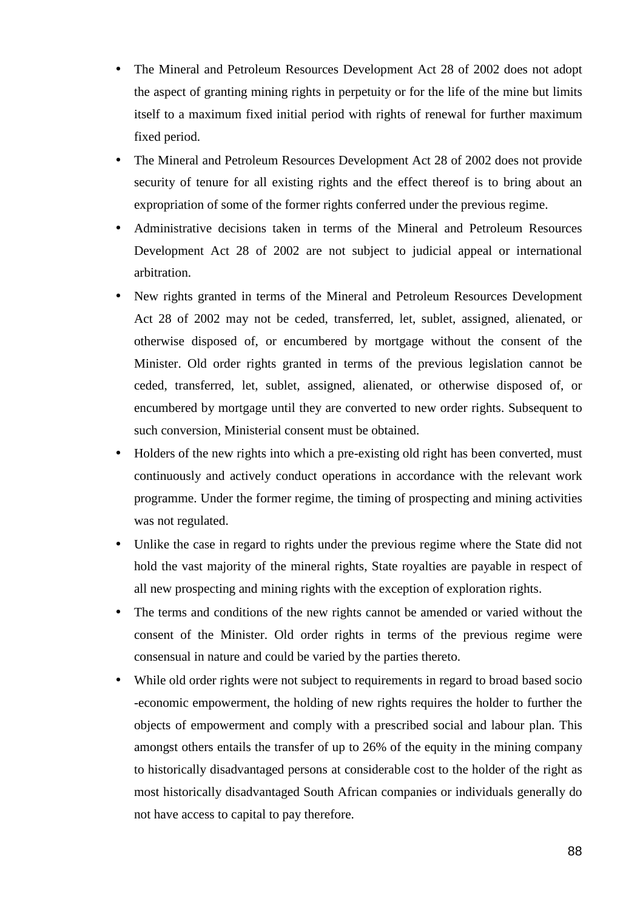- The Mineral and Petroleum Resources Development Act 28 of 2002 does not adopt the aspect of granting mining rights in perpetuity or for the life of the mine but limits itself to a maximum fixed initial period with rights of renewal for further maximum fixed period.
- The Mineral and Petroleum Resources Development Act 28 of 2002 does not provide security of tenure for all existing rights and the effect thereof is to bring about an expropriation of some of the former rights conferred under the previous regime.
- Administrative decisions taken in terms of the Mineral and Petroleum Resources Development Act 28 of 2002 are not subject to judicial appeal or international arbitration.
- New rights granted in terms of the Mineral and Petroleum Resources Development Act 28 of 2002 may not be ceded, transferred, let, sublet, assigned, alienated, or otherwise disposed of, or encumbered by mortgage without the consent of the Minister. Old order rights granted in terms of the previous legislation cannot be ceded, transferred, let, sublet, assigned, alienated, or otherwise disposed of, or encumbered by mortgage until they are converted to new order rights. Subsequent to such conversion, Ministerial consent must be obtained.
- Holders of the new rights into which a pre-existing old right has been converted, must continuously and actively conduct operations in accordance with the relevant work programme. Under the former regime, the timing of prospecting and mining activities was not regulated.
- Unlike the case in regard to rights under the previous regime where the State did not hold the vast majority of the mineral rights, State royalties are payable in respect of all new prospecting and mining rights with the exception of exploration rights.
- The terms and conditions of the new rights cannot be amended or varied without the consent of the Minister. Old order rights in terms of the previous regime were consensual in nature and could be varied by the parties thereto.
- While old order rights were not subject to requirements in regard to broad based socio -economic empowerment, the holding of new rights requires the holder to further the objects of empowerment and comply with a prescribed social and labour plan. This amongst others entails the transfer of up to 26% of the equity in the mining company to historically disadvantaged persons at considerable cost to the holder of the right as most historically disadvantaged South African companies or individuals generally do not have access to capital to pay therefore.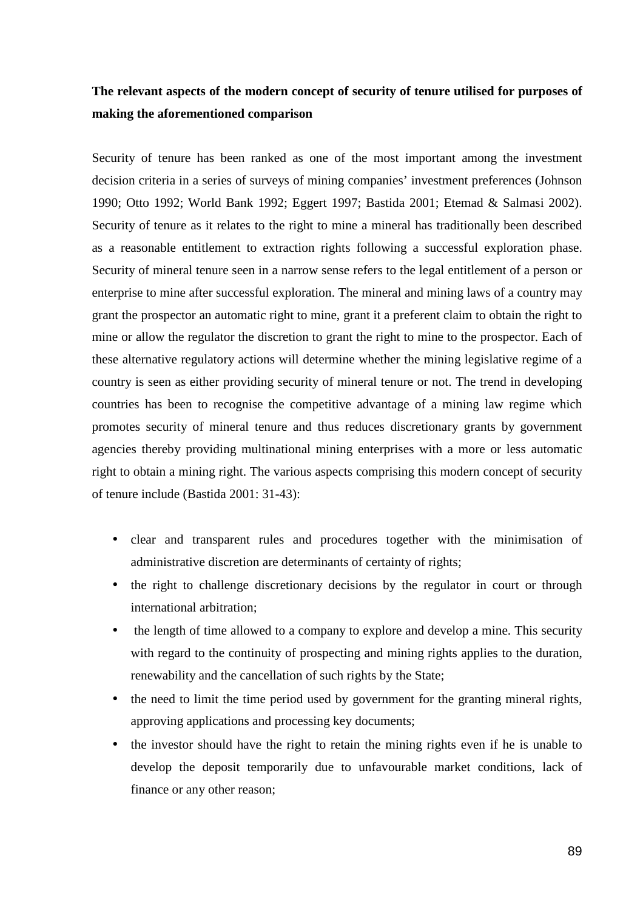# **The relevant aspects of the modern concept of security of tenure utilised for purposes of making the aforementioned comparison**

Security of tenure has been ranked as one of the most important among the investment decision criteria in a series of surveys of mining companies' investment preferences (Johnson 1990; Otto 1992; World Bank 1992; Eggert 1997; Bastida 2001; Etemad & Salmasi 2002). Security of tenure as it relates to the right to mine a mineral has traditionally been described as a reasonable entitlement to extraction rights following a successful exploration phase. Security of mineral tenure seen in a narrow sense refers to the legal entitlement of a person or enterprise to mine after successful exploration. The mineral and mining laws of a country may grant the prospector an automatic right to mine, grant it a preferent claim to obtain the right to mine or allow the regulator the discretion to grant the right to mine to the prospector. Each of these alternative regulatory actions will determine whether the mining legislative regime of a country is seen as either providing security of mineral tenure or not. The trend in developing countries has been to recognise the competitive advantage of a mining law regime which promotes security of mineral tenure and thus reduces discretionary grants by government agencies thereby providing multinational mining enterprises with a more or less automatic right to obtain a mining right. The various aspects comprising this modern concept of security of tenure include (Bastida 2001: 31-43):

- clear and transparent rules and procedures together with the minimisation of administrative discretion are determinants of certainty of rights;
- the right to challenge discretionary decisions by the regulator in court or through international arbitration;
- the length of time allowed to a company to explore and develop a mine. This security with regard to the continuity of prospecting and mining rights applies to the duration, renewability and the cancellation of such rights by the State;
- the need to limit the time period used by government for the granting mineral rights, approving applications and processing key documents;
- the investor should have the right to retain the mining rights even if he is unable to develop the deposit temporarily due to unfavourable market conditions, lack of finance or any other reason;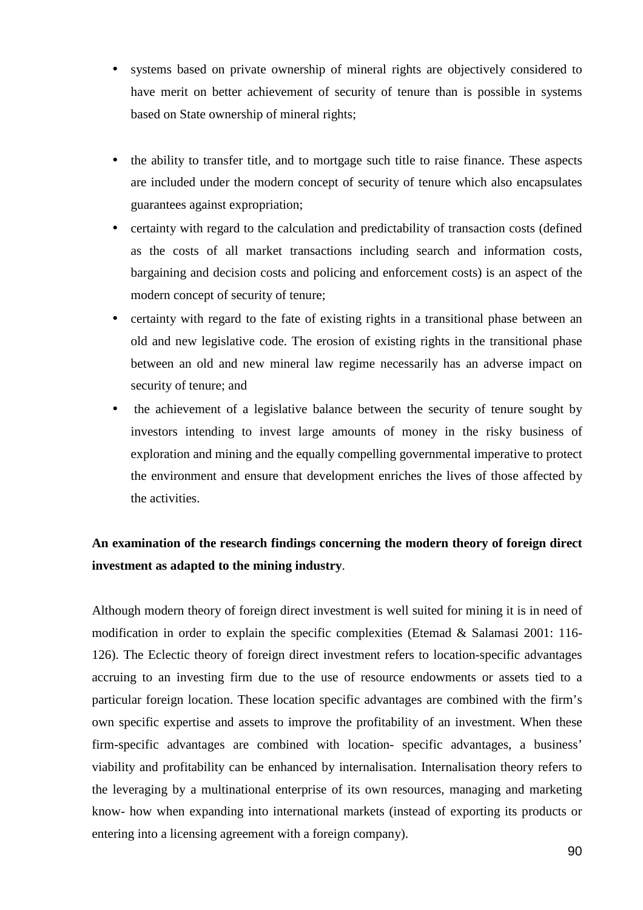- systems based on private ownership of mineral rights are objectively considered to have merit on better achievement of security of tenure than is possible in systems based on State ownership of mineral rights;
- the ability to transfer title, and to mortgage such title to raise finance. These aspects are included under the modern concept of security of tenure which also encapsulates guarantees against expropriation;
- certainty with regard to the calculation and predictability of transaction costs (defined as the costs of all market transactions including search and information costs, bargaining and decision costs and policing and enforcement costs) is an aspect of the modern concept of security of tenure;
- certainty with regard to the fate of existing rights in a transitional phase between an old and new legislative code. The erosion of existing rights in the transitional phase between an old and new mineral law regime necessarily has an adverse impact on security of tenure; and
- the achievement of a legislative balance between the security of tenure sought by investors intending to invest large amounts of money in the risky business of exploration and mining and the equally compelling governmental imperative to protect the environment and ensure that development enriches the lives of those affected by the activities.

# **An examination of the research findings concerning the modern theory of foreign direct investment as adapted to the mining industry**.

Although modern theory of foreign direct investment is well suited for mining it is in need of modification in order to explain the specific complexities (Etemad & Salamasi 2001: 116- 126). The Eclectic theory of foreign direct investment refers to location-specific advantages accruing to an investing firm due to the use of resource endowments or assets tied to a particular foreign location. These location specific advantages are combined with the firm's own specific expertise and assets to improve the profitability of an investment. When these firm-specific advantages are combined with location- specific advantages, a business' viability and profitability can be enhanced by internalisation. Internalisation theory refers to the leveraging by a multinational enterprise of its own resources, managing and marketing know- how when expanding into international markets (instead of exporting its products or entering into a licensing agreement with a foreign company).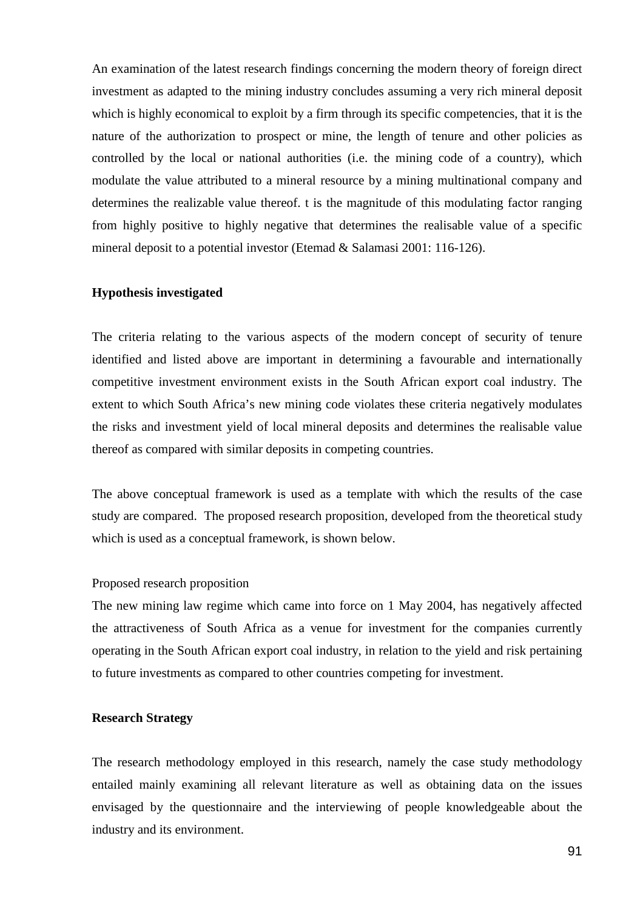An examination of the latest research findings concerning the modern theory of foreign direct investment as adapted to the mining industry concludes assuming a very rich mineral deposit which is highly economical to exploit by a firm through its specific competencies, that it is the nature of the authorization to prospect or mine, the length of tenure and other policies as controlled by the local or national authorities (i.e. the mining code of a country), which modulate the value attributed to a mineral resource by a mining multinational company and determines the realizable value thereof. t is the magnitude of this modulating factor ranging from highly positive to highly negative that determines the realisable value of a specific mineral deposit to a potential investor (Etemad & Salamasi 2001: 116-126).

### **Hypothesis investigated**

The criteria relating to the various aspects of the modern concept of security of tenure identified and listed above are important in determining a favourable and internationally competitive investment environment exists in the South African export coal industry. The extent to which South Africa's new mining code violates these criteria negatively modulates the risks and investment yield of local mineral deposits and determines the realisable value thereof as compared with similar deposits in competing countries.

The above conceptual framework is used as a template with which the results of the case study are compared. The proposed research proposition, developed from the theoretical study which is used as a conceptual framework, is shown below.

### Proposed research proposition

The new mining law regime which came into force on 1 May 2004, has negatively affected the attractiveness of South Africa as a venue for investment for the companies currently operating in the South African export coal industry, in relation to the yield and risk pertaining to future investments as compared to other countries competing for investment.

### **Research Strategy**

The research methodology employed in this research, namely the case study methodology entailed mainly examining all relevant literature as well as obtaining data on the issues envisaged by the questionnaire and the interviewing of people knowledgeable about the industry and its environment.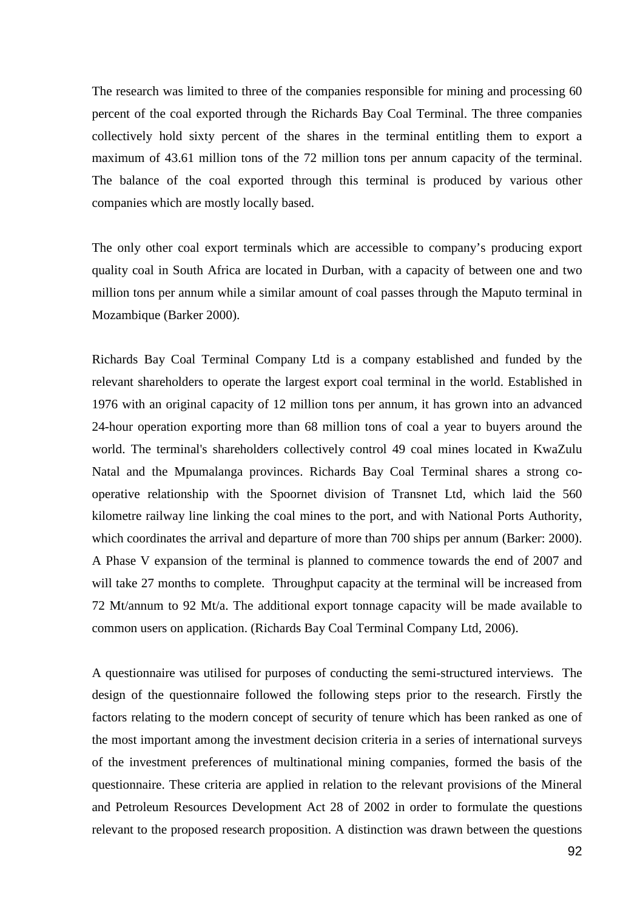The research was limited to three of the companies responsible for mining and processing 60 percent of the coal exported through the Richards Bay Coal Terminal. The three companies collectively hold sixty percent of the shares in the terminal entitling them to export a maximum of 43.61 million tons of the 72 million tons per annum capacity of the terminal. The balance of the coal exported through this terminal is produced by various other companies which are mostly locally based.

The only other coal export terminals which are accessible to company's producing export quality coal in South Africa are located in Durban, with a capacity of between one and two million tons per annum while a similar amount of coal passes through the Maputo terminal in Mozambique (Barker 2000).

Richards Bay Coal Terminal Company Ltd is a company established and funded by the relevant shareholders to operate the largest export coal terminal in the world. Established in 1976 with an original capacity of 12 million tons per annum, it has grown into an advanced 24-hour operation exporting more than 68 million tons of coal a year to buyers around the world. The terminal's shareholders collectively control 49 coal mines located in KwaZulu Natal and the Mpumalanga provinces. Richards Bay Coal Terminal shares a strong cooperative relationship with the Spoornet division of Transnet Ltd, which laid the 560 kilometre railway line linking the coal mines to the port, and with National Ports Authority, which coordinates the arrival and departure of more than 700 ships per annum (Barker: 2000). A Phase V expansion of the terminal is planned to commence towards the end of 2007 and will take 27 months to complete. Throughput capacity at the terminal will be increased from 72 Mt/annum to 92 Mt/a. The additional export tonnage capacity will be made available to common users on application. (Richards Bay Coal Terminal Company Ltd, 2006).

A questionnaire was utilised for purposes of conducting the semi-structured interviews. The design of the questionnaire followed the following steps prior to the research. Firstly the factors relating to the modern concept of security of tenure which has been ranked as one of the most important among the investment decision criteria in a series of international surveys of the investment preferences of multinational mining companies, formed the basis of the questionnaire. These criteria are applied in relation to the relevant provisions of the Mineral and Petroleum Resources Development Act 28 of 2002 in order to formulate the questions relevant to the proposed research proposition. A distinction was drawn between the questions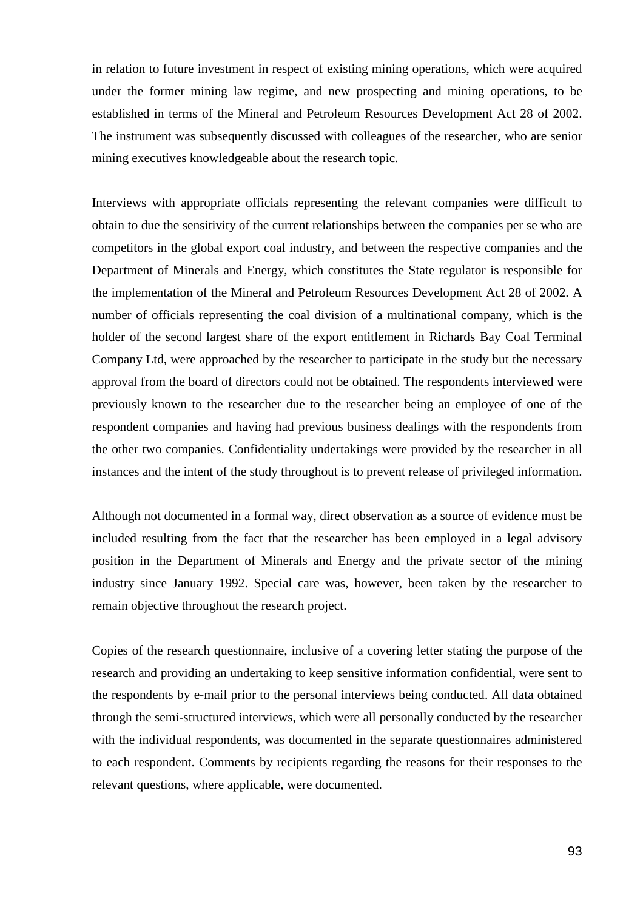in relation to future investment in respect of existing mining operations, which were acquired under the former mining law regime, and new prospecting and mining operations, to be established in terms of the Mineral and Petroleum Resources Development Act 28 of 2002. The instrument was subsequently discussed with colleagues of the researcher, who are senior mining executives knowledgeable about the research topic.

Interviews with appropriate officials representing the relevant companies were difficult to obtain to due the sensitivity of the current relationships between the companies per se who are competitors in the global export coal industry, and between the respective companies and the Department of Minerals and Energy, which constitutes the State regulator is responsible for the implementation of the Mineral and Petroleum Resources Development Act 28 of 2002. A number of officials representing the coal division of a multinational company, which is the holder of the second largest share of the export entitlement in Richards Bay Coal Terminal Company Ltd, were approached by the researcher to participate in the study but the necessary approval from the board of directors could not be obtained. The respondents interviewed were previously known to the researcher due to the researcher being an employee of one of the respondent companies and having had previous business dealings with the respondents from the other two companies. Confidentiality undertakings were provided by the researcher in all instances and the intent of the study throughout is to prevent release of privileged information.

Although not documented in a formal way, direct observation as a source of evidence must be included resulting from the fact that the researcher has been employed in a legal advisory position in the Department of Minerals and Energy and the private sector of the mining industry since January 1992. Special care was, however, been taken by the researcher to remain objective throughout the research project.

Copies of the research questionnaire, inclusive of a covering letter stating the purpose of the research and providing an undertaking to keep sensitive information confidential, were sent to the respondents by e-mail prior to the personal interviews being conducted. All data obtained through the semi-structured interviews, which were all personally conducted by the researcher with the individual respondents, was documented in the separate questionnaires administered to each respondent. Comments by recipients regarding the reasons for their responses to the relevant questions, where applicable, were documented.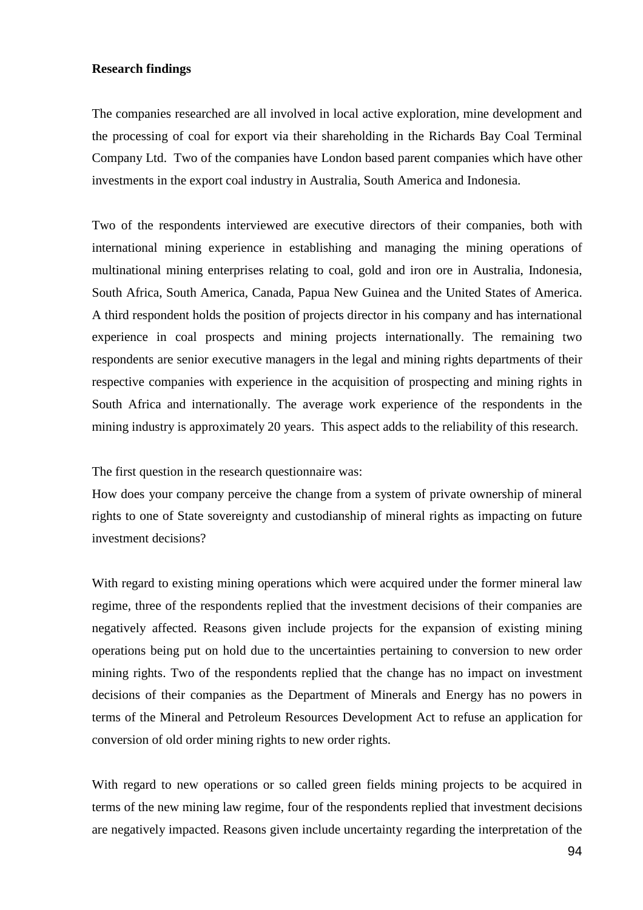### **Research findings**

The companies researched are all involved in local active exploration, mine development and the processing of coal for export via their shareholding in the Richards Bay Coal Terminal Company Ltd. Two of the companies have London based parent companies which have other investments in the export coal industry in Australia, South America and Indonesia.

Two of the respondents interviewed are executive directors of their companies, both with international mining experience in establishing and managing the mining operations of multinational mining enterprises relating to coal, gold and iron ore in Australia, Indonesia, South Africa, South America, Canada, Papua New Guinea and the United States of America. A third respondent holds the position of projects director in his company and has international experience in coal prospects and mining projects internationally. The remaining two respondents are senior executive managers in the legal and mining rights departments of their respective companies with experience in the acquisition of prospecting and mining rights in South Africa and internationally. The average work experience of the respondents in the mining industry is approximately 20 years. This aspect adds to the reliability of this research.

The first question in the research questionnaire was:

How does your company perceive the change from a system of private ownership of mineral rights to one of State sovereignty and custodianship of mineral rights as impacting on future investment decisions?

With regard to existing mining operations which were acquired under the former mineral law regime, three of the respondents replied that the investment decisions of their companies are negatively affected. Reasons given include projects for the expansion of existing mining operations being put on hold due to the uncertainties pertaining to conversion to new order mining rights. Two of the respondents replied that the change has no impact on investment decisions of their companies as the Department of Minerals and Energy has no powers in terms of the Mineral and Petroleum Resources Development Act to refuse an application for conversion of old order mining rights to new order rights.

With regard to new operations or so called green fields mining projects to be acquired in terms of the new mining law regime, four of the respondents replied that investment decisions are negatively impacted. Reasons given include uncertainty regarding the interpretation of the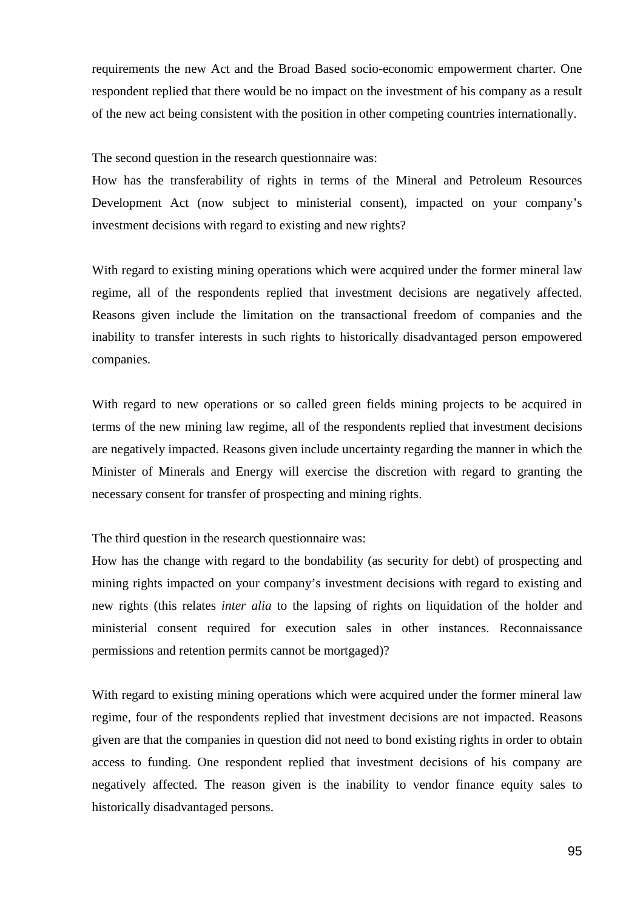requirements the new Act and the Broad Based socio-economic empowerment charter. One respondent replied that there would be no impact on the investment of his company as a result of the new act being consistent with the position in other competing countries internationally.

The second question in the research questionnaire was:

How has the transferability of rights in terms of the Mineral and Petroleum Resources Development Act (now subject to ministerial consent), impacted on your company's investment decisions with regard to existing and new rights?

With regard to existing mining operations which were acquired under the former mineral law regime, all of the respondents replied that investment decisions are negatively affected. Reasons given include the limitation on the transactional freedom of companies and the inability to transfer interests in such rights to historically disadvantaged person empowered companies.

With regard to new operations or so called green fields mining projects to be acquired in terms of the new mining law regime, all of the respondents replied that investment decisions are negatively impacted. Reasons given include uncertainty regarding the manner in which the Minister of Minerals and Energy will exercise the discretion with regard to granting the necessary consent for transfer of prospecting and mining rights.

The third question in the research questionnaire was:

How has the change with regard to the bondability (as security for debt) of prospecting and mining rights impacted on your company's investment decisions with regard to existing and new rights (this relates *inter alia* to the lapsing of rights on liquidation of the holder and ministerial consent required for execution sales in other instances. Reconnaissance permissions and retention permits cannot be mortgaged)?

With regard to existing mining operations which were acquired under the former mineral law regime, four of the respondents replied that investment decisions are not impacted. Reasons given are that the companies in question did not need to bond existing rights in order to obtain access to funding. One respondent replied that investment decisions of his company are negatively affected. The reason given is the inability to vendor finance equity sales to historically disadvantaged persons.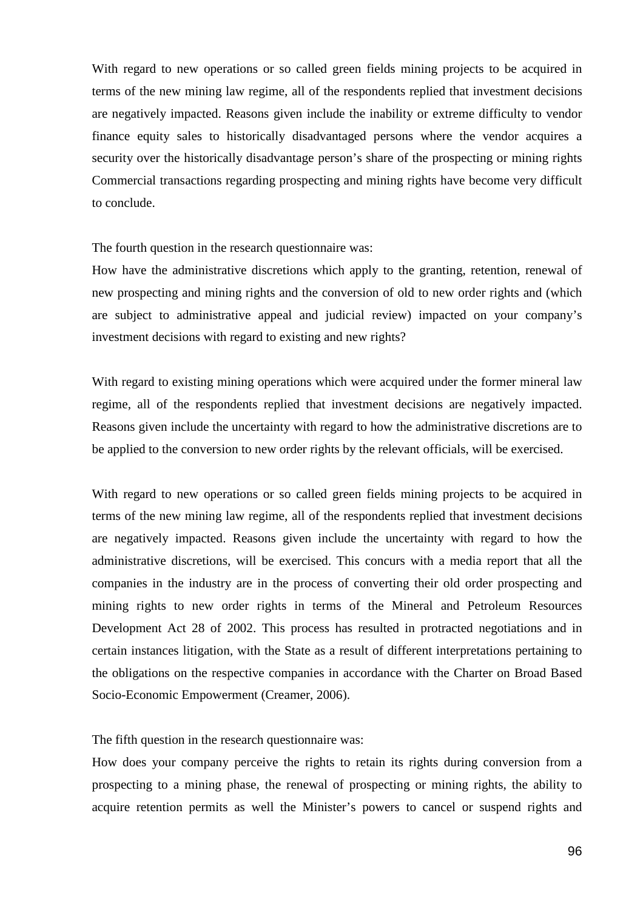With regard to new operations or so called green fields mining projects to be acquired in terms of the new mining law regime, all of the respondents replied that investment decisions are negatively impacted. Reasons given include the inability or extreme difficulty to vendor finance equity sales to historically disadvantaged persons where the vendor acquires a security over the historically disadvantage person's share of the prospecting or mining rights Commercial transactions regarding prospecting and mining rights have become very difficult to conclude.

The fourth question in the research questionnaire was:

How have the administrative discretions which apply to the granting, retention, renewal of new prospecting and mining rights and the conversion of old to new order rights and (which are subject to administrative appeal and judicial review) impacted on your company's investment decisions with regard to existing and new rights?

With regard to existing mining operations which were acquired under the former mineral law regime, all of the respondents replied that investment decisions are negatively impacted. Reasons given include the uncertainty with regard to how the administrative discretions are to be applied to the conversion to new order rights by the relevant officials, will be exercised.

With regard to new operations or so called green fields mining projects to be acquired in terms of the new mining law regime, all of the respondents replied that investment decisions are negatively impacted. Reasons given include the uncertainty with regard to how the administrative discretions, will be exercised. This concurs with a media report that all the companies in the industry are in the process of converting their old order prospecting and mining rights to new order rights in terms of the Mineral and Petroleum Resources Development Act 28 of 2002. This process has resulted in protracted negotiations and in certain instances litigation, with the State as a result of different interpretations pertaining to the obligations on the respective companies in accordance with the Charter on Broad Based Socio-Economic Empowerment (Creamer, 2006).

The fifth question in the research questionnaire was:

How does your company perceive the rights to retain its rights during conversion from a prospecting to a mining phase, the renewal of prospecting or mining rights, the ability to acquire retention permits as well the Minister's powers to cancel or suspend rights and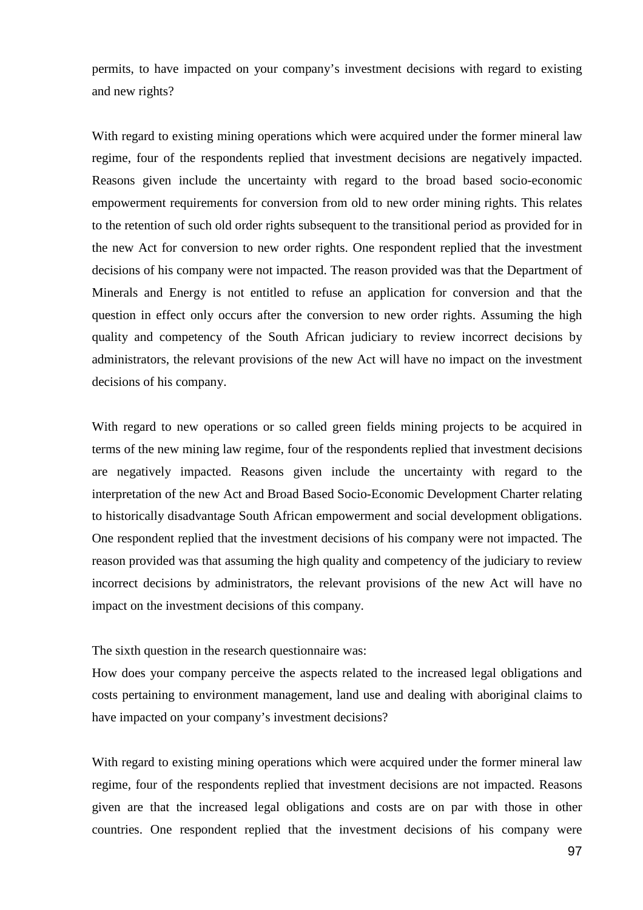permits, to have impacted on your company's investment decisions with regard to existing and new rights?

With regard to existing mining operations which were acquired under the former mineral law regime, four of the respondents replied that investment decisions are negatively impacted. Reasons given include the uncertainty with regard to the broad based socio-economic empowerment requirements for conversion from old to new order mining rights. This relates to the retention of such old order rights subsequent to the transitional period as provided for in the new Act for conversion to new order rights. One respondent replied that the investment decisions of his company were not impacted. The reason provided was that the Department of Minerals and Energy is not entitled to refuse an application for conversion and that the question in effect only occurs after the conversion to new order rights. Assuming the high quality and competency of the South African judiciary to review incorrect decisions by administrators, the relevant provisions of the new Act will have no impact on the investment decisions of his company.

With regard to new operations or so called green fields mining projects to be acquired in terms of the new mining law regime, four of the respondents replied that investment decisions are negatively impacted. Reasons given include the uncertainty with regard to the interpretation of the new Act and Broad Based Socio-Economic Development Charter relating to historically disadvantage South African empowerment and social development obligations. One respondent replied that the investment decisions of his company were not impacted. The reason provided was that assuming the high quality and competency of the judiciary to review incorrect decisions by administrators, the relevant provisions of the new Act will have no impact on the investment decisions of this company.

### The sixth question in the research questionnaire was:

How does your company perceive the aspects related to the increased legal obligations and costs pertaining to environment management, land use and dealing with aboriginal claims to have impacted on your company's investment decisions?

With regard to existing mining operations which were acquired under the former mineral law regime, four of the respondents replied that investment decisions are not impacted. Reasons given are that the increased legal obligations and costs are on par with those in other countries. One respondent replied that the investment decisions of his company were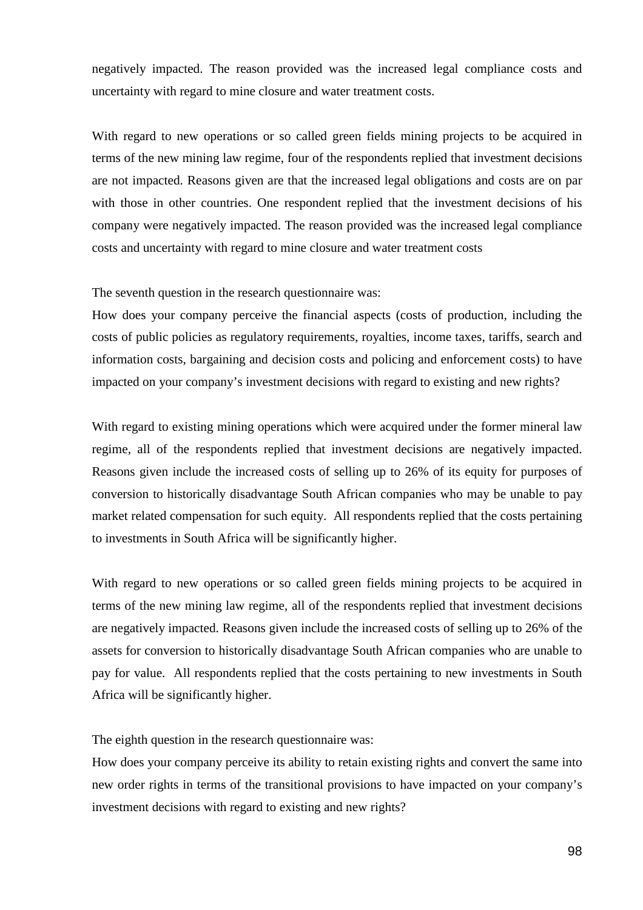negatively impacted. The reason provided was the increased legal compliance costs and uncertainty with regard to mine closure and water treatment costs.

With regard to new operations or so called green fields mining projects to be acquired in terms of the new mining law regime, four of the respondents replied that investment decisions are not impacted. Reasons given are that the increased legal obligations and costs are on par with those in other countries. One respondent replied that the investment decisions of his company were negatively impacted. The reason provided was the increased legal compliance costs and uncertainty with regard to mine closure and water treatment costs

The seventh question in the research questionnaire was:

How does your company perceive the financial aspects (costs of production, including the costs of public policies as regulatory requirements, royalties, income taxes, tariffs, search and information costs, bargaining and decision costs and policing and enforcement costs) to have impacted on your company's investment decisions with regard to existing and new rights?

With regard to existing mining operations which were acquired under the former mineral law regime, all of the respondents replied that investment decisions are negatively impacted. Reasons given include the increased costs of selling up to 26% of its equity for purposes of conversion to historically disadvantage South African companies who may be unable to pay market related compensation for such equity. All respondents replied that the costs pertaining to investments in South Africa will be significantly higher.

With regard to new operations or so called green fields mining projects to be acquired in terms of the new mining law regime, all of the respondents replied that investment decisions are negatively impacted. Reasons given include the increased costs of selling up to 26% of the assets for conversion to historically disadvantage South African companies who are unable to pay for value. All respondents replied that the costs pertaining to new investments in South Africa will be significantly higher.

The eighth question in the research questionnaire was:

How does your company perceive its ability to retain existing rights and convert the same into new order rights in terms of the transitional provisions to have impacted on your company's investment decisions with regard to existing and new rights?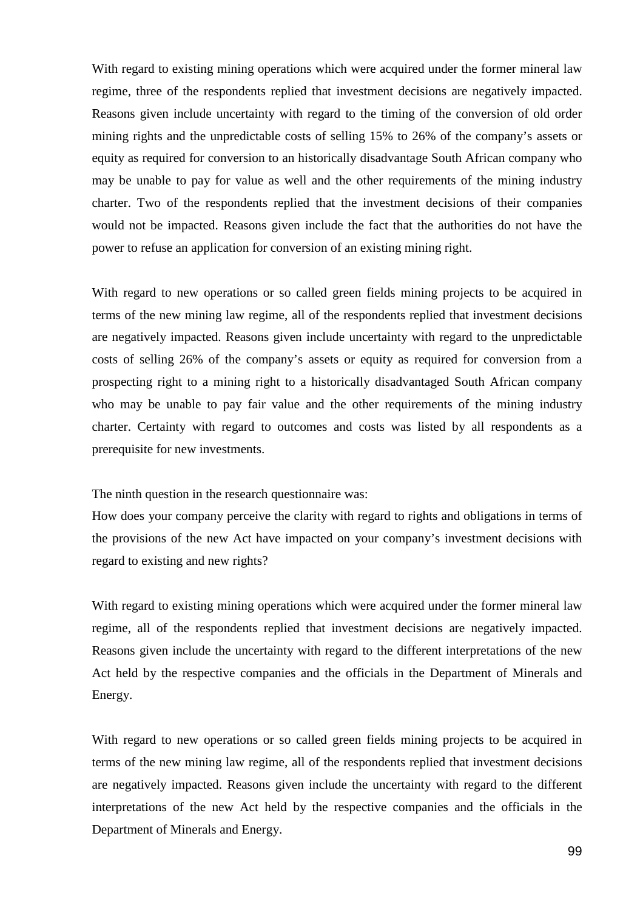With regard to existing mining operations which were acquired under the former mineral law regime, three of the respondents replied that investment decisions are negatively impacted. Reasons given include uncertainty with regard to the timing of the conversion of old order mining rights and the unpredictable costs of selling 15% to 26% of the company's assets or equity as required for conversion to an historically disadvantage South African company who may be unable to pay for value as well and the other requirements of the mining industry charter. Two of the respondents replied that the investment decisions of their companies would not be impacted. Reasons given include the fact that the authorities do not have the power to refuse an application for conversion of an existing mining right.

With regard to new operations or so called green fields mining projects to be acquired in terms of the new mining law regime, all of the respondents replied that investment decisions are negatively impacted. Reasons given include uncertainty with regard to the unpredictable costs of selling 26% of the company's assets or equity as required for conversion from a prospecting right to a mining right to a historically disadvantaged South African company who may be unable to pay fair value and the other requirements of the mining industry charter. Certainty with regard to outcomes and costs was listed by all respondents as a prerequisite for new investments.

The ninth question in the research questionnaire was:

How does your company perceive the clarity with regard to rights and obligations in terms of the provisions of the new Act have impacted on your company's investment decisions with regard to existing and new rights?

With regard to existing mining operations which were acquired under the former mineral law regime, all of the respondents replied that investment decisions are negatively impacted. Reasons given include the uncertainty with regard to the different interpretations of the new Act held by the respective companies and the officials in the Department of Minerals and Energy.

With regard to new operations or so called green fields mining projects to be acquired in terms of the new mining law regime, all of the respondents replied that investment decisions are negatively impacted. Reasons given include the uncertainty with regard to the different interpretations of the new Act held by the respective companies and the officials in the Department of Minerals and Energy.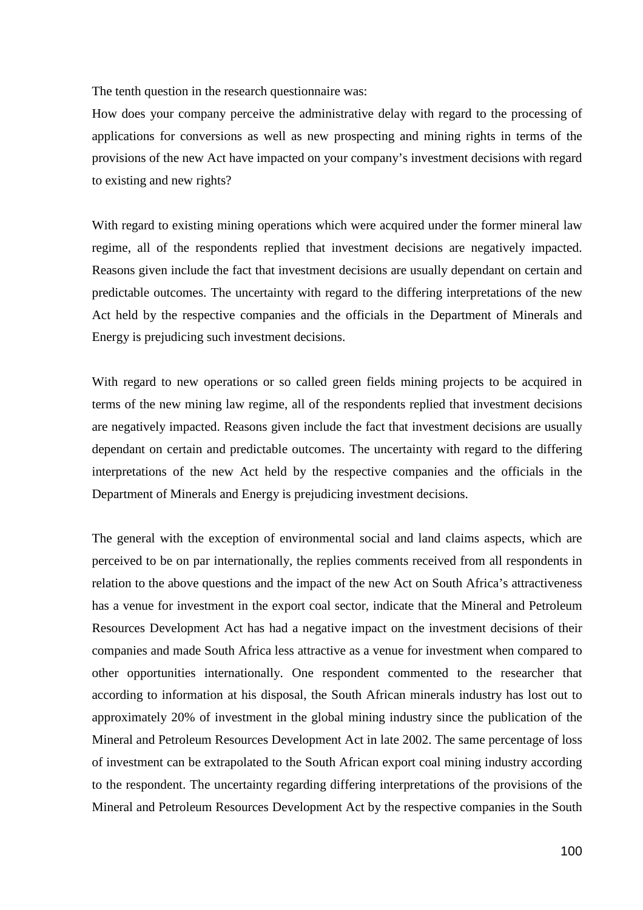The tenth question in the research questionnaire was:

How does your company perceive the administrative delay with regard to the processing of applications for conversions as well as new prospecting and mining rights in terms of the provisions of the new Act have impacted on your company's investment decisions with regard to existing and new rights?

With regard to existing mining operations which were acquired under the former mineral law regime, all of the respondents replied that investment decisions are negatively impacted. Reasons given include the fact that investment decisions are usually dependant on certain and predictable outcomes. The uncertainty with regard to the differing interpretations of the new Act held by the respective companies and the officials in the Department of Minerals and Energy is prejudicing such investment decisions.

With regard to new operations or so called green fields mining projects to be acquired in terms of the new mining law regime, all of the respondents replied that investment decisions are negatively impacted. Reasons given include the fact that investment decisions are usually dependant on certain and predictable outcomes. The uncertainty with regard to the differing interpretations of the new Act held by the respective companies and the officials in the Department of Minerals and Energy is prejudicing investment decisions.

The general with the exception of environmental social and land claims aspects, which are perceived to be on par internationally, the replies comments received from all respondents in relation to the above questions and the impact of the new Act on South Africa's attractiveness has a venue for investment in the export coal sector, indicate that the Mineral and Petroleum Resources Development Act has had a negative impact on the investment decisions of their companies and made South Africa less attractive as a venue for investment when compared to other opportunities internationally. One respondent commented to the researcher that according to information at his disposal, the South African minerals industry has lost out to approximately 20% of investment in the global mining industry since the publication of the Mineral and Petroleum Resources Development Act in late 2002. The same percentage of loss of investment can be extrapolated to the South African export coal mining industry according to the respondent. The uncertainty regarding differing interpretations of the provisions of the Mineral and Petroleum Resources Development Act by the respective companies in the South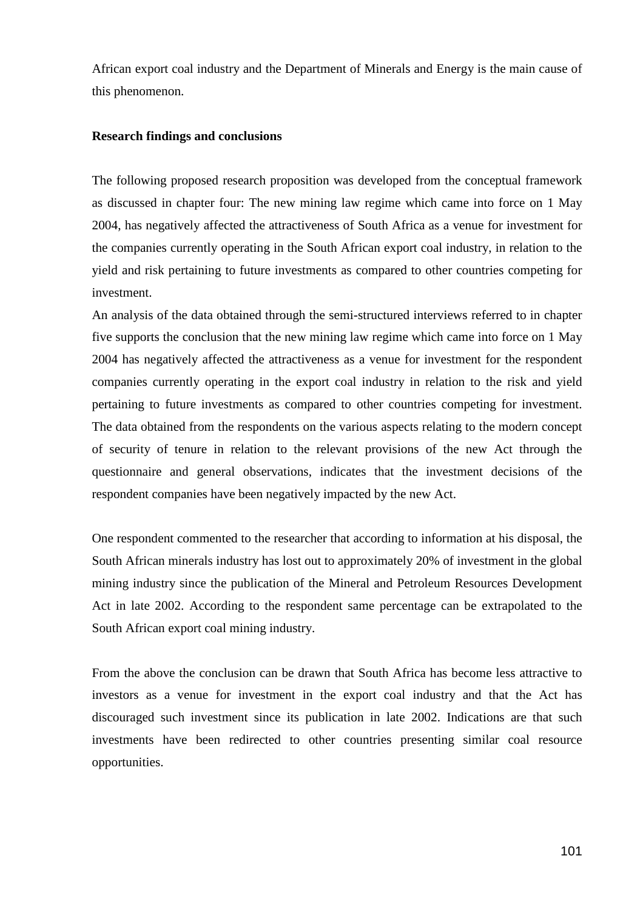African export coal industry and the Department of Minerals and Energy is the main cause of this phenomenon.

#### **Research findings and conclusions**

The following proposed research proposition was developed from the conceptual framework as discussed in chapter four: The new mining law regime which came into force on 1 May 2004, has negatively affected the attractiveness of South Africa as a venue for investment for the companies currently operating in the South African export coal industry, in relation to the yield and risk pertaining to future investments as compared to other countries competing for investment.

An analysis of the data obtained through the semi-structured interviews referred to in chapter five supports the conclusion that the new mining law regime which came into force on 1 May 2004 has negatively affected the attractiveness as a venue for investment for the respondent companies currently operating in the export coal industry in relation to the risk and yield pertaining to future investments as compared to other countries competing for investment. The data obtained from the respondents on the various aspects relating to the modern concept of security of tenure in relation to the relevant provisions of the new Act through the questionnaire and general observations, indicates that the investment decisions of the respondent companies have been negatively impacted by the new Act.

One respondent commented to the researcher that according to information at his disposal, the South African minerals industry has lost out to approximately 20% of investment in the global mining industry since the publication of the Mineral and Petroleum Resources Development Act in late 2002. According to the respondent same percentage can be extrapolated to the South African export coal mining industry.

From the above the conclusion can be drawn that South Africa has become less attractive to investors as a venue for investment in the export coal industry and that the Act has discouraged such investment since its publication in late 2002. Indications are that such investments have been redirected to other countries presenting similar coal resource opportunities.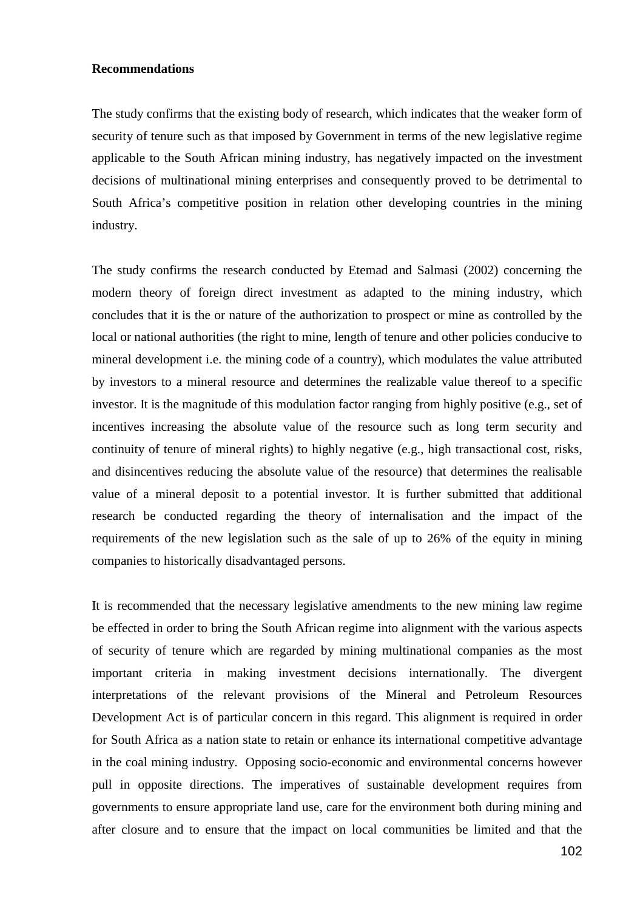#### **Recommendations**

The study confirms that the existing body of research, which indicates that the weaker form of security of tenure such as that imposed by Government in terms of the new legislative regime applicable to the South African mining industry, has negatively impacted on the investment decisions of multinational mining enterprises and consequently proved to be detrimental to South Africa's competitive position in relation other developing countries in the mining industry.

The study confirms the research conducted by Etemad and Salmasi (2002) concerning the modern theory of foreign direct investment as adapted to the mining industry, which concludes that it is the or nature of the authorization to prospect or mine as controlled by the local or national authorities (the right to mine, length of tenure and other policies conducive to mineral development i.e. the mining code of a country), which modulates the value attributed by investors to a mineral resource and determines the realizable value thereof to a specific investor. It is the magnitude of this modulation factor ranging from highly positive (e.g., set of incentives increasing the absolute value of the resource such as long term security and continuity of tenure of mineral rights) to highly negative (e.g., high transactional cost, risks, and disincentives reducing the absolute value of the resource) that determines the realisable value of a mineral deposit to a potential investor. It is further submitted that additional research be conducted regarding the theory of internalisation and the impact of the requirements of the new legislation such as the sale of up to 26% of the equity in mining companies to historically disadvantaged persons.

It is recommended that the necessary legislative amendments to the new mining law regime be effected in order to bring the South African regime into alignment with the various aspects of security of tenure which are regarded by mining multinational companies as the most important criteria in making investment decisions internationally. The divergent interpretations of the relevant provisions of the Mineral and Petroleum Resources Development Act is of particular concern in this regard. This alignment is required in order for South Africa as a nation state to retain or enhance its international competitive advantage in the coal mining industry. Opposing socio-economic and environmental concerns however pull in opposite directions. The imperatives of sustainable development requires from governments to ensure appropriate land use, care for the environment both during mining and after closure and to ensure that the impact on local communities be limited and that the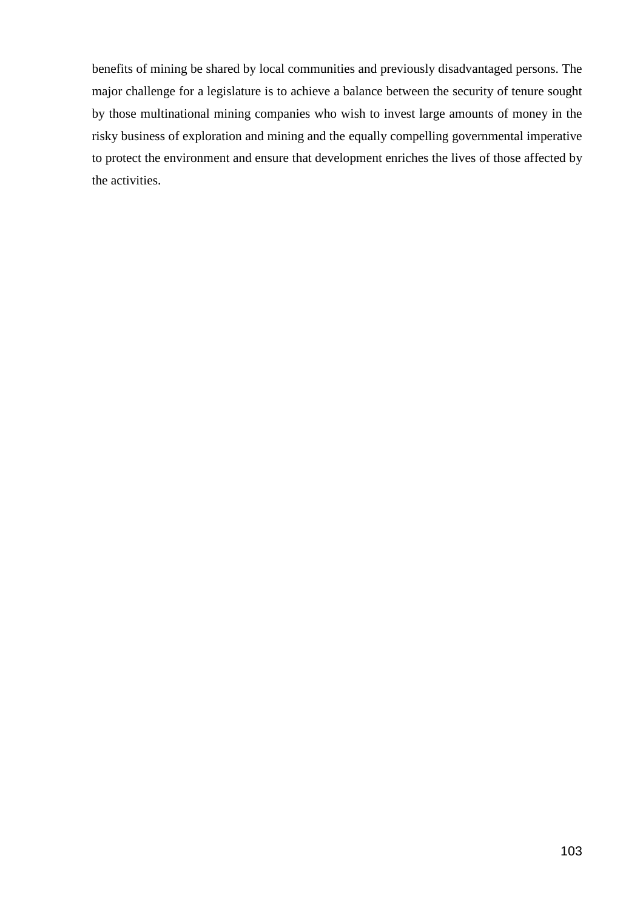benefits of mining be shared by local communities and previously disadvantaged persons. The major challenge for a legislature is to achieve a balance between the security of tenure sought by those multinational mining companies who wish to invest large amounts of money in the risky business of exploration and mining and the equally compelling governmental imperative to protect the environment and ensure that development enriches the lives of those affected by the activities.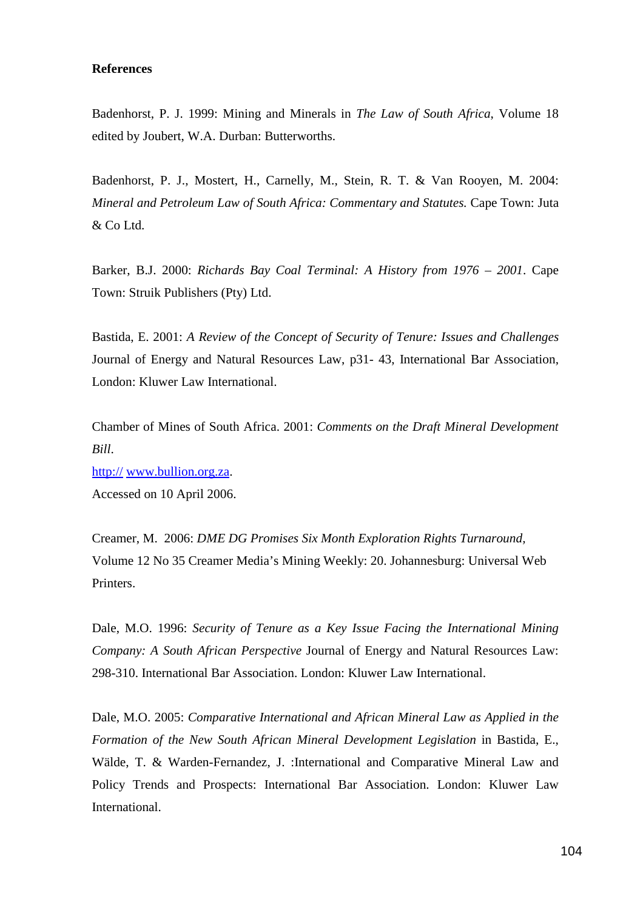#### **References**

Badenhorst, P. J. 1999: Mining and Minerals in *The Law of South Africa*, Volume 18 edited by Joubert, W.A. Durban: Butterworths.

Badenhorst, P. J., Mostert, H., Carnelly, M., Stein, R. T. & Van Rooyen, M. 2004: *Mineral and Petroleum Law of South Africa: Commentary and Statutes.* Cape Town: Juta & Co Ltd.

Barker, B.J. 2000: *Richards Bay Coal Terminal: A History from 1976 – 2001*. Cape Town: Struik Publishers (Pty) Ltd.

Bastida, E. 2001: *A Review of the Concept of Security of Tenure: Issues and Challenges* Journal of Energy and Natural Resources Law, p31- 43, International Bar Association, London: Kluwer Law International.

Chamber of Mines of South Africa. 2001: *Comments on the Draft Mineral Development Bill*.

http:// www.bullion.org.za. Accessed on 10 April 2006.

Creamer, M. 2006: *DME DG Promises Six Month Exploration Rights Turnaround,* Volume 12 No 35 Creamer Media's Mining Weekly: 20. Johannesburg: Universal Web Printers.

Dale, M.O. 1996: *Security of Tenure as a Key Issue Facing the International Mining Company: A South African Perspective* Journal of Energy and Natural Resources Law: 298-310. International Bar Association. London: Kluwer Law International.

Dale, M.O. 2005: *Comparative International and African Mineral Law as Applied in the Formation of the New South African Mineral Development Legislation* in Bastida, E., Wälde, T. & Warden-Fernandez, J. :International and Comparative Mineral Law and Policy Trends and Prospects: International Bar Association. London: Kluwer Law International.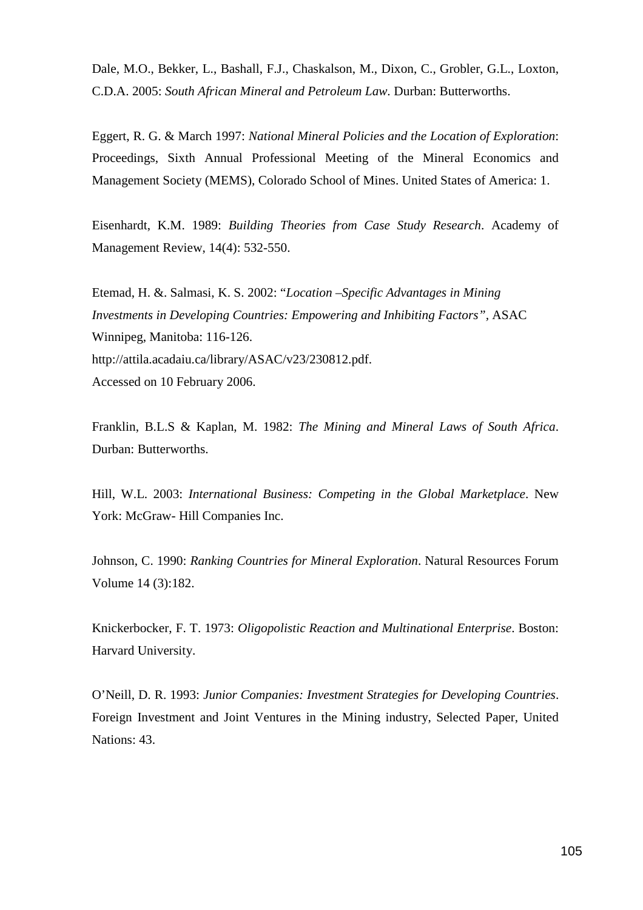Dale, M.O., Bekker, L., Bashall, F.J., Chaskalson, M., Dixon, C., Grobler, G.L., Loxton, C.D.A. 2005: *South African Mineral and Petroleum Law.* Durban: Butterworths.

Eggert, R. G. & March 1997: *National Mineral Policies and the Location of Exploration*: Proceedings, Sixth Annual Professional Meeting of the Mineral Economics and Management Society (MEMS), Colorado School of Mines. United States of America: 1.

Eisenhardt, K.M. 1989: *Building Theories from Case Study Research*. Academy of Management Review, 14(4): 532-550.

Etemad, H. &. Salmasi, K. S. 2002: "*Location –Specific Advantages in Mining Investments in Developing Countries: Empowering and Inhibiting Factors", ASAC* Winnipeg, Manitoba: 116-126. http://attila.acadaiu.ca/library/ASAC/v23/230812.pdf. Accessed on 10 February 2006.

Franklin, B.L.S & Kaplan, M. 1982: *The Mining and Mineral Laws of South Africa*. Durban: Butterworths.

Hill, W.L. 2003: *International Business: Competing in the Global Marketplace*. New York: McGraw- Hill Companies Inc.

Johnson, C. 1990: *Ranking Countries for Mineral Exploration*. Natural Resources Forum Volume 14 (3):182.

Knickerbocker, F. T. 1973: *Oligopolistic Reaction and Multinational Enterprise*. Boston: Harvard University.

O'Neill, D. R. 1993: *Junior Companies: Investment Strategies for Developing Countries*. Foreign Investment and Joint Ventures in the Mining industry, Selected Paper, United Nations: 43.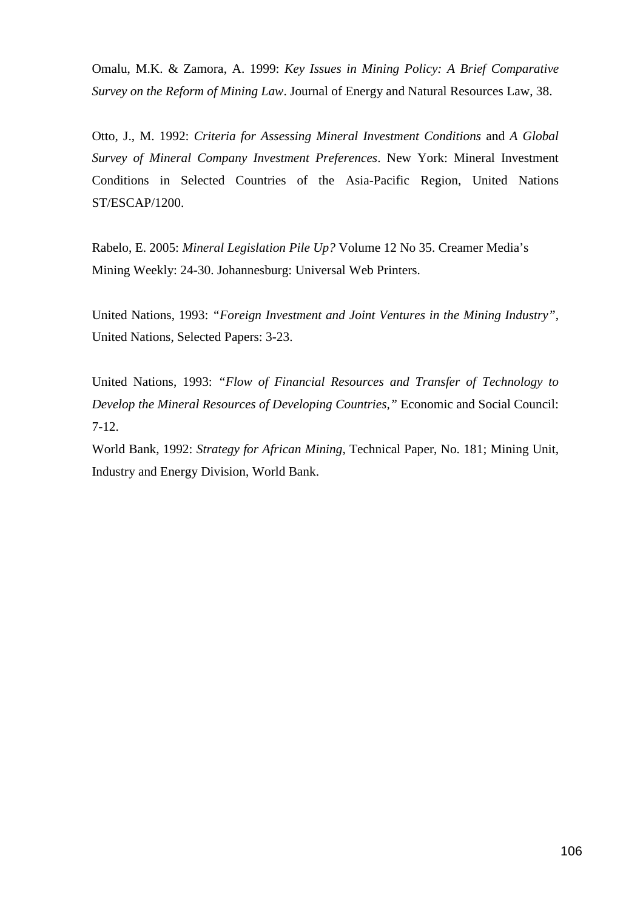Omalu, M.K. & Zamora, A. 1999: *Key Issues in Mining Policy: A Brief Comparative Survey on the Reform of Mining Law*. Journal of Energy and Natural Resources Law, 38.

Otto, J., M. 1992: *Criteria for Assessing Mineral Investment Conditions* and *A Global Survey of Mineral Company Investment Preferences*. New York: Mineral Investment Conditions in Selected Countries of the Asia-Pacific Region, United Nations ST/ESCAP/1200.

Rabelo, E. 2005: *Mineral Legislation Pile Up?* Volume 12 No 35. Creamer Media's Mining Weekly: 24-30. Johannesburg: Universal Web Printers.

United Nations, 1993: *"Foreign Investment and Joint Ventures in the Mining Industry"*, United Nations, Selected Papers: 3-23.

United Nations, 1993: *"Flow of Financial Resources and Transfer of Technology to Develop the Mineral Resources of Developing Countries,"* Economic and Social Council: 7-12.

World Bank, 1992: *Strategy for African Mining*, Technical Paper, No. 181; Mining Unit, Industry and Energy Division, World Bank.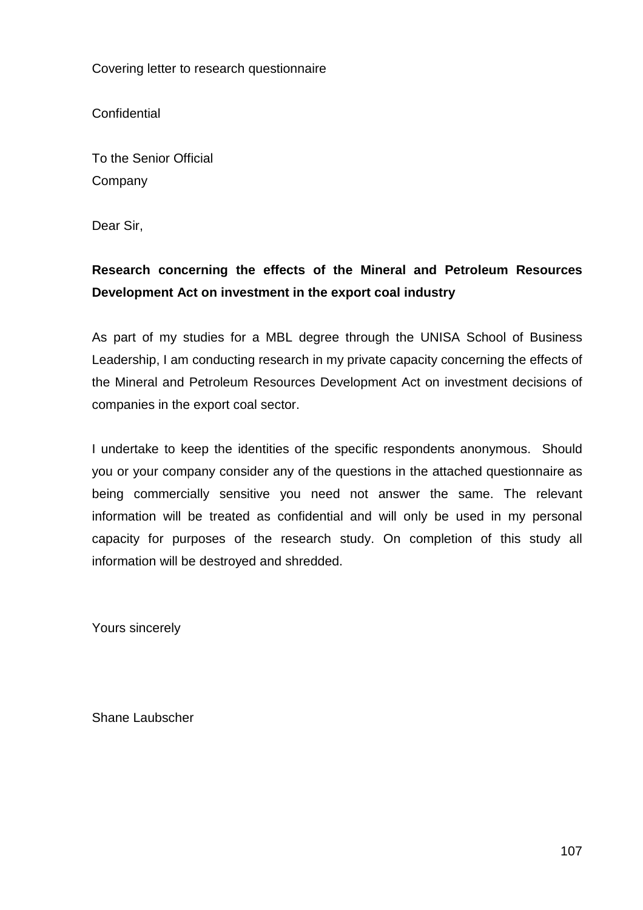Covering letter to research questionnaire

**Confidential** 

To the Senior Official Company

Dear Sir,

# **Research concerning the effects of the Mineral and Petroleum Resources Development Act on investment in the export coal industry**

As part of my studies for a MBL degree through the UNISA School of Business Leadership, I am conducting research in my private capacity concerning the effects of the Mineral and Petroleum Resources Development Act on investment decisions of companies in the export coal sector.

I undertake to keep the identities of the specific respondents anonymous. Should you or your company consider any of the questions in the attached questionnaire as being commercially sensitive you need not answer the same. The relevant information will be treated as confidential and will only be used in my personal capacity for purposes of the research study. On completion of this study all information will be destroyed and shredded.

Yours sincerely

Shane Laubscher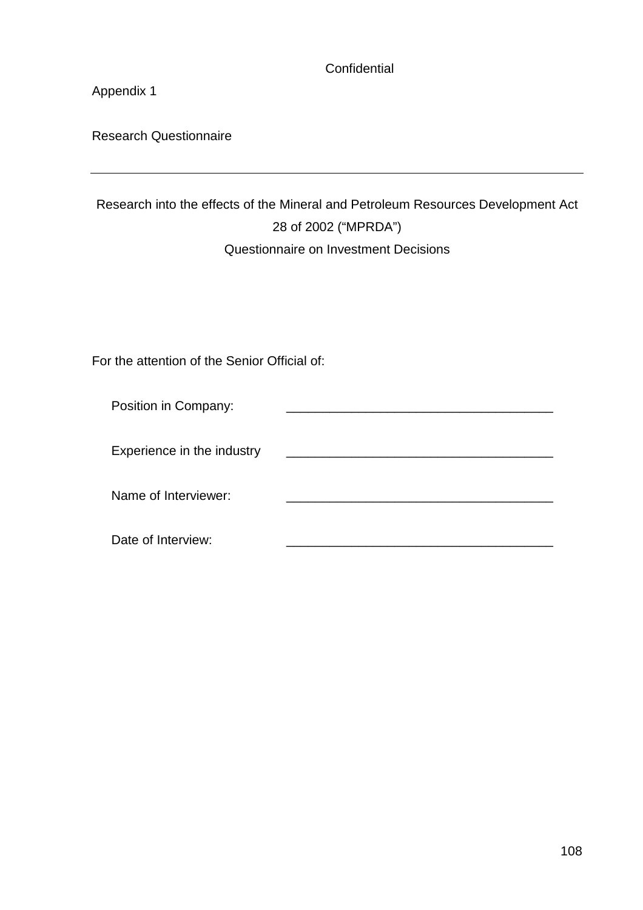**Confidential** 

Appendix 1

Research Questionnaire

# Research into the effects of the Mineral and Petroleum Resources Development Act 28 of 2002 ("MPRDA") Questionnaire on Investment Decisions

For the attention of the Senior Official of:

| Position in Company:       |  |
|----------------------------|--|
| Experience in the industry |  |
| Name of Interviewer:       |  |
| Date of Interview:         |  |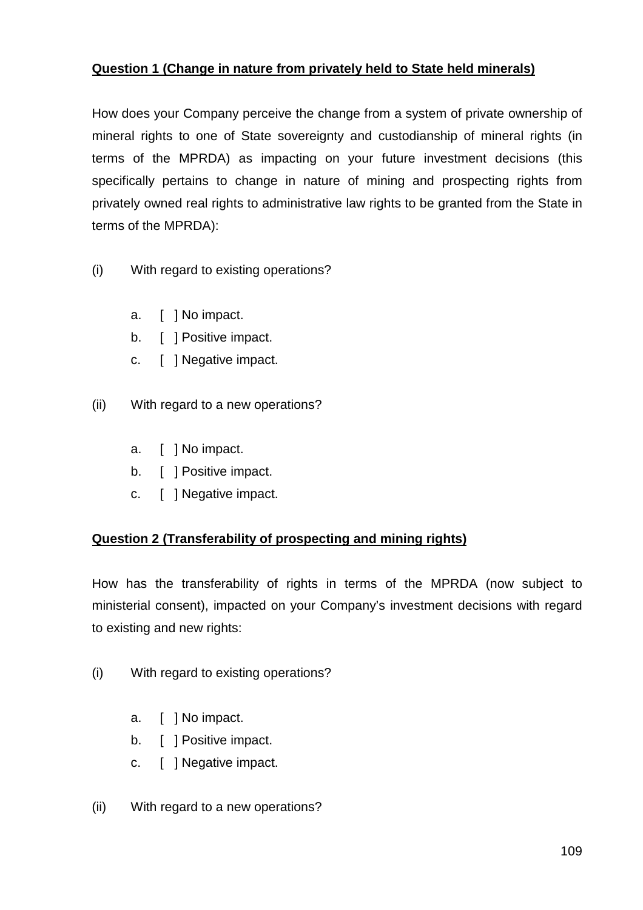### **Question 1 (Change in nature from privately held to State held minerals)**

How does your Company perceive the change from a system of private ownership of mineral rights to one of State sovereignty and custodianship of mineral rights (in terms of the MPRDA) as impacting on your future investment decisions (this specifically pertains to change in nature of mining and prospecting rights from privately owned real rights to administrative law rights to be granted from the State in terms of the MPRDA):

- (i) With regard to existing operations?
	- a. [ ] No impact.
	- b. [ ] Positive impact.
	- c. [ ] Negative impact.
- (ii) With regard to a new operations?
	- a. [ ] No impact.
	- b. [ ] Positive impact.
	- c. [ ] Negative impact.

### **Question 2 (Transferability of prospecting and mining rights)**

How has the transferability of rights in terms of the MPRDA (now subject to ministerial consent), impacted on your Company's investment decisions with regard to existing and new rights:

- (i) With regard to existing operations?
	- a. [ ] No impact.
	- b. [ ] Positive impact.
	- c. [ ] Negative impact.
- (ii) With regard to a new operations?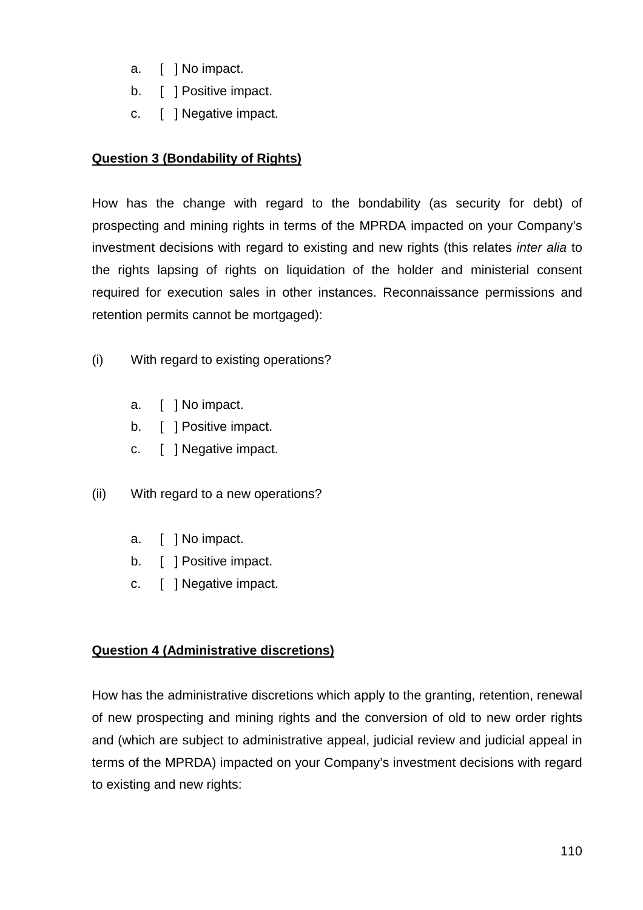- a. [ ] No impact.
- b. [ ] Positive impact.
- c. [ ] Negative impact.

## **Question 3 (Bondability of Rights)**

How has the change with regard to the bondability (as security for debt) of prospecting and mining rights in terms of the MPRDA impacted on your Company's investment decisions with regard to existing and new rights (this relates *inter alia* to the rights lapsing of rights on liquidation of the holder and ministerial consent required for execution sales in other instances. Reconnaissance permissions and retention permits cannot be mortgaged):

- (i) With regard to existing operations?
	- a. [ ] No impact.
	- b. [ ] Positive impact.
	- c. [ ] Negative impact.
- (ii) With regard to a new operations?
	- a. [ 1 No impact.
	- b. [ ] Positive impact.
	- c. [ ] Negative impact.

## **Question 4 (Administrative discretions)**

How has the administrative discretions which apply to the granting, retention, renewal of new prospecting and mining rights and the conversion of old to new order rights and (which are subject to administrative appeal, judicial review and judicial appeal in terms of the MPRDA) impacted on your Company's investment decisions with regard to existing and new rights: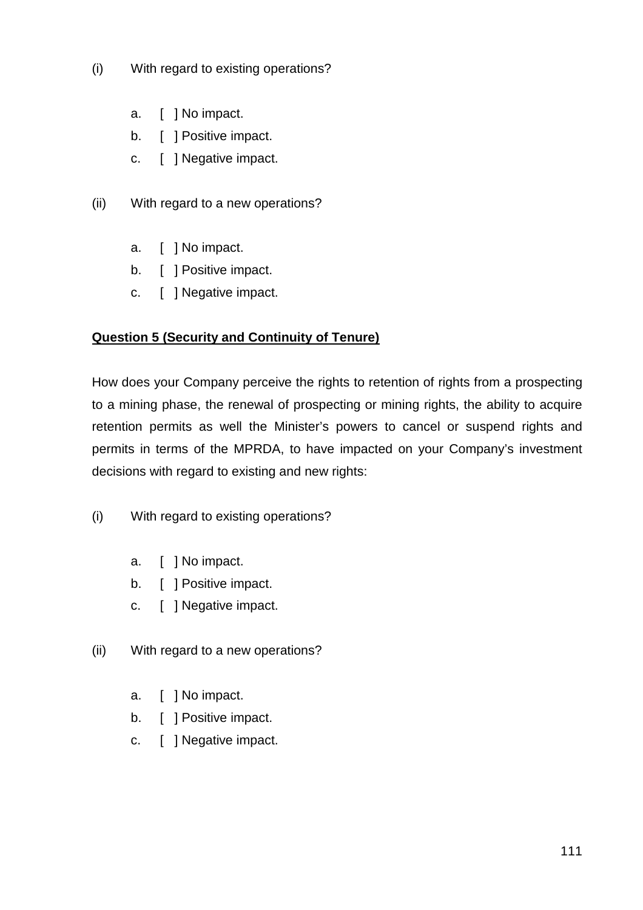- (i) With regard to existing operations?
	- a. [ ] No impact.
	- b. [ ] Positive impact.
	- c. [ ] Negative impact.
- (ii) With regard to a new operations?
	- a. [ ] No impact.
	- b. [ ] Positive impact.
	- c. [ ] Negative impact.

## **Question 5 (Security and Continuity of Tenure)**

How does your Company perceive the rights to retention of rights from a prospecting to a mining phase, the renewal of prospecting or mining rights, the ability to acquire retention permits as well the Minister's powers to cancel or suspend rights and permits in terms of the MPRDA, to have impacted on your Company's investment decisions with regard to existing and new rights:

- (i) With regard to existing operations?
	- a. [ ] No impact.
	- b. [ ] Positive impact.
	- c. [ ] Negative impact.
- (ii) With regard to a new operations?
	- a. [ ] No impact.
	- b. [ ] Positive impact.
	- c. [ ] Negative impact.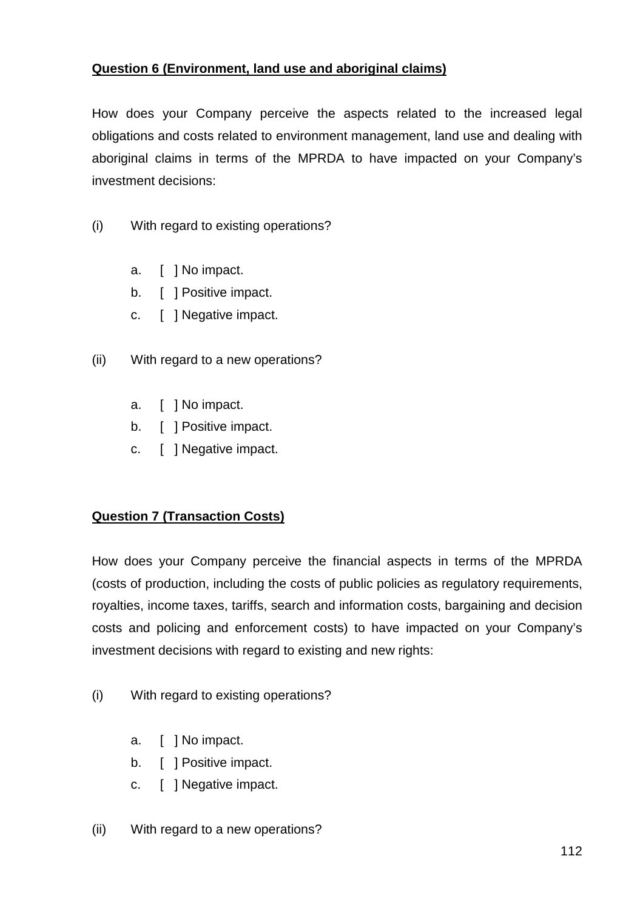### **Question 6 (Environment, land use and aboriginal claims)**

How does your Company perceive the aspects related to the increased legal obligations and costs related to environment management, land use and dealing with aboriginal claims in terms of the MPRDA to have impacted on your Company's investment decisions:

- (i) With regard to existing operations?
	- a. [ ] No impact.
	- b. [ ] Positive impact.
	- c. [ ] Negative impact.
- (ii) With regard to a new operations?
	- a. [ ] No impact.
	- b. [ ] Positive impact.
	- c. [ ] Negative impact.

### **Question 7 (Transaction Costs)**

How does your Company perceive the financial aspects in terms of the MPRDA (costs of production, including the costs of public policies as regulatory requirements, royalties, income taxes, tariffs, search and information costs, bargaining and decision costs and policing and enforcement costs) to have impacted on your Company's investment decisions with regard to existing and new rights:

- (i) With regard to existing operations?
	- a. [ ] No impact.
	- b. [ ] Positive impact.
	- c. [ ] Negative impact.
- (ii) With regard to a new operations?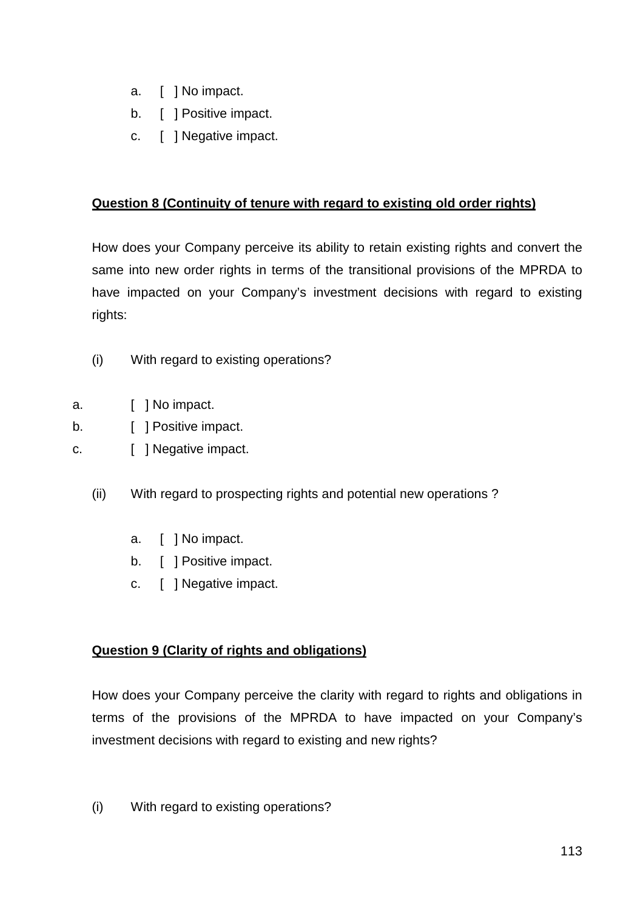- a. [ ] No impact.
- b. [ ] Positive impact.
- c. [ ] Negative impact.

## **Question 8 (Continuity of tenure with regard to existing old order rights)**

How does your Company perceive its ability to retain existing rights and convert the same into new order rights in terms of the transitional provisions of the MPRDA to have impacted on your Company's investment decisions with regard to existing rights:

- (i) With regard to existing operations?
- a. [ ] No impact.
- b. [ ] Positive impact.
- c. **[ ] Negative impact.** 
	- (ii) With regard to prospecting rights and potential new operations ?
		- a. [ ] No impact.
		- b. [ ] Positive impact.
		- c. [ ] Negative impact.

## **Question 9 (Clarity of rights and obligations)**

How does your Company perceive the clarity with regard to rights and obligations in terms of the provisions of the MPRDA to have impacted on your Company's investment decisions with regard to existing and new rights?

(i) With regard to existing operations?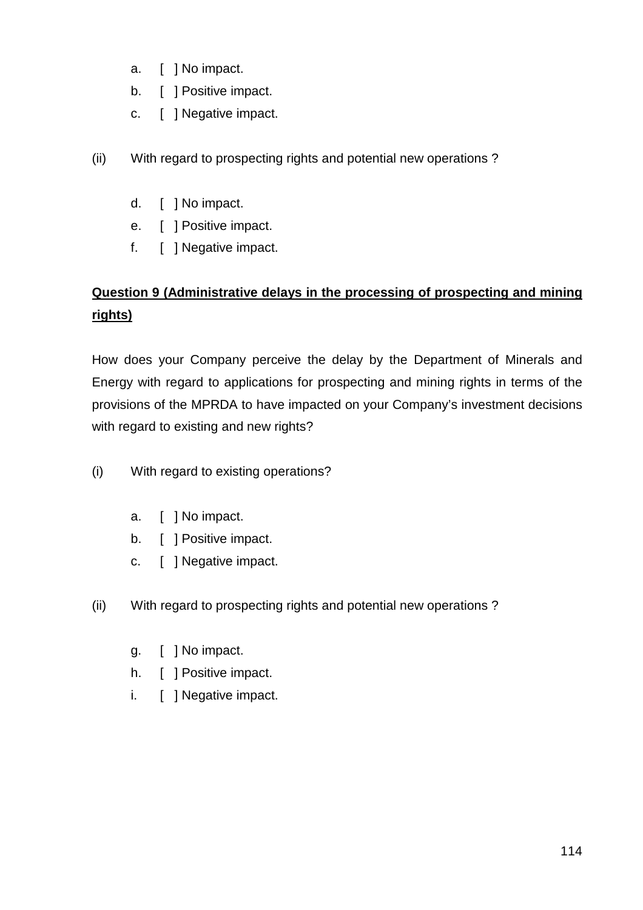- a. [ ] No impact.
- b. [ ] Positive impact.
- c. [ ] Negative impact.
- (ii) With regard to prospecting rights and potential new operations ?
	- d. [ ] No impact.
	- e. [ ] Positive impact.
	- f. [ ] Negative impact.

# **Question 9 (Administrative delays in the processing of prospecting and mining rights)**

How does your Company perceive the delay by the Department of Minerals and Energy with regard to applications for prospecting and mining rights in terms of the provisions of the MPRDA to have impacted on your Company's investment decisions with regard to existing and new rights?

- (i) With regard to existing operations?
	- a. [ ] No impact.
	- b. [ ] Positive impact.
	- c. [ ] Negative impact.
- (ii) With regard to prospecting rights and potential new operations ?
	- g. [ ] No impact.
	- h. [ ] Positive impact.
	- i. [ ] Negative impact.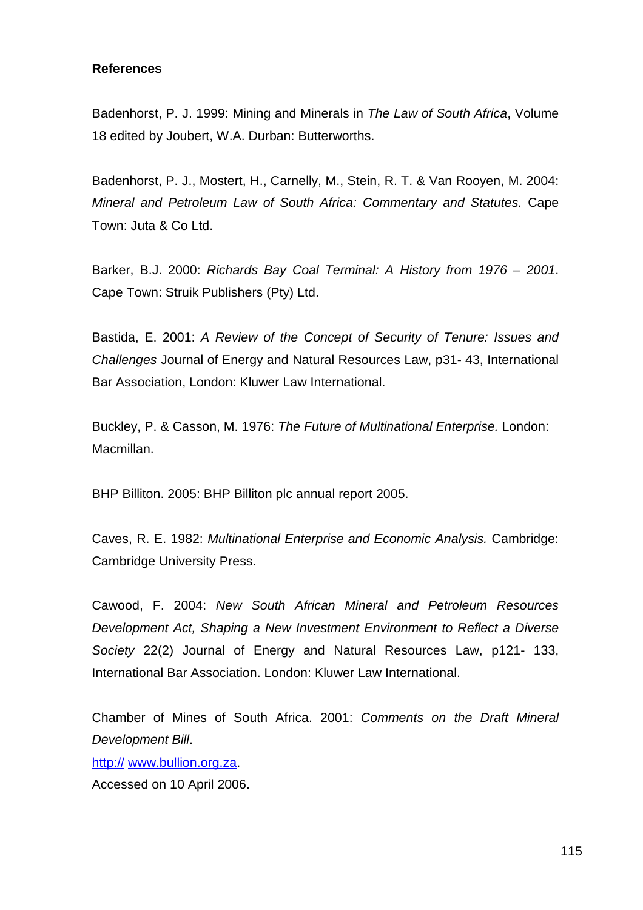#### **References**

Badenhorst, P. J. 1999: Mining and Minerals in The Law of South Africa, Volume 18 edited by Joubert, W.A. Durban: Butterworths.

Badenhorst, P. J., Mostert, H., Carnelly, M., Stein, R. T. & Van Rooyen, M. 2004: Mineral and Petroleum Law of South Africa: Commentary and Statutes. Cape Town: Juta & Co Ltd.

Barker, B.J. 2000: Richards Bay Coal Terminal: A History from 1976 – 2001. Cape Town: Struik Publishers (Pty) Ltd.

Bastida, E. 2001: A Review of the Concept of Security of Tenure: Issues and Challenges Journal of Energy and Natural Resources Law, p31- 43, International Bar Association, London: Kluwer Law International.

Buckley, P. & Casson, M. 1976: The Future of Multinational Enterprise. London: Macmillan.

BHP Billiton. 2005: BHP Billiton plc annual report 2005.

Caves, R. E. 1982: Multinational Enterprise and Economic Analysis. Cambridge: Cambridge University Press.

Cawood, F. 2004: New South African Mineral and Petroleum Resources Development Act, Shaping a New Investment Environment to Reflect a Diverse Society 22(2) Journal of Energy and Natural Resources Law, p121- 133, International Bar Association. London: Kluwer Law International.

Chamber of Mines of South Africa. 2001: Comments on the Draft Mineral Development Bill.

http:// www.bullion.org.za.

Accessed on 10 April 2006.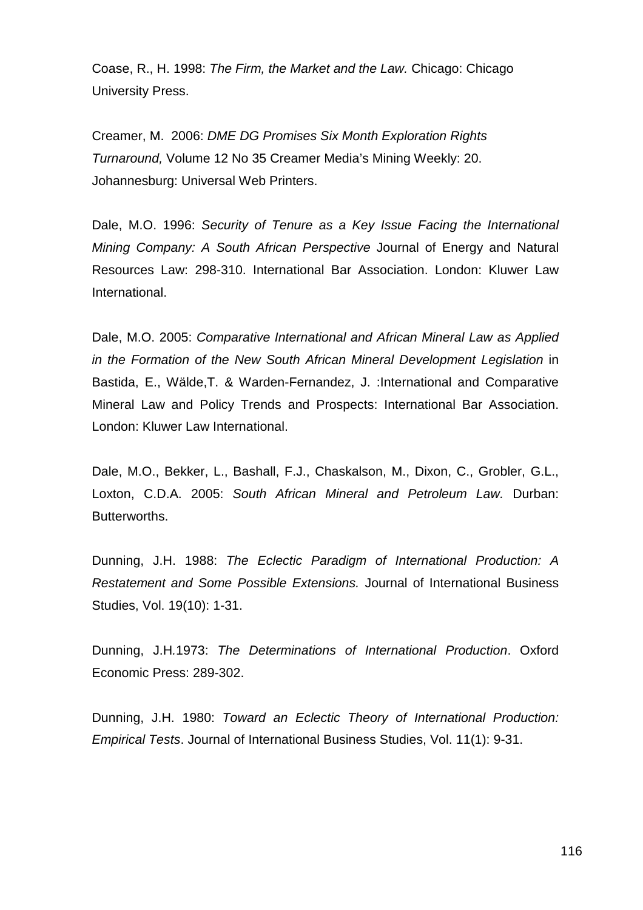Coase, R., H. 1998: The Firm, the Market and the Law. Chicago: Chicago University Press.

Creamer, M. 2006: DME DG Promises Six Month Exploration Rights Turnaround, Volume 12 No 35 Creamer Media's Mining Weekly: 20. Johannesburg: Universal Web Printers.

Dale, M.O. 1996: Security of Tenure as a Key Issue Facing the International Mining Company: A South African Perspective Journal of Energy and Natural Resources Law: 298-310. International Bar Association. London: Kluwer Law International.

Dale, M.O. 2005: Comparative International and African Mineral Law as Applied in the Formation of the New South African Mineral Development Legislation in Bastida, E., Wälde,T. & Warden-Fernandez, J. :International and Comparative Mineral Law and Policy Trends and Prospects: International Bar Association. London: Kluwer Law International.

Dale, M.O., Bekker, L., Bashall, F.J., Chaskalson, M., Dixon, C., Grobler, G.L., Loxton, C.D.A. 2005: South African Mineral and Petroleum Law. Durban: Butterworths.

Dunning, J.H. 1988: The Eclectic Paradigm of International Production: A Restatement and Some Possible Extensions. Journal of International Business Studies, Vol. 19(10): 1-31.

Dunning, J.H.1973: The Determinations of International Production. Oxford Economic Press: 289-302.

Dunning, J.H. 1980: Toward an Eclectic Theory of International Production: Empirical Tests. Journal of International Business Studies, Vol. 11(1): 9-31.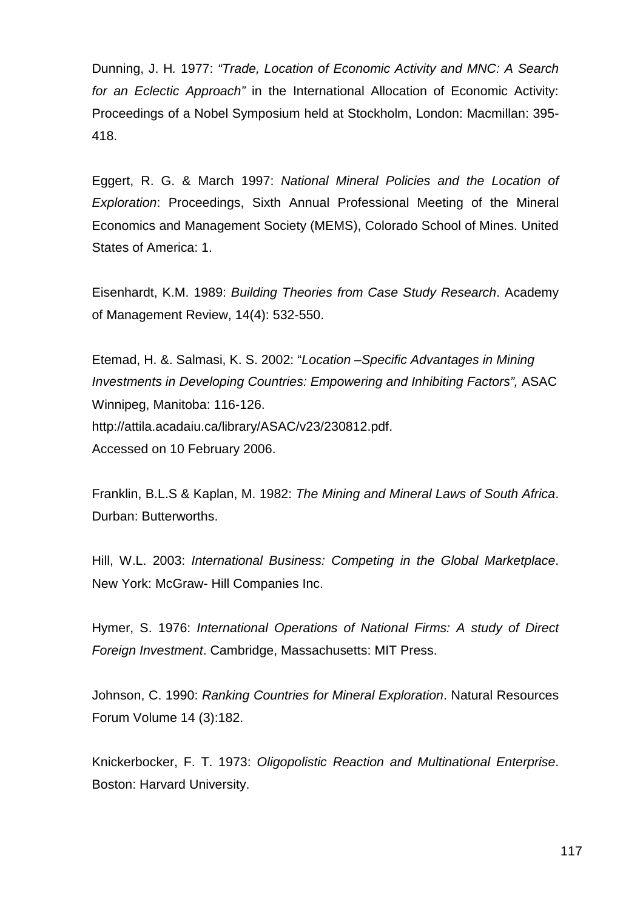Dunning, J. H. 1977: "Trade, Location of Economic Activity and MNC: A Search for an Eclectic Approach" in the International Allocation of Economic Activity: Proceedings of a Nobel Symposium held at Stockholm, London: Macmillan: 395- 418.

Eggert, R. G. & March 1997: National Mineral Policies and the Location of Exploration: Proceedings, Sixth Annual Professional Meeting of the Mineral Economics and Management Society (MEMS), Colorado School of Mines. United States of America: 1.

Eisenhardt, K.M. 1989: Building Theories from Case Study Research. Academy of Management Review, 14(4): 532-550.

Etemad, H. &. Salmasi, K. S. 2002: "Location –Specific Advantages in Mining Investments in Developing Countries: Empowering and Inhibiting Factors", ASAC Winnipeg, Manitoba: 116-126. http://attila.acadaiu.ca/library/ASAC/v23/230812.pdf. Accessed on 10 February 2006.

Franklin, B.L.S & Kaplan, M. 1982: The Mining and Mineral Laws of South Africa. Durban: Butterworths.

Hill, W.L. 2003: International Business: Competing in the Global Marketplace. New York: McGraw- Hill Companies Inc.

Hymer, S. 1976: International Operations of National Firms: A study of Direct Foreign Investment. Cambridge, Massachusetts: MIT Press.

Johnson, C. 1990: Ranking Countries for Mineral Exploration. Natural Resources Forum Volume 14 (3):182.

Knickerbocker, F. T. 1973: Oligopolistic Reaction and Multinational Enterprise. Boston: Harvard University.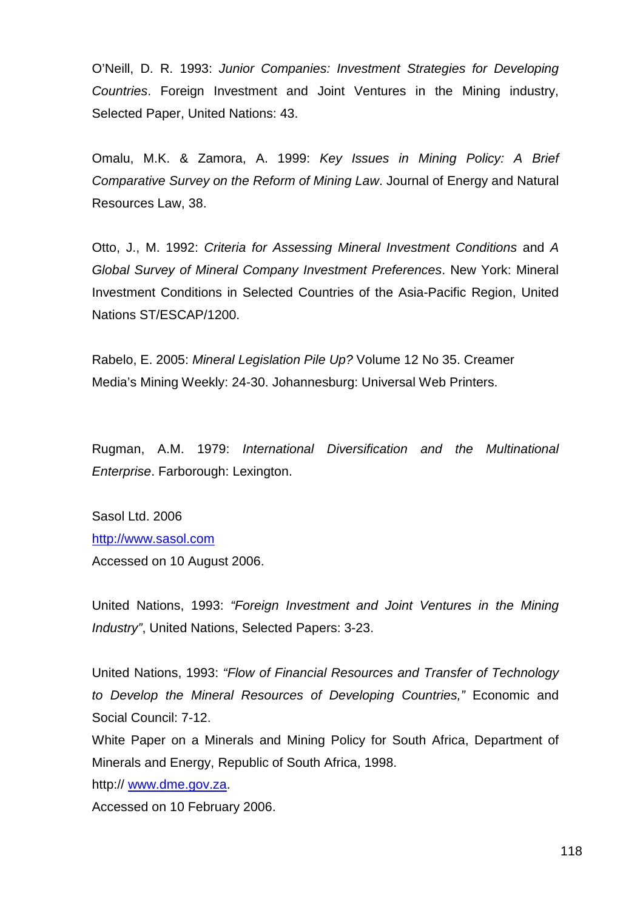O'Neill, D. R. 1993: Junior Companies: Investment Strategies for Developing Countries. Foreign Investment and Joint Ventures in the Mining industry, Selected Paper, United Nations: 43.

Omalu, M.K. & Zamora, A. 1999: Key Issues in Mining Policy: A Brief Comparative Survey on the Reform of Mining Law. Journal of Energy and Natural Resources Law, 38.

Otto, J., M. 1992: Criteria for Assessing Mineral Investment Conditions and A Global Survey of Mineral Company Investment Preferences. New York: Mineral Investment Conditions in Selected Countries of the Asia-Pacific Region, United Nations ST/ESCAP/1200.

Rabelo, E. 2005: Mineral Legislation Pile Up? Volume 12 No 35. Creamer Media's Mining Weekly: 24-30. Johannesburg: Universal Web Printers.

Rugman, A.M. 1979: International Diversification and the Multinational Enterprise. Farborough: Lexington.

Sasol Ltd. 2006 http://www.sasol.com Accessed on 10 August 2006.

United Nations, 1993: "Foreign Investment and Joint Ventures in the Mining Industry", United Nations, Selected Papers: 3-23.

United Nations, 1993: "Flow of Financial Resources and Transfer of Technology to Develop the Mineral Resources of Developing Countries," Economic and Social Council: 7-12.

White Paper on a Minerals and Mining Policy for South Africa, Department of Minerals and Energy, Republic of South Africa, 1998.

http:// www.dme.gov.za.

Accessed on 10 February 2006.